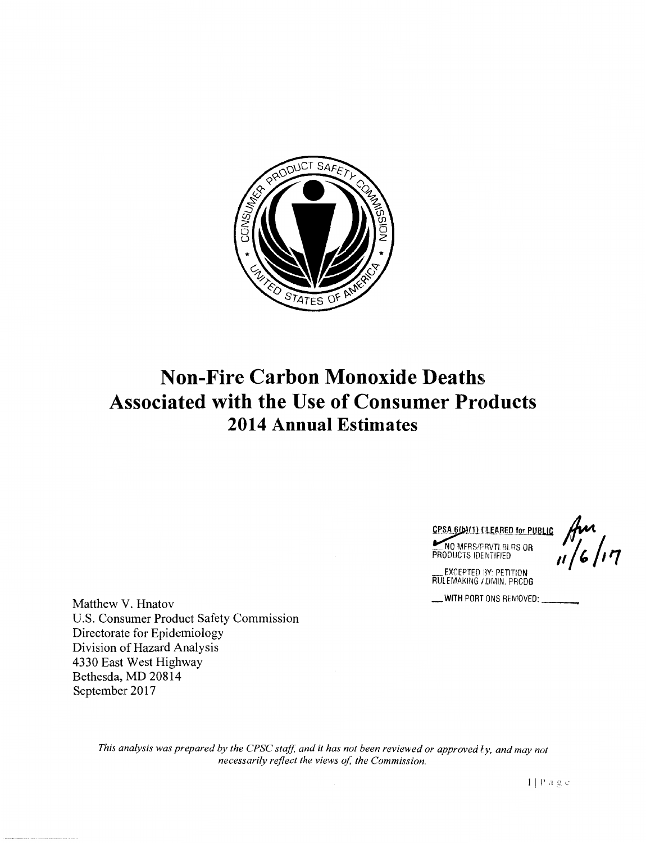

# **Non-Fire Carbon Monoxide Deaths Associated with the Use of Consumer Products 2014 Annual Estimates**

CPSA 6(b)(1) CLEARED for PUBLIC A **PRODUCTS IDENTIFIED IF A 1/6/17** 

EXCEPTED BY: PETITION RUL EMAKING ADMIN. PRCDG

\_WITH PORT ONS REMOVED:---

Matthew V. Hnatov U.S. Consumer Product Safety Commission Directorate for Epidemiology Division of Hazard Analysis 4330 East West Highway Bethesda, MD 20814 September 2017

> This analysis was prepared by the CPSC staff, and it has not been reviewed or approved by, and may not *necessarily reflect the views of, the Commission.*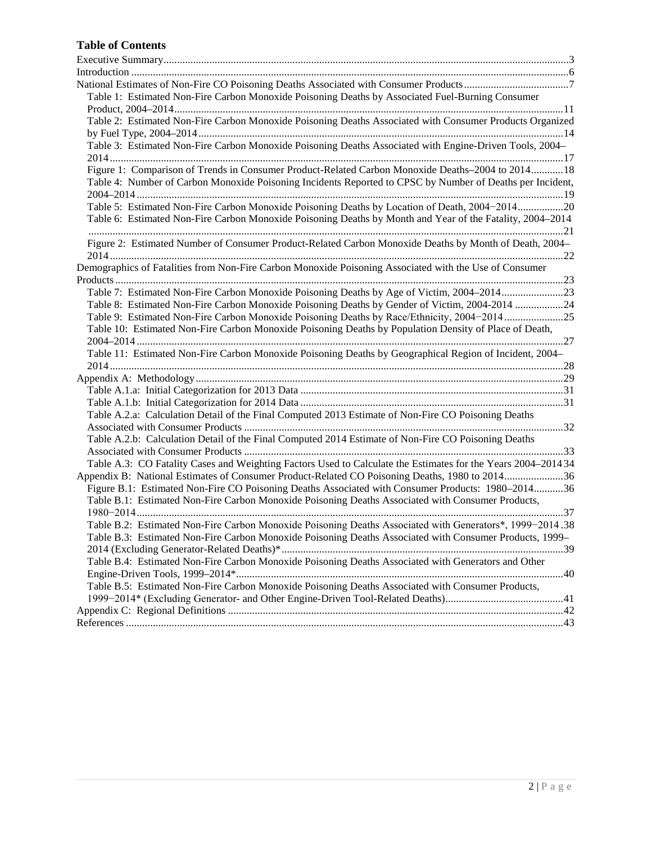# **Table of Contents**

| Table 1: Estimated Non-Fire Carbon Monoxide Poisoning Deaths by Associated Fuel-Burning Consumer              |
|---------------------------------------------------------------------------------------------------------------|
|                                                                                                               |
| Table 2: Estimated Non-Fire Carbon Monoxide Poisoning Deaths Associated with Consumer Products Organized      |
|                                                                                                               |
| Table 3: Estimated Non-Fire Carbon Monoxide Poisoning Deaths Associated with Engine-Driven Tools, 2004–       |
|                                                                                                               |
| Figure 1: Comparison of Trends in Consumer Product-Related Carbon Monoxide Deaths-2004 to 2014 18             |
| Table 4: Number of Carbon Monoxide Poisoning Incidents Reported to CPSC by Number of Deaths per Incident,     |
|                                                                                                               |
| Table 5: Estimated Non-Fire Carbon Monoxide Poisoning Deaths by Location of Death, 2004-201420                |
| Table 6: Estimated Non-Fire Carbon Monoxide Poisoning Deaths by Month and Year of the Fatality, 2004–2014     |
|                                                                                                               |
| Figure 2: Estimated Number of Consumer Product-Related Carbon Monoxide Deaths by Month of Death, 2004-        |
| Demographics of Fatalities from Non-Fire Carbon Monoxide Poisoning Associated with the Use of Consumer        |
|                                                                                                               |
| Table 7: Estimated Non-Fire Carbon Monoxide Poisoning Deaths by Age of Victim, 2004–201423                    |
| Table 8: Estimated Non-Fire Carbon Monoxide Poisoning Deaths by Gender of Victim, 2004-2014 24                |
| Table 9: Estimated Non-Fire Carbon Monoxide Poisoning Deaths by Race/Ethnicity, 2004–201425                   |
| Table 10: Estimated Non-Fire Carbon Monoxide Poisoning Deaths by Population Density of Place of Death,        |
|                                                                                                               |
| Table 11: Estimated Non-Fire Carbon Monoxide Poisoning Deaths by Geographical Region of Incident, 2004-       |
|                                                                                                               |
|                                                                                                               |
|                                                                                                               |
|                                                                                                               |
| Table A.2.a: Calculation Detail of the Final Computed 2013 Estimate of Non-Fire CO Poisoning Deaths           |
|                                                                                                               |
| Table A.2.b: Calculation Detail of the Final Computed 2014 Estimate of Non-Fire CO Poisoning Deaths           |
|                                                                                                               |
| Table A.3: CO Fatality Cases and Weighting Factors Used to Calculate the Estimates for the Years 2004–2014 34 |
| Appendix B: National Estimates of Consumer Product-Related CO Poisoning Deaths, 1980 to 201436                |
| Figure B.1: Estimated Non-Fire CO Poisoning Deaths Associated with Consumer Products: 1980-201436             |
| Table B.1: Estimated Non-Fire Carbon Monoxide Poisoning Deaths Associated with Consumer Products,             |
|                                                                                                               |
| Table B.2: Estimated Non-Fire Carbon Monoxide Poisoning Deaths Associated with Generators*, 1999-2014.38      |
| Table B.3: Estimated Non-Fire Carbon Monoxide Poisoning Deaths Associated with Consumer Products, 1999–       |
|                                                                                                               |
| Table B.4: Estimated Non-Fire Carbon Monoxide Poisoning Deaths Associated with Generators and Other           |
|                                                                                                               |
| Table B.5: Estimated Non-Fire Carbon Monoxide Poisoning Deaths Associated with Consumer Products,             |
|                                                                                                               |
|                                                                                                               |
|                                                                                                               |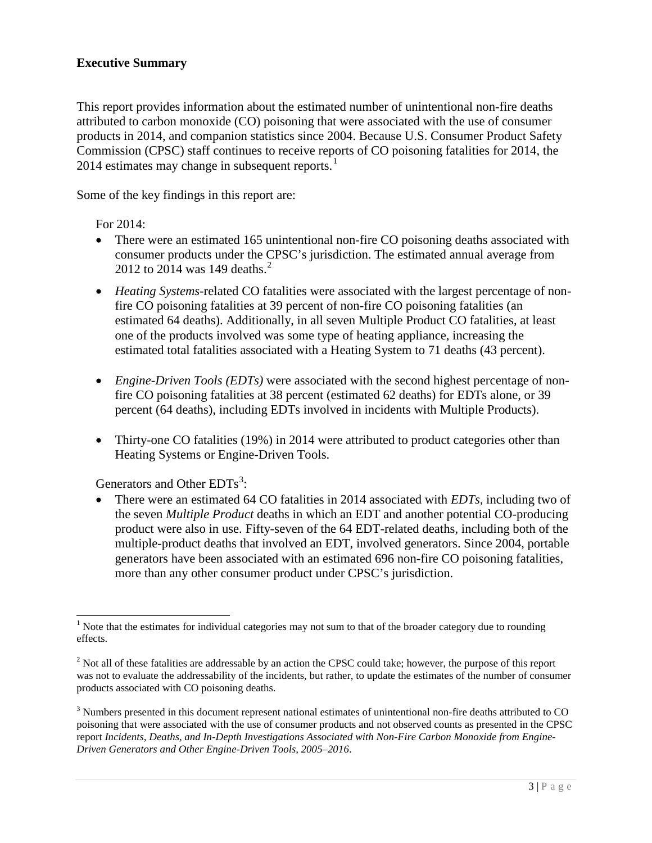# <span id="page-2-0"></span>**Executive Summary**

This report provides information about the estimated number of unintentional non-fire deaths attributed to carbon monoxide (CO) poisoning that were associated with the use of consumer products in 2014, and companion statistics since 2004. Because U.S. Consumer Product Safety Commission (CPSC) staff continues to receive reports of CO poisoning fatalities for 2014, the  $2014$  $2014$  $2014$  estimates may change in subsequent reports.<sup>1</sup>

Some of the key findings in this report are:

For 2014:

- There were an estimated 165 unintentional non-fire CO poisoning deaths associated with consumer products under the CPSC's jurisdiction. The estimated annual average from [2](#page-2-2)012 to 2014 was 149 deaths.<sup>2</sup>
- *Heating Systems*-related CO fatalities were associated with the largest percentage of nonfire CO poisoning fatalities at 39 percent of non-fire CO poisoning fatalities (an estimated 64 deaths). Additionally, in all seven Multiple Product CO fatalities, at least one of the products involved was some type of heating appliance, increasing the estimated total fatalities associated with a Heating System to 71 deaths (43 percent).
- *Engine-Driven Tools (EDTs)* were associated with the second highest percentage of nonfire CO poisoning fatalities at 38 percent (estimated 62 deaths) for EDTs alone, or 39 percent (64 deaths), including EDTs involved in incidents with Multiple Products).
- Thirty-one CO fatalities (19%) in 2014 were attributed to product categories other than Heating Systems or Engine-Driven Tools.

Generators and Other  $EDTs^3$  $EDTs^3$ :

• There were an estimated 64 CO fatalities in 2014 associated with *EDTs,* including two of the seven *Multiple Product* deaths in which an EDT and another potential CO-producing product were also in use. Fifty-seven of the 64 EDT-related deaths, including both of the multiple-product deaths that involved an EDT, involved generators. Since 2004, portable generators have been associated with an estimated 696 non-fire CO poisoning fatalities, more than any other consumer product under CPSC's jurisdiction.

<span id="page-2-1"></span><sup>&</sup>lt;sup>1</sup> Note that the estimates for individual categories may not sum to that of the broader category due to rounding effects.

<span id="page-2-2"></span><sup>&</sup>lt;sup>2</sup> Not all of these fatalities are addressable by an action the CPSC could take; however, the purpose of this report was not to evaluate the addressability of the incidents, but rather, to update the estimates of the number of consumer products associated with CO poisoning deaths.

<span id="page-2-3"></span><sup>&</sup>lt;sup>3</sup> Numbers presented in this document represent national estimates of unintentional non-fire deaths attributed to CO poisoning that were associated with the use of consumer products and not observed counts as presented in the CPSC report *Incidents, Deaths, and In-Depth Investigations Associated with Non-Fire Carbon Monoxide from Engine-Driven Generators and Other Engine-Driven Tools, 2005–2016*.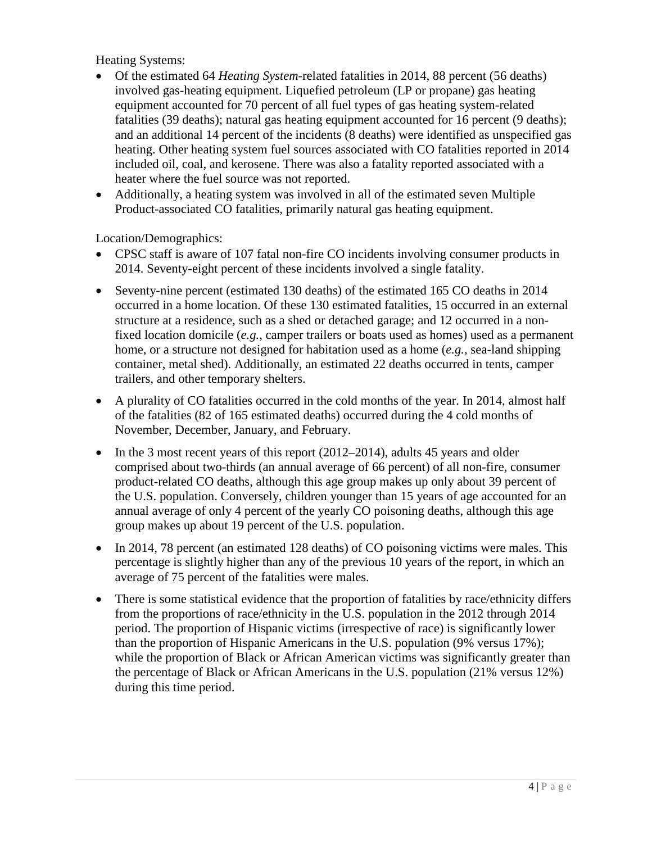Heating Systems:

- Of the estimated 64 *Heating System*-related fatalities in 2014, 88 percent (56 deaths) involved gas-heating equipment. Liquefied petroleum (LP or propane) gas heating equipment accounted for 70 percent of all fuel types of gas heating system-related fatalities (39 deaths); natural gas heating equipment accounted for 16 percent (9 deaths); and an additional 14 percent of the incidents (8 deaths) were identified as unspecified gas heating. Other heating system fuel sources associated with CO fatalities reported in 2014 included oil, coal, and kerosene. There was also a fatality reported associated with a heater where the fuel source was not reported.
- Additionally, a heating system was involved in all of the estimated seven Multiple Product-associated CO fatalities, primarily natural gas heating equipment.

Location/Demographics:

- CPSC staff is aware of 107 fatal non-fire CO incidents involving consumer products in 2014. Seventy-eight percent of these incidents involved a single fatality.
- Seventy-nine percent (estimated 130 deaths) of the estimated 165 CO deaths in 2014 occurred in a home location. Of these 130 estimated fatalities, 15 occurred in an external structure at a residence, such as a shed or detached garage; and 12 occurred in a nonfixed location domicile (*e.g.*, camper trailers or boats used as homes) used as a permanent home, or a structure not designed for habitation used as a home (*e.g.*, sea-land shipping container, metal shed). Additionally, an estimated 22 deaths occurred in tents, camper trailers, and other temporary shelters.
- A plurality of CO fatalities occurred in the cold months of the year. In 2014, almost half of the fatalities (82 of 165 estimated deaths) occurred during the 4 cold months of November, December, January, and February.
- In the 3 most recent years of this report  $(2012-2014)$ , adults 45 years and older comprised about two-thirds (an annual average of 66 percent) of all non-fire, consumer product-related CO deaths, although this age group makes up only about 39 percent of the U.S. population. Conversely, children younger than 15 years of age accounted for an annual average of only 4 percent of the yearly CO poisoning deaths, although this age group makes up about 19 percent of the U.S. population.
- In 2014, 78 percent (an estimated 128 deaths) of CO poisoning victims were males. This percentage is slightly higher than any of the previous 10 years of the report, in which an average of 75 percent of the fatalities were males.
- There is some statistical evidence that the proportion of fatalities by race/ethnicity differs from the proportions of race/ethnicity in the U.S. population in the 2012 through 2014 period. The proportion of Hispanic victims (irrespective of race) is significantly lower than the proportion of Hispanic Americans in the U.S. population (9% versus 17%); while the proportion of Black or African American victims was significantly greater than the percentage of Black or African Americans in the U.S. population (21% versus 12%) during this time period.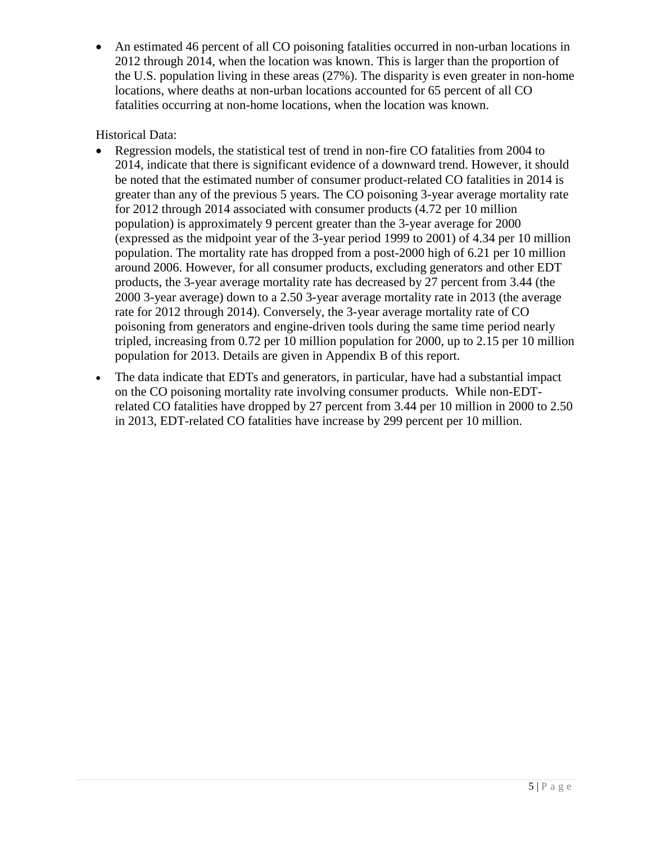• An estimated 46 percent of all CO poisoning fatalities occurred in non-urban locations in 2012 through 2014, when the location was known. This is larger than the proportion of the U.S. population living in these areas (27%). The disparity is even greater in non-home locations, where deaths at non-urban locations accounted for 65 percent of all CO fatalities occurring at non-home locations, when the location was known.

# Historical Data:

- Regression models, the statistical test of trend in non-fire CO fatalities from 2004 to 2014, indicate that there is significant evidence of a downward trend. However, it should be noted that the estimated number of consumer product-related CO fatalities in 2014 is greater than any of the previous 5 years. The CO poisoning 3-year average mortality rate for 2012 through 2014 associated with consumer products (4.72 per 10 million population) is approximately 9 percent greater than the 3-year average for 2000 (expressed as the midpoint year of the 3-year period 1999 to 2001) of 4.34 per 10 million population. The mortality rate has dropped from a post-2000 high of 6.21 per 10 million around 2006. However, for all consumer products, excluding generators and other EDT products, the 3-year average mortality rate has decreased by 27 percent from 3.44 (the 2000 3-year average) down to a 2.50 3-year average mortality rate in 2013 (the average rate for 2012 through 2014). Conversely, the 3-year average mortality rate of CO poisoning from generators and engine-driven tools during the same time period nearly tripled, increasing from 0.72 per 10 million population for 2000, up to 2.15 per 10 million population for 2013. Details are given in Appendix B of this report.
- The data indicate that EDTs and generators, in particular, have had a substantial impact on the CO poisoning mortality rate involving consumer products. While non-EDTrelated CO fatalities have dropped by 27 percent from 3.44 per 10 million in 2000 to 2.50 in 2013, EDT-related CO fatalities have increase by 299 percent per 10 million.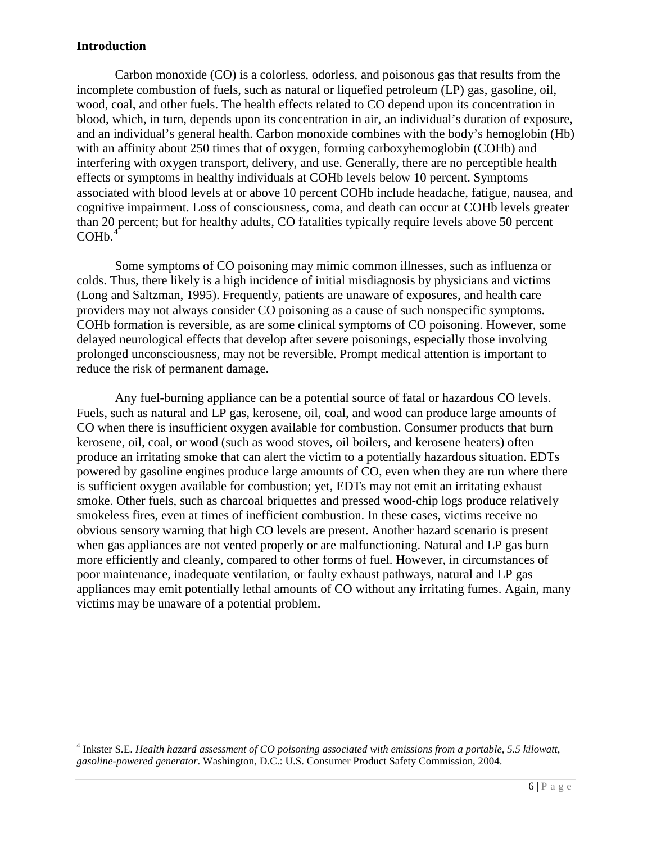# <span id="page-5-0"></span>**Introduction**

Carbon monoxide (CO) is a colorless, odorless, and poisonous gas that results from the incomplete combustion of fuels, such as natural or liquefied petroleum (LP) gas, gasoline, oil, wood, coal, and other fuels. The health effects related to CO depend upon its concentration in blood, which, in turn, depends upon its concentration in air, an individual's duration of exposure, and an individual's general health. Carbon monoxide combines with the body's hemoglobin (Hb) with an affinity about 250 times that of oxygen, forming carboxyhemoglobin (COHb) and interfering with oxygen transport, delivery, and use. Generally, there are no perceptible health effects or symptoms in healthy individuals at COHb levels below 10 percent. Symptoms associated with blood levels at or above 10 percent COHb include headache, fatigue, nausea, and cognitive impairment. Loss of consciousness, coma, and death can occur at COHb levels greater than 20 percent; but for healthy adults, CO fatalities typically require levels above 50 percent COHb. [4](#page-5-1)

Some symptoms of CO poisoning may mimic common illnesses, such as influenza or colds. Thus, there likely is a high incidence of initial misdiagnosis by physicians and victims (Long and Saltzman, 1995). Frequently, patients are unaware of exposures, and health care providers may not always consider CO poisoning as a cause of such nonspecific symptoms. COHb formation is reversible, as are some clinical symptoms of CO poisoning. However, some delayed neurological effects that develop after severe poisonings, especially those involving prolonged unconsciousness, may not be reversible. Prompt medical attention is important to reduce the risk of permanent damage.

Any fuel-burning appliance can be a potential source of fatal or hazardous CO levels. Fuels, such as natural and LP gas, kerosene, oil, coal, and wood can produce large amounts of CO when there is insufficient oxygen available for combustion. Consumer products that burn kerosene, oil, coal, or wood (such as wood stoves, oil boilers, and kerosene heaters) often produce an irritating smoke that can alert the victim to a potentially hazardous situation. EDTs powered by gasoline engines produce large amounts of CO, even when they are run where there is sufficient oxygen available for combustion; yet, EDTs may not emit an irritating exhaust smoke. Other fuels, such as charcoal briquettes and pressed wood-chip logs produce relatively smokeless fires, even at times of inefficient combustion. In these cases, victims receive no obvious sensory warning that high CO levels are present. Another hazard scenario is present when gas appliances are not vented properly or are malfunctioning. Natural and LP gas burn more efficiently and cleanly, compared to other forms of fuel. However, in circumstances of poor maintenance, inadequate ventilation, or faulty exhaust pathways, natural and LP gas appliances may emit potentially lethal amounts of CO without any irritating fumes. Again, many victims may be unaware of a potential problem.

<span id="page-5-1"></span> <sup>4</sup> Inkster S.E. *Health hazard assessment of CO poisoning associated with emissions from a portable, 5.5 kilowatt, gasoline-powered generator*. Washington, D.C.: U.S. Consumer Product Safety Commission, 2004.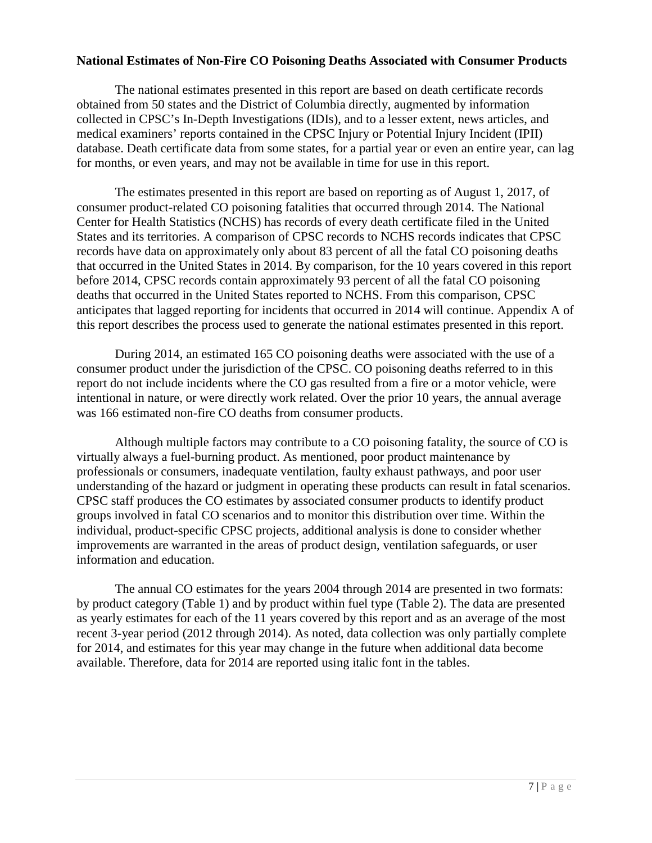## <span id="page-6-0"></span>**National Estimates of Non-Fire CO Poisoning Deaths Associated with Consumer Products**

The national estimates presented in this report are based on death certificate records obtained from 50 states and the District of Columbia directly, augmented by information collected in CPSC's In-Depth Investigations (IDIs), and to a lesser extent, news articles, and medical examiners' reports contained in the CPSC Injury or Potential Injury Incident (IPII) database. Death certificate data from some states, for a partial year or even an entire year, can lag for months, or even years, and may not be available in time for use in this report.

The estimates presented in this report are based on reporting as of August 1, 2017, of consumer product-related CO poisoning fatalities that occurred through 2014. The National Center for Health Statistics (NCHS) has records of every death certificate filed in the United States and its territories. A comparison of CPSC records to NCHS records indicates that CPSC records have data on approximately only about 83 percent of all the fatal CO poisoning deaths that occurred in the United States in 2014. By comparison, for the 10 years covered in this report before 2014, CPSC records contain approximately 93 percent of all the fatal CO poisoning deaths that occurred in the United States reported to NCHS. From this comparison, CPSC anticipates that lagged reporting for incidents that occurred in 2014 will continue. Appendix A of this report describes the process used to generate the national estimates presented in this report.

During 2014, an estimated 165 CO poisoning deaths were associated with the use of a consumer product under the jurisdiction of the CPSC. CO poisoning deaths referred to in this report do not include incidents where the CO gas resulted from a fire or a motor vehicle, were intentional in nature, or were directly work related. Over the prior 10 years, the annual average was 166 estimated non-fire CO deaths from consumer products.

Although multiple factors may contribute to a CO poisoning fatality, the source of CO is virtually always a fuel-burning product. As mentioned, poor product maintenance by professionals or consumers, inadequate ventilation, faulty exhaust pathways, and poor user understanding of the hazard or judgment in operating these products can result in fatal scenarios. CPSC staff produces the CO estimates by associated consumer products to identify product groups involved in fatal CO scenarios and to monitor this distribution over time. Within the individual, product-specific CPSC projects, additional analysis is done to consider whether improvements are warranted in the areas of product design, ventilation safeguards, or user information and education.

The annual CO estimates for the years 2004 through 2014 are presented in two formats: by product category (Table 1) and by product within fuel type (Table 2). The data are presented as yearly estimates for each of the 11 years covered by this report and as an average of the most recent 3-year period (2012 through 2014). As noted, data collection was only partially complete for 2014, and estimates for this year may change in the future when additional data become available. Therefore, data for 2014 are reported using italic font in the tables.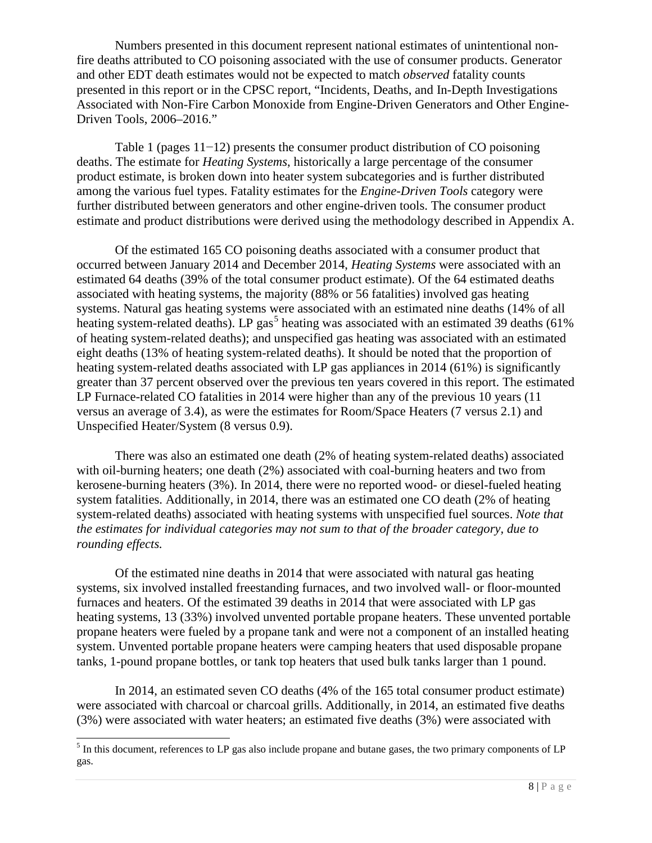Numbers presented in this document represent national estimates of unintentional nonfire deaths attributed to CO poisoning associated with the use of consumer products. Generator and other EDT death estimates would not be expected to match *observed* fatality counts presented in this report or in the CPSC report, "Incidents, Deaths, and In-Depth Investigations Associated with Non-Fire Carbon Monoxide from Engine-Driven Generators and Other Engine-Driven Tools, 2006–2016."

Table 1 (pages 11−12) presents the consumer product distribution of CO poisoning deaths. The estimate for *Heating Systems*, historically a large percentage of the consumer product estimate, is broken down into heater system subcategories and is further distributed among the various fuel types. Fatality estimates for the *Engine-Driven Tools* category were further distributed between generators and other engine-driven tools. The consumer product estimate and product distributions were derived using the methodology described in Appendix A.

Of the estimated 165 CO poisoning deaths associated with a consumer product that occurred between January 2014 and December 2014, *Heating Systems* were associated with an estimated 64 deaths (39% of the total consumer product estimate). Of the 64 estimated deaths associated with heating systems, the majority (88% or 56 fatalities) involved gas heating systems. Natural gas heating systems were associated with an estimated nine deaths (14% of all heating system-related deaths). LP gas<sup>[5](#page-7-0)</sup> heating was associated with an estimated 39 deaths (61%) of heating system-related deaths); and unspecified gas heating was associated with an estimated eight deaths (13% of heating system-related deaths). It should be noted that the proportion of heating system-related deaths associated with LP gas appliances in 2014 (61%) is significantly greater than 37 percent observed over the previous ten years covered in this report. The estimated LP Furnace-related CO fatalities in 2014 were higher than any of the previous 10 years (11 versus an average of 3.4), as were the estimates for Room/Space Heaters (7 versus 2.1) and Unspecified Heater/System (8 versus 0.9).

There was also an estimated one death (2% of heating system-related deaths) associated with oil-burning heaters; one death (2%) associated with coal-burning heaters and two from kerosene-burning heaters (3%). In 2014, there were no reported wood- or diesel-fueled heating system fatalities. Additionally, in 2014, there was an estimated one CO death (2% of heating system-related deaths) associated with heating systems with unspecified fuel sources. *Note that the estimates for individual categories may not sum to that of the broader category, due to rounding effects.*

Of the estimated nine deaths in 2014 that were associated with natural gas heating systems, six involved installed freestanding furnaces, and two involved wall- or floor-mounted furnaces and heaters. Of the estimated 39 deaths in 2014 that were associated with LP gas heating systems, 13 (33%) involved unvented portable propane heaters. These unvented portable propane heaters were fueled by a propane tank and were not a component of an installed heating system. Unvented portable propane heaters were camping heaters that used disposable propane tanks, 1-pound propane bottles, or tank top heaters that used bulk tanks larger than 1 pound.

In 2014, an estimated seven CO deaths (4% of the 165 total consumer product estimate) were associated with charcoal or charcoal grills. Additionally, in 2014, an estimated five deaths (3%) were associated with water heaters; an estimated five deaths (3%) were associated with

<span id="page-7-0"></span><sup>&</sup>lt;sup>5</sup> In this document, references to LP gas also include propane and butane gases, the two primary components of LP gas.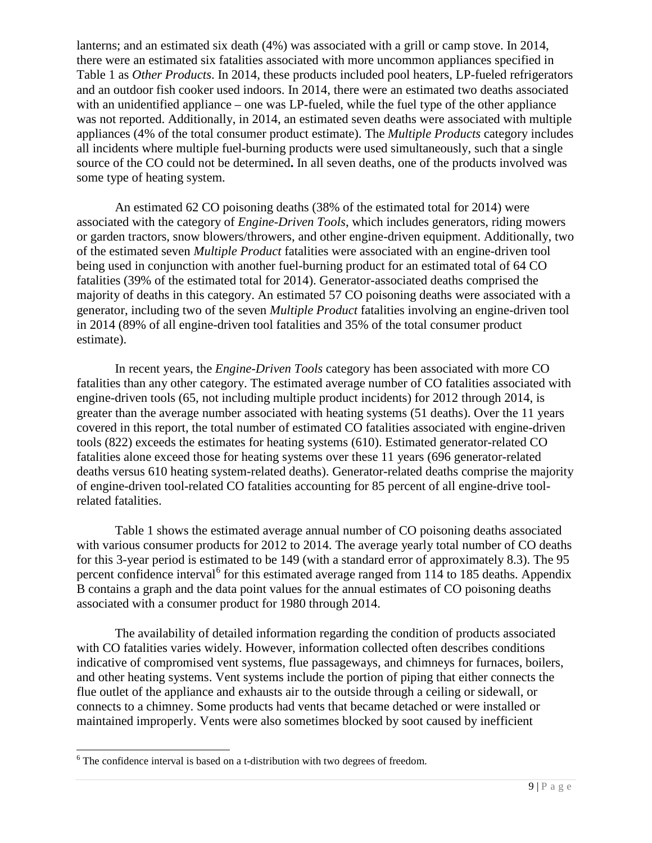lanterns; and an estimated six death (4%) was associated with a grill or camp stove. In 2014, there were an estimated six fatalities associated with more uncommon appliances specified in Table 1 as *Other Products*. In 2014, these products included pool heaters, LP-fueled refrigerators and an outdoor fish cooker used indoors. In 2014, there were an estimated two deaths associated with an unidentified appliance – one was LP-fueled, while the fuel type of the other appliance was not reported. Additionally, in 2014, an estimated seven deaths were associated with multiple appliances (4% of the total consumer product estimate). The *Multiple Products* category includes all incidents where multiple fuel-burning products were used simultaneously, such that a single source of the CO could not be determined**.** In all seven deaths, one of the products involved was some type of heating system.

An estimated 62 CO poisoning deaths (38% of the estimated total for 2014) were associated with the category of *Engine-Driven Tools*, which includes generators, riding mowers or garden tractors, snow blowers/throwers, and other engine-driven equipment. Additionally, two of the estimated seven *Multiple Product* fatalities were associated with an engine-driven tool being used in conjunction with another fuel-burning product for an estimated total of 64 CO fatalities (39% of the estimated total for 2014). Generator-associated deaths comprised the majority of deaths in this category. An estimated 57 CO poisoning deaths were associated with a generator, including two of the seven *Multiple Product* fatalities involving an engine-driven tool in 2014 (89% of all engine-driven tool fatalities and 35% of the total consumer product estimate).

In recent years, the *Engine-Driven Tools* category has been associated with more CO fatalities than any other category. The estimated average number of CO fatalities associated with engine-driven tools (65, not including multiple product incidents) for 2012 through 2014, is greater than the average number associated with heating systems (51 deaths). Over the 11 years covered in this report, the total number of estimated CO fatalities associated with engine-driven tools (822) exceeds the estimates for heating systems (610). Estimated generator-related CO fatalities alone exceed those for heating systems over these 11 years (696 generator-related deaths versus 610 heating system-related deaths). Generator-related deaths comprise the majority of engine-driven tool-related CO fatalities accounting for 85 percent of all engine-drive toolrelated fatalities.

Table 1 shows the estimated average annual number of CO poisoning deaths associated with various consumer products for 2012 to 2014. The average yearly total number of CO deaths for this 3-year period is estimated to be 149 (with a standard error of approximately 8.3). The 95 percent confidence interval<sup>[6](#page-8-0)</sup> for this estimated average ranged from 114 to 185 deaths. Appendix B contains a graph and the data point values for the annual estimates of CO poisoning deaths associated with a consumer product for 1980 through 2014.

The availability of detailed information regarding the condition of products associated with CO fatalities varies widely. However, information collected often describes conditions indicative of compromised vent systems, flue passageways, and chimneys for furnaces, boilers, and other heating systems. Vent systems include the portion of piping that either connects the flue outlet of the appliance and exhausts air to the outside through a ceiling or sidewall, or connects to a chimney. Some products had vents that became detached or were installed or maintained improperly. Vents were also sometimes blocked by soot caused by inefficient

<span id="page-8-0"></span> $6$  The confidence interval is based on a t-distribution with two degrees of freedom.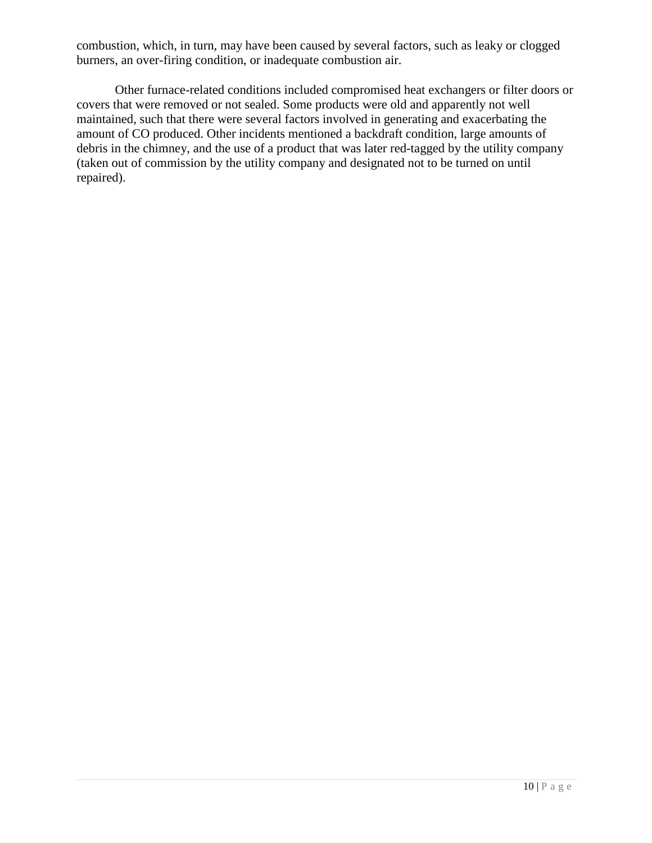combustion, which, in turn, may have been caused by several factors, such as leaky or clogged burners, an over-firing condition, or inadequate combustion air.

Other furnace-related conditions included compromised heat exchangers or filter doors or covers that were removed or not sealed. Some products were old and apparently not well maintained, such that there were several factors involved in generating and exacerbating the amount of CO produced. Other incidents mentioned a backdraft condition, large amounts of debris in the chimney, and the use of a product that was later red-tagged by the utility company (taken out of commission by the utility company and designated not to be turned on until repaired).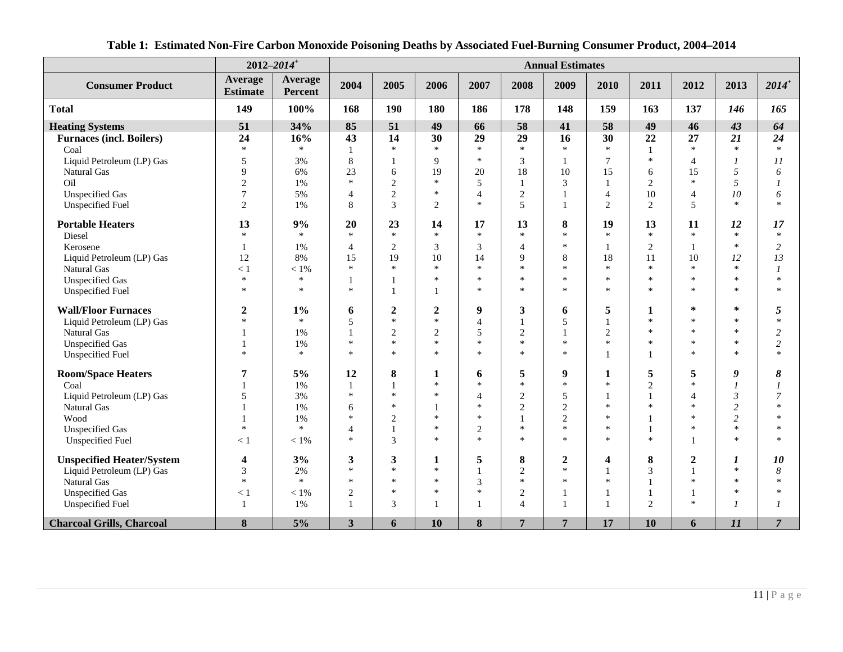<span id="page-10-0"></span>

|                                  | $2012 - 2014$ <sup>+</sup> |                           |                |                |                  |                |                | <b>Annual Estimates</b> |                |              |                  |                |                |
|----------------------------------|----------------------------|---------------------------|----------------|----------------|------------------|----------------|----------------|-------------------------|----------------|--------------|------------------|----------------|----------------|
| <b>Consumer Product</b>          | Average<br><b>Estimate</b> | <b>Average</b><br>Percent | 2004           | 2005           | 2006             | 2007           | 2008           | 2009                    | 2010           | 2011         | 2012             | 2013           | $2014^+$       |
| <b>Total</b>                     | 149                        | 100%                      | 168            | 190            | 180              | 186            | 178            | 148                     | 159            | 163          | 137              | 146            | 165            |
| <b>Heating Systems</b>           | 51                         | 34%                       | 85             | 51             | 49               | 66             | 58             | 41                      | 58             | 49           | 46               | 43             | 64             |
| <b>Furnaces (incl. Boilers)</b>  | 24                         | 16%                       | 43             | 14             | 30               | 29             | 29             | 16                      | 30             | 22           | 27               | 21             | 24             |
| Coal                             | $\ast$                     | $\ast$                    | 1              | $\ast$         | $\ast$           | $\ast$         | $\ast$         | $\ast$                  | $\ast$         | 1            | $\ast$           | $\ast$         | $\ast$         |
| Liquid Petroleum (LP) Gas        | 5                          | 3%                        | 8              | -1             | 9                | $\ast$         | 3              | 1                       | 7              | $\ast$       | 4                | $\overline{I}$ | II             |
| <b>Natural Gas</b>               | 9                          | 6%                        | 23             | 6              | 19               | 20             | 18             | 10                      | 15             | 6            | 15               | 5              | 6              |
| Oil                              | $\overline{c}$             | 1%                        | $\ast$         | $\overline{2}$ | $\ast$           | 5              | $\mathbf{1}$   | 3                       | $\mathbf{1}$   | $\mathbf{2}$ | $\ast$           | 5              | $\mathcal{I}$  |
| <b>Unspecified Gas</b>           | $\boldsymbol{7}$           | 5%                        | $\overline{4}$ | $\sqrt{2}$     | $\ast$           | $\overline{4}$ | $\sqrt{2}$     | $\mathbf{1}$            | $\overline{4}$ | 10           | 4                | 10             | 6              |
| <b>Unspecified Fuel</b>          | 2                          | 1%                        | 8              | 3              | 2                | $\ast$         | 5              |                         | $\overline{2}$ | $\mathbf{2}$ | 5                | $\ast$         | $\mathbf{x}$   |
| <b>Portable Heaters</b>          | 13                         | 9%                        | 20             | 23             | 14               | 17             | 13             | 8                       | 19             | 13           | 11               | 12             | 17             |
| Diesel                           | $\ast$                     | $\ast$                    | $\ast$         | $\ast$         | $\ast$           | $\ast$         | $\ast$         | $\ast$                  | $\ast$         | $\ast$       | $\ast$           | $\ast$         | $\ast$         |
| Kerosene                         | 1                          | 1%                        | $\overline{4}$ | $\overline{2}$ | 3                | 3              | $\overline{4}$ | $\ast$                  | $\mathbf{1}$   | $\sqrt{2}$   | $\mathbf{1}$     | $\ast$         | 2              |
| Liquid Petroleum (LP) Gas        | 12                         | 8%                        | 15             | 19             | 10               | 14             | 9              | 8                       | 18             | 11           | 10               | 12             | 13             |
| Natural Gas                      | < 1                        | $<1\%$                    | $\ast$         | $\ast$         | $\ast$           | $\ast$         | $\ast$         | $\ast$                  | $\ast$         | $\ast$       | $\ast$           | $\ast$         | $\mathcal{I}$  |
| <b>Unspecified Gas</b>           | $\ast$                     | $\ast$                    | 1              |                | $\ast$           | $\ast$         | $\ast$         | $\ast$                  | $\ast$         | $\ast$       | $\ast$           | $\ast$         | $\mathbf{R}$   |
| <b>Unspecified Fuel</b>          | $\ast$                     | $\ast$                    | $\ast$         | $\overline{1}$ | 1                | $\ast$         | $\ast$         | $\ast$                  | $\ast$         | $\ast$       | $\ast$           | $\mathbf{R}$   | $\ast$         |
| <b>Wall/Floor Furnaces</b>       | $\boldsymbol{2}$           | $1\%$                     | 6              | $\overline{2}$ | $\boldsymbol{2}$ | 9              | 3              | 6                       | 5              | 1            | $\ast$           | $\ast$         | 5              |
| Liquid Petroleum (LP) Gas        | $\ast$                     | $\ast$                    | 5              | $\ast$         | $\ast$           | $\overline{4}$ | $\mathbf{1}$   | 5                       | $\mathbf{1}$   | $\ast$       | $\ast$           | $\ast$         | $\star$        |
| Natural Gas                      | 1                          | 1%                        | 1              | $\overline{2}$ | $\overline{2}$   | 5              | $\mathbf{2}$   | $\mathbf{1}$            | $\sqrt{2}$     | $\ast$       | $\ast$           | $\ast$         | $\overline{2}$ |
| <b>Unspecified Gas</b>           | $\mathbf{1}$               | 1%                        | $\ast$         | $\ast$         | $\ast$           | $\ast$         | $\ast$         | $\ast$                  | $\ast$         | $\ast$       | $\ast$           | $\ast$         | $\overline{c}$ |
| <b>Unspecified Fuel</b>          | $\ast$                     | $\ast$                    | $\ast$         | $\ast$         | $\ast$           | $\ast$         | $\ast$         | $\ast$                  | $\mathbf{1}$   | 1            | $\ast$           | $\frac{1}{2}$  | $\mathbf{A}$   |
| <b>Room/Space Heaters</b>        | 7                          | 5%                        | 12             | 8              | 1                | 6              | 5              | $\boldsymbol{9}$        | 1              | 5            | 5                | 9              | 8              |
| Coal                             |                            | 1%                        | -1             | $\mathbf{1}$   | $\ast$           | $\ast$         | $\ast$         | $\ast$                  | $\ast$         | $\mathbf{2}$ | $\ast$           | $\overline{I}$ | $\mathcal I$   |
| Liquid Petroleum (LP) Gas        | 5                          | 3%                        | $\ast$         | $\ast$         | $\ast$           | $\overline{4}$ | $\overline{2}$ | 5                       | $\mathbf{1}$   | $\mathbf{1}$ | $\overline{4}$   | 3              | 7              |
| Natural Gas                      |                            | 1%                        | 6              | $\ast$         |                  | $\ast$         | $\sqrt{2}$     | $\sqrt{2}$              | $\ast$         | $\ast$       | $\ast$           | 2              | $\mathbf{x}$   |
| Wood                             |                            | 1%                        | $\ast$         | 2              | $\ast$           | $\ast$         | $\mathbf{1}$   | $\mathfrak{2}$          | $\ast$         |              | $\ast$           | $\overline{c}$ | 水              |
| <b>Unspecified Gas</b>           | $\ast$                     | $\ast$                    | $\overline{4}$ | $\mathbf{1}$   | $\ast$           | $\overline{2}$ | $\ast$         | $\ast$                  | $\ast$         |              | $\ast$           | $\ast$         | $\ast$         |
| <b>Unspecified Fuel</b>          | < 1                        | $<1\%$                    | $\ast$         | 3              | $\ast$           | $\ast$         | $\ast$         | $\ast$                  | $\ast$         | $\ast$       | $\mathbf{1}$     | $\frac{1}{2}$  | sk.            |
| <b>Unspecified Heater/System</b> | 4                          | 3%                        | 3              | 3              | 1                | 5              | 8              | $\boldsymbol{2}$        | 4              | 8            | $\boldsymbol{2}$ | 1              | 10             |
| Liquid Petroleum (LP) Gas        | 3                          | 2%                        | $\ast$         | $\ast$         | $\ast$           | $\mathbf{1}$   | $\overline{2}$ | $\ast$                  | $\mathbf{1}$   | 3            | $\mathbf{1}$     | $\ast$         | 8              |
| Natural Gas                      | $\ast$                     | $\ast$                    | *              | $\ast$         | $\ast$           | 3              | $\ast$         | $\ast$                  | $\ast$         |              | $\ast$           | $\ast$         | $\mathbf{R}$   |
| <b>Unspecified Gas</b>           | < 1                        | $< 1\%$                   | $\overline{2}$ | $\ast$         | $\ast$           | $\ast$         | $\overline{2}$ | -1                      | -1             | 1            | 1                | $\mathbf{k}$   | $\ast$         |
| <b>Unspecified Fuel</b>          | $\mathbf{1}$               | 1%                        | $\mathbf{1}$   | 3              |                  | $\mathbf{1}$   | $\overline{4}$ | $\mathbf{1}$            | $\mathbf{1}$   | $\mathbf{2}$ | $\ast$           | $\overline{I}$ |                |
| <b>Charcoal Grills, Charcoal</b> | 8                          | 5%                        | $\mathbf{3}$   | 6              | 10               | 8              | $\overline{7}$ | 7                       | 17             | 10           | 6                | 11             | $\overline{7}$ |

# **Table 1: Estimated Non-Fire Carbon Monoxide Poisoning Deaths by Associated Fuel-Burning Consumer Product, 2004–2014**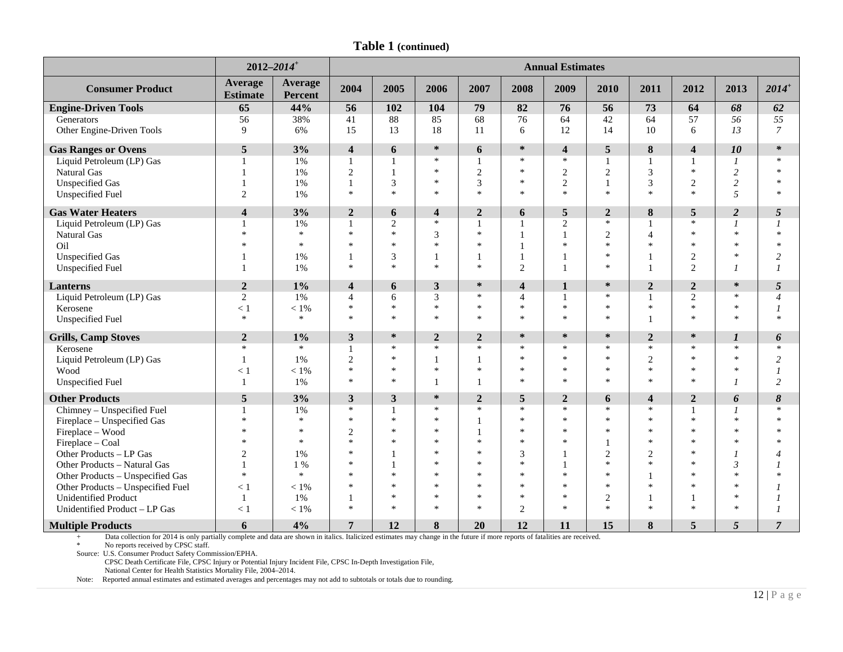|  | <b>Table 1 (continued)</b> |
|--|----------------------------|
|--|----------------------------|

|                                   | $2012 - 2014$ <sup>+</sup> |                    |                         |                |                |                |                         | <b>Annual Estimates</b> |                          |                |                         |                  |                |
|-----------------------------------|----------------------------|--------------------|-------------------------|----------------|----------------|----------------|-------------------------|-------------------------|--------------------------|----------------|-------------------------|------------------|----------------|
| <b>Consumer Product</b>           | Average<br><b>Estimate</b> | Average<br>Percent | 2004                    | 2005           | 2006           | 2007           | 2008                    | 2009                    | 2010                     | 2011           | 2012                    | 2013             | $2014^{+}$     |
| <b>Engine-Driven Tools</b>        | 65                         | 44%                | 56                      | 102            | 104            | 79             | 82                      | 76                      | 56                       | 73             | 64                      | 68               | 62             |
| Generators                        | 56                         | 38%                | 41                      | $88\,$         | 85             | 68             | 76                      | 64                      | 42                       | 64             | 57                      | 56               | 55             |
| Other Engine-Driven Tools         | 9                          | 6%                 | 15                      | 13             | 18             | 11             | 6                       | 12                      | 14                       | 10             | 6                       | 13               | $\overline{7}$ |
| <b>Gas Ranges or Ovens</b>        | 5                          | 3%                 | $\overline{\mathbf{4}}$ | 6              | $\ast$         | 6              | $\ast$                  | $\overline{\mathbf{4}}$ | 5                        | 8              | $\overline{\mathbf{4}}$ | 10               | ∗              |
| Liquid Petroleum (LP) Gas         |                            | 1%                 | $\mathbf{1}$            |                | $*$            |                | $\ast$                  | $\ast$                  |                          |                |                         | $\overline{I}$   | $\mathbf{x}$   |
| Natural Gas                       |                            | 1%                 | $\overline{2}$          | $\mathbf{1}$   | $\ast$         | $\overline{c}$ | $\ast$                  | $\overline{c}$          | 2                        | 3              | $\ast$                  | $\overline{c}$   | $\ast$         |
| <b>Unspecified Gas</b>            |                            | 1%                 | -1                      | 3              | $\ast$         | 3              | $\ast$                  | $\mathbf{2}$            | $\mathbf{1}$             | 3              | $\overline{2}$          | $\overline{c}$   | $\ast$         |
| <b>Unspecified Fuel</b>           | $\mathbf{2}$               | 1%                 | $\ast$                  | $\ast$         | $\ast$         | $\ast$         | $\ast$                  | $\ast$                  | $\ast$                   | $\ast$         | $\ast$                  | 5                | $\ast$         |
| <b>Gas Water Heaters</b>          | $\overline{\mathbf{4}}$    | 3%                 | $\overline{2}$          | 6              | 4              | $\overline{2}$ | 6                       | 5                       | $\overline{2}$           | 8              | 5                       | $\overline{2}$   | 5              |
| Liquid Petroleum (LP) Gas         |                            | 1%                 | $\mathbf{1}$            | $\overline{2}$ | $\ast$         | 1              | $\mathbf{1}$            | $\overline{2}$          | $\ast$                   |                | $\ast$                  | $\overline{I}$   | $\overline{I}$ |
| Natural Gas                       | $\ast$                     | $\ast$             | $\ast$                  | $\ast$         | 3              | $\ast$         | $\mathbf{1}$            | 1                       | $\overline{2}$           | $\overline{4}$ | $\ast$                  | $\mathbf{x}$     | $\ast$         |
| Oil                               | $\ast$                     | $\ast$             | $\ast$                  | $\ast$         | $\ast$         | $\ast$         | $\mathbf{1}$            | $\ast$                  | $\ast$                   | $\ast$         | $\ast$                  | $\mathbf{k}$     | $\ast$         |
| <b>Unspecified Gas</b>            |                            | 1%                 |                         | 3              | -1             | 1              | $\mathbf{1}$            |                         | $\ast$                   |                | $\overline{2}$          | $\ast$           | $\overline{c}$ |
| <b>Unspecified Fuel</b>           |                            | 1%                 | $\ast$                  | $\ast$         | $\ast$         | $\ast$         | $\overline{2}$          |                         | $\ast$                   |                | $\overline{2}$          | $\overline{I}$   | $\mathcal I$   |
| Lanterns                          | $\boldsymbol{2}$           | $1\%$              | $\overline{\mathbf{4}}$ | 6              | 3              | ∗              | $\overline{\mathbf{4}}$ | $\mathbf{1}$            | $\ast$                   | $\overline{2}$ | $\mathbf{2}$            | $\ast$           | 5              |
| Liquid Petroleum (LP) Gas         | 2                          | 1%                 | $\overline{4}$          | 6              | 3              | $\ast$         | $\overline{4}$          | $\mathbf{1}$            | $\ast$                   |                | $\mathbf{2}$            | $\ast$           | $\overline{4}$ |
| Kerosene                          | < 1                        | $< 1\%$            | $\ast$                  | $\ast$         | $\ast$         | $\ast$         | $\ast$                  | $\ast$                  | $\ast$                   | $\ast$         | $\ast$                  | $\ast$           | $\overline{I}$ |
| <b>Unspecified Fuel</b>           | $\ast$                     | $\ast$             | $\ast$                  | $\ast$         | $\ast$         | $\ast$         | $\ast$                  | $\ast$                  | $\ast$                   |                | $\ast$                  | $\ast$           | $\ast$         |
| <b>Grills, Camp Stoves</b>        | $\overline{2}$             | $1\%$              | $\mathbf{3}$            | $\ast$         | $\overline{2}$ | $\overline{2}$ | $\ast$                  | $\ast$                  | $\ast$                   | $\overline{2}$ | $\ast$                  | $\boldsymbol{l}$ | 6              |
| Kerosene                          | $\ast$                     | $\ast$             | 1                       | $\ast$         | $\ast$         | $\ast$         | $\ast$                  | *                       | $\ast$                   | $\ast$         | $\ast$                  | $\ast$           | $\ast$         |
| Liquid Petroleum (LP) Gas         | $\mathbf{1}$               | 1%                 | $\sqrt{2}$              | $\ast$         | 1              | 1              | $\ast$                  | $\ast$                  | $\ast$                   | $\overline{2}$ | $\ast$                  | $\ast$           | 2              |
| Wood                              | < 1                        | $< 1\%$            | $\ast$                  | $\ast$         | $\ast$         | $\ast$         | $\ast$                  | *                       | $\ast$                   | $\ast$         | $\ast$                  | $\star$          | $\mathfrak{1}$ |
| <b>Unspecified Fuel</b>           | $\mathbf{1}$               | 1%                 | $\ast$                  | $\ast$         | $\mathbf{1}$   | $\mathbf{1}$   | $\ast$                  | $\ast$                  | $\ast$                   | $\ast$         | $\ast$                  | $\overline{I}$   | $\overline{c}$ |
| <b>Other Products</b>             | 5                          | 3%                 | 3                       | 3              | $\ast$         | $\mathbf{2}$   | 5                       | $\boldsymbol{2}$        | 6                        | 4              | $\mathbf{2}$            | 6                | 8              |
| Chimney - Unspecified Fuel        |                            | 1%                 | $\ast$                  | -1             | $\ast$         | $\ast$         | $\ast$                  | $\ast$                  | $\ast$                   | $\ast$         | $\mathbf{1}$            | $\overline{I}$   | $\ast$         |
| Fireplace - Unspecified Gas       | $\ast$                     | $\ast$             | $\ast$                  | $\ast$         | $\ast$         |                | $\ast$                  | $\ast$                  | $\ast$                   | $\ast$         | $\ast$                  | $\mathbf{k}$     | $\ast$         |
| Fireplace - Wood                  | $\ast$                     | $\ast$             | $\overline{2}$          | $\ast$         | $\ast$         | $\mathbf{1}$   | $\ast$                  | $\ast$                  | $\ast$                   | $\ast$         | $\ast$                  | $\mathbf{k}$     | $\ast$         |
| Fireplace - Coal                  | $\ast$                     | $\ast$             | $\ast$                  | $\ast$         | $\ast$         | $\ast$         | $\ast$                  | $\ast$                  |                          | $\ast$         | $\ast$                  | $\star$          | $\ast$         |
| Other Products - LP Gas           | 2                          | 1%                 | 宋                       |                | $\ast$         | $\ast$         | 3                       |                         | $\overline{2}$           | $\overline{2}$ | $\ast$                  |                  | $\overline{4}$ |
| Other Products - Natural Gas      |                            | $1\%$              | ż                       |                | $\ast$         | $\ast$         | $\ast$                  |                         | $\ast$                   | $\ast$         | $\ast$                  | $\overline{3}$   |                |
| Other Products - Unspecified Gas  | $\ast$                     | $\ast$             | $\ast$                  | $\ast$         | $\ast$         | $\ast$         | $\ast$                  | $\ast$                  | $\ast$                   |                | $\ast$                  | $\star$          | $\ast$         |
| Other Products - Unspecified Fuel | < 1                        | $< 1\%$            | $\ast$                  | $\ast$         | $\ast$         | $\ast$         | $\ast$                  | $\ast$                  | $\ast$                   | $\ast$         | $\ast$                  | $\mathbf{k}$     |                |
| <b>Unidentified Product</b>       | -1                         | 1%                 |                         | $\ast$         | $\ast$         | $\ast$         | $\ast$                  | *                       | $\overline{2}$<br>$\ast$ |                |                         | $\star$          | 1              |
| Unidentified Product - LP Gas     | < 1                        | $< 1\%$            | $\ast$                  | $\ast$         | $\ast$         | $\ast$         | $\overline{2}$          | $\ast$                  |                          | $\ast$         | $\ast$                  | $\star$          | $\mathcal I$   |
| <b>Multiple Products</b>          | 6                          | 4%                 | 7                       | 12             | 8              | 20             | 12                      | 11                      | 15                       | 8              | 5                       | 5                | $\overline{7}$ |

+ Data collection for 2014 is only partially complete and data are shown in italics. Italicized estimates may change in the future if more reports of fatalities are received.

\* No reports received by CPSC staff.

Source: U.S. Consumer Product Safety Commission/EPHA.

CPSC Death Certificate File, CPSC Injury or Potential Injury Incident File, CPSC In-Depth Investigation File,

National Center for Health Statistics Mortality File, 2004–2014.

Note: Reported annual estimates and estimated averages and percentages may not add to subtotals or totals due to rounding.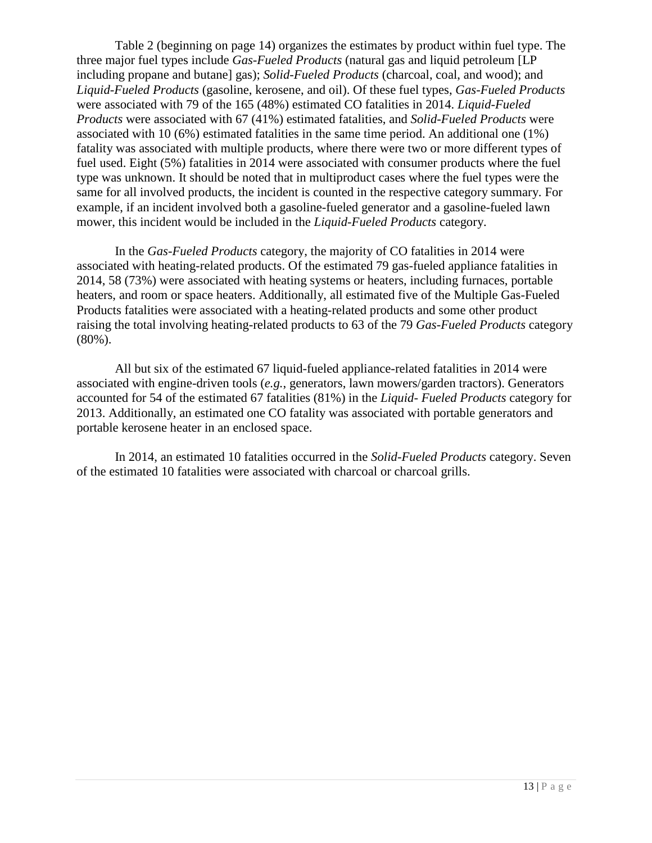Table 2 (beginning on page 14) organizes the estimates by product within fuel type. The three major fuel types include *Gas-Fueled Products* (natural gas and liquid petroleum [LP including propane and butane] gas); *Solid-Fueled Products* (charcoal, coal, and wood); and *Liquid-Fueled Products* (gasoline, kerosene, and oil). Of these fuel types, *Gas-Fueled Products* were associated with 79 of the 165 (48%) estimated CO fatalities in 2014. *Liquid-Fueled Products* were associated with 67 (41%) estimated fatalities, and *Solid-Fueled Products* were associated with 10 (6%) estimated fatalities in the same time period. An additional one (1%) fatality was associated with multiple products, where there were two or more different types of fuel used. Eight (5%) fatalities in 2014 were associated with consumer products where the fuel type was unknown. It should be noted that in multiproduct cases where the fuel types were the same for all involved products, the incident is counted in the respective category summary. For example, if an incident involved both a gasoline-fueled generator and a gasoline-fueled lawn mower, this incident would be included in the *Liquid-Fueled Products* category.

In the *Gas-Fueled Products* category, the majority of CO fatalities in 2014 were associated with heating-related products. Of the estimated 79 gas-fueled appliance fatalities in 2014, 58 (73%) were associated with heating systems or heaters, including furnaces, portable heaters, and room or space heaters. Additionally, all estimated five of the Multiple Gas-Fueled Products fatalities were associated with a heating-related products and some other product raising the total involving heating-related products to 63 of the 79 *Gas-Fueled Products* category (80%).

All but six of the estimated 67 liquid-fueled appliance-related fatalities in 2014 were associated with engine-driven tools (*e.g.*, generators, lawn mowers/garden tractors). Generators accounted for 54 of the estimated 67 fatalities (81%) in the *Liquid- Fueled Products* category for 2013. Additionally, an estimated one CO fatality was associated with portable generators and portable kerosene heater in an enclosed space.

In 2014, an estimated 10 fatalities occurred in the *Solid-Fueled Products* category. Seven of the estimated 10 fatalities were associated with charcoal or charcoal grills.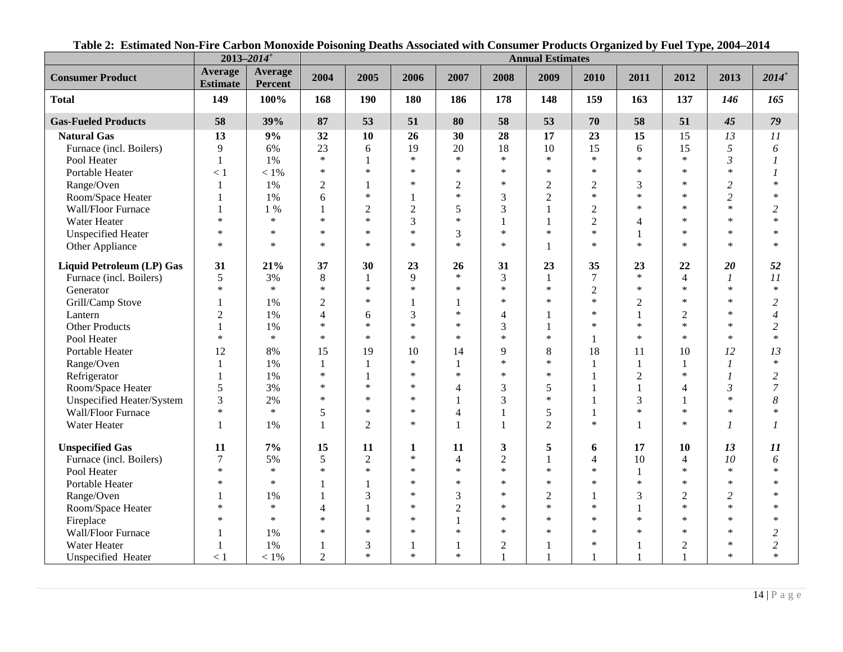<span id="page-13-0"></span>

|                            | $2013 - 2014$ <sup>+</sup> |                    |                |                |                |                |                | <b>Annual Estimates</b> |                  |                |                |                |                  |
|----------------------------|----------------------------|--------------------|----------------|----------------|----------------|----------------|----------------|-------------------------|------------------|----------------|----------------|----------------|------------------|
| <b>Consumer Product</b>    | Average<br><b>Estimate</b> | Average<br>Percent | 2004           | 2005           | 2006           | 2007           | 2008           | 2009                    | 2010             | 2011           | 2012           | 2013           | $2014^+$         |
| <b>Total</b>               | 149                        | 100%               | 168            | 190            | 180            | 186            | 178            | 148                     | 159              | 163            | 137            | 146            | 165              |
| <b>Gas-Fueled Products</b> | 58                         | 39%                | 87             | 53             | 51             | 80             | 58             | 53                      | 70               | 58             | 51             | 45             | 79               |
| <b>Natural Gas</b>         | 13                         | 9%                 | 32             | 10             | 26             | 30             | 28             | 17                      | 23               | 15             | 15             | 13             | 11               |
| Furnace (incl. Boilers)    | 9                          | 6%                 | 23             | 6              | 19             | 20             | 18             | 10                      | 15               | 6              | 15             | 5              | $\boldsymbol{6}$ |
| Pool Heater                | $\mathbf{1}$               | 1%                 | $\ast$         | 1              | $\ast$         | $\ast$         | $\ast$         | $\ast$                  | $\ast$           | $\ast$         | $\ast$         | $\mathfrak{Z}$ | 1                |
| Portable Heater            | < 1                        | $<1\%$             | $\ast$         | $\ast$         | $\ast$         | $\ast$         | $\ast$         | *                       | *                | $\ast$         | $\ast$         | $\ast$         | 1                |
| Range/Oven                 | $\mathbf{1}$               | 1%                 | $\overline{2}$ | 1              | $\ast$         | $\overline{2}$ | $\ast$         | $\overline{2}$          | $\overline{2}$   | 3              | $\ast$         | 2              | $\ast$           |
| Room/Space Heater          | $\mathbf{1}$               | 1%                 | 6              | $\ast$         | 1              | $\ast$         | 3              | $\overline{2}$          | $\ast$           | $\ast$         | $\ast$         | $\overline{c}$ | $\ast$           |
| Wall/Floor Furnace         | 1                          | $1\%$              | $\mathbf{1}$   | $\overline{2}$ | $\overline{2}$ | 5              | 3              | 1                       | $\overline{2}$   | $\ast$         | $\ast$         | $\ast$         | $\overline{c}$   |
| Water Heater               | $\ast$                     | $\ast$             | $\ast$         | $\ast$         | 3              | $\ast$         | 1              | 1                       | $\overline{2}$   | $\overline{4}$ | $\ast$         | $\ast$         | $\ast$           |
| <b>Unspecified Heater</b>  | $\ast$                     | $\ast$             | $\ast$         | $\ast$         | $\ast$         | 3              | $\ast$         | $\ast$                  | $\ast$           | 1              | $\ast$         | $\ast$         | $\ast$           |
| Other Appliance            | $\ast$                     | $\ast$             | $\ast$         | $\ast$         | $\ast$         | $\ast$         | $\ast$         | 1                       | $\ast$           | $\ast$         | $\ast$         | $\ast$         | $\ast$           |
| Liquid Petroleum (LP) Gas  | 31                         | 21%                | 37             | 30             | 23             | 26             | 31             | 23                      | 35               | 23             | 22             | 20             | 52               |
| Furnace (incl. Boilers)    | 5                          | 3%                 | $\,8\,$        | 1              | 9              | $\ast$         | 3              | $\mathbf{1}$            | $\boldsymbol{7}$ | $\ast$         | $\overline{4}$ | $\overline{1}$ | 11               |
| Generator                  | $\ast$                     | $\ast$             | $\ast$         | $\ast$         | $\ast$         | $\ast$         | $\ast$         | $\ast$                  | $\overline{2}$   | $\ast$         | $\ast$         | $\ast$         | $\ast$           |
| Grill/Camp Stove           | $\mathbf{1}$               | 1%                 | $\overline{2}$ | $\ast$         | 1              | 1              | $\ast$         | $\ast$                  | $\ast$           | $\mathfrak{2}$ | $\ast$         | $\ast$         | $\overline{c}$   |
| Lantern                    | $\overline{2}$             | 1%                 | $\overline{4}$ | 6              | 3              | $\ast$         | 4              |                         | $\ast$           | $\mathbf{1}$   | $\overline{2}$ | $\ast$         | $\overline{4}$   |
| <b>Other Products</b>      |                            | 1%                 | $\ast$         | $\ast$         | $\ast$         | $\ast$         | 3              |                         | $\ast$           | $\ast$         | $\ast$         | $\ast$         | $\overline{c}$   |
| Pool Heater                | $\ast$                     | $\ast$             | $\ast$         | $\ast$         | $\ast$         | $\ast$         | $\ast$         | $\ast$                  | $\mathbf{1}$     | $\ast$         | $\ast$         | $\ast$         | $\ast$           |
| Portable Heater            | 12                         | 8%                 | 15             | 19             | 10             | 14             | 9              | 8                       | 18               | 11             | 10             | 12             | 13               |
| Range/Oven                 | $\mathbf{1}$               | 1%                 | $\mathbf{1}$   | $\mathbf{1}$   | $\ast$         | $\mathbf{1}$   | $\ast$         | $\ast$                  | $\mathbf{1}$     | $\mathbf{1}$   | $\mathbf{1}$   |                | $\ast$           |
| Refrigerator               | $\mathbf{1}$               | 1%                 | $\ast$         | 1              | $\ast$         | $\ast$         | $\ast$         | $\ast$                  | $\mathbf{1}$     | $\overline{2}$ | $\ast$         |                | $\overline{c}$   |
| Room/Space Heater          | 5                          | 3%                 | $\ast$         | $\ast$         | $\ast$         | 4              | 3              | 5                       | $\mathbf{1}$     | $\mathbf{1}$   | $\overline{4}$ | $\mathfrak{Z}$ | $\overline{7}$   |
| Unspecified Heater/System  | 3                          | 2%                 | $\ast$         | $\ast$         | $\ast$         | $\mathbf{1}$   | 3              | $\ast$                  | $\mathbf{1}$     | 3              | $\mathbf{1}$   | $\ast$         | 8                |
| Wall/Floor Furnace         | $\ast$                     | $\ast$             | $\mathfrak s$  | $\ast$         | $\ast$         | $\overline{4}$ | 1              | 5                       | 1                | $\ast$         | $\ast$         | $\ast$         | $\ast$           |
| Water Heater               | $\mathbf{1}$               | 1%                 | $\mathbf{1}$   | $\overline{2}$ | $\ast$         | $\mathbf{1}$   | $\mathbf{1}$   | $\overline{2}$          | $\ast$           | 1              | $\ast$         |                | $\mathcal{I}$    |
| <b>Unspecified Gas</b>     | 11                         | 7%                 | 15             | 11             | $\mathbf{1}$   | 11             | 3              | 5                       | 6                | 17             | <b>10</b>      | 13             | 11               |
| Furnace (incl. Boilers)    | $\overline{7}$             | 5%                 | 5              | $\overline{2}$ | $\ast$         | $\overline{4}$ | $\overline{2}$ | 1                       | 4                | 10             | $\overline{4}$ | 10             | 6                |
| Pool Heater                | $\ast$                     | $\ast$             | $\ast$         | $\ast$         | $\ast$         | $\ast$         | $\ast$         | $\ast$                  | $\ast$           | $\mathbf{1}$   | $\ast$         | $\ast$         | $\ast$           |
| Portable Heater            | $\ast$                     | $\ast$             | $\mathbf{1}$   | 1              | $\ast$         | $\ast$         | $\ast$         | $\ast$                  | $\ast$           | $\ast$         | $\ast$         | $\ast$         | $\ast$           |
| Range/Oven                 | $\mathbf{1}$               | 1%                 | $\mathbf{1}$   | 3              | $\ast$         | 3              | $\ast$         | $\overline{2}$          | 1                | 3              | $\overline{2}$ | 2              | $\ast$           |
| Room/Space Heater          | $\ast$                     | $\ast$             | $\overline{4}$ | 1              | $\ast$         | $\overline{2}$ | $\ast$         | $\ast$                  | $\ast$           |                | $\ast$         | $\ast$         | $\ast$           |
| Fireplace                  | $\ast$                     | $\ast$             | $\ast$         | $\ast$         | $\ast$         | $\mathbf{1}$   | $\ast$         | $\ast$                  | $\ast$           | $\ast$         | $\ast$         | $\ast$         | $\ast$           |
| Wall/Floor Furnace         | 1                          | 1%                 | $\ast$         | $\ast$         | $\ast$         | $\ast$         | $\ast$         | $\ast$                  | $\ast$           | $\ast$         | $\ast$         | $\ast$         | $\overline{c}$   |
| Water Heater               | $\mathbf{1}$               | 1%                 | 1              | 3              | 1              | 1              | $\overline{c}$ |                         | $\ast$           | 1              | $\overline{2}$ | $\ast$         | $\overline{c}$   |
| Unspecified Heater         | < 1                        | $< 1\%$            | $\overline{2}$ | $\ast$         | $\ast$         | $\ast$         |                | 1                       |                  | 1              | $\mathbf{1}$   | $\ast$         | $\ast$           |

**Table 2: Estimated Non-Fire Carbon Monoxide Poisoning Deaths Associated with Consumer Products Organized by Fuel Type, 2004–2014**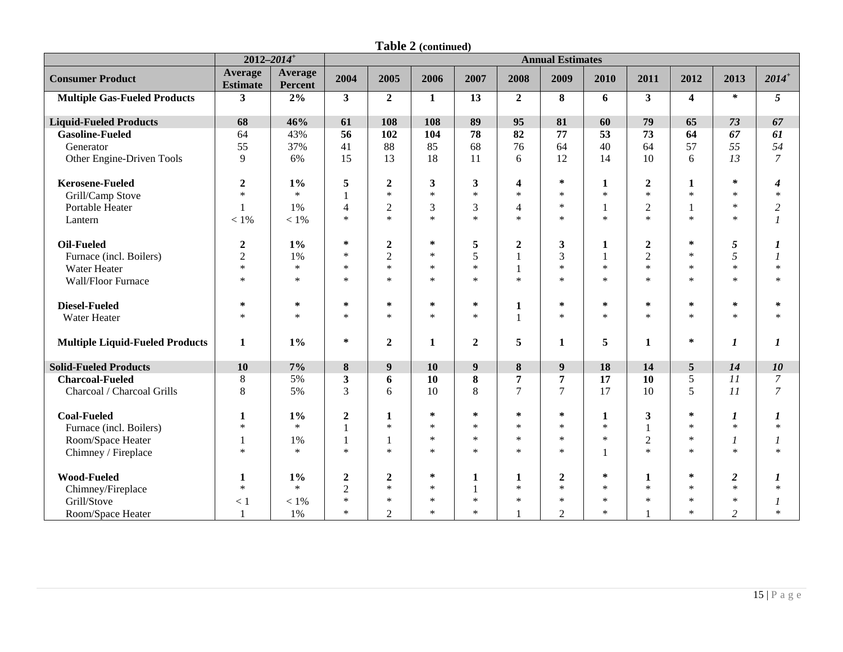|                                        |                                   | $2012 - 2014$ <sup>+</sup> | <b>Annual Estimates</b><br>2004<br>2009<br>$2014^+$<br>2005<br>2006<br>2007<br>2008<br>2010<br>2011<br>2012<br>2013 |                  |              |                  |                         |                  |              |                  |                         |                  |                  |
|----------------------------------------|-----------------------------------|----------------------------|---------------------------------------------------------------------------------------------------------------------|------------------|--------------|------------------|-------------------------|------------------|--------------|------------------|-------------------------|------------------|------------------|
| <b>Consumer Product</b>                | <b>Average</b><br><b>Estimate</b> | Average<br>Percent         |                                                                                                                     |                  |              |                  |                         |                  |              |                  |                         |                  |                  |
| <b>Multiple Gas-Fueled Products</b>    | 3                                 | 2%                         | 3                                                                                                                   | $\overline{2}$   | $\mathbf{1}$ | 13               | $\overline{2}$          | 8                | 6            | 3                | $\overline{\mathbf{4}}$ | $\ast$           | 5                |
| <b>Liquid-Fueled Products</b>          | 68                                | 46%                        | 61                                                                                                                  | 108              | 108          | 89               | 95                      | 81               | 60           | 79               | 65                      | 73               | 67               |
| <b>Gasoline-Fueled</b>                 | 64                                | 43%                        | 56                                                                                                                  | 102              | 104          | 78               | 82                      | 77               | 53           | 73               | 64                      | 67               | 61               |
| Generator                              | 55                                | 37%                        | 41                                                                                                                  | 88               | 85           | 68               | 76                      | 64               | 40           | 64               | 57                      | 55               | 54               |
| Other Engine-Driven Tools              | 9                                 | 6%                         | 15                                                                                                                  | 13               | 18           | 11               | 6                       | 12               | 14           | 10               | 6                       | 13               | $\overline{7}$   |
| <b>Kerosene-Fueled</b>                 | $\overline{2}$                    | $1\%$                      | 5                                                                                                                   | $\boldsymbol{2}$ | $\mathbf{3}$ | 3                | $\overline{\mathbf{4}}$ | $\ast$           | 1            | $\overline{2}$   | 1                       | $\ast$           | 4                |
| Grill/Camp Stove                       | $\ast$                            | $\ast$                     |                                                                                                                     | $\ast$           | $\ast$       | $\ast$           | $\ast$                  | $\ast$           | $*$          | $\ast$           | $\ast$                  | $\ast$           | $\ast$           |
| Portable Heater                        | $\mathbf{1}$                      | 1%                         | $\overline{4}$                                                                                                      | $\mathfrak{2}$   | 3            | 3                | $\overline{4}$          | $\ast$           | $\mathbf{1}$ | $\overline{2}$   |                         | $\ast$           | $\overline{c}$   |
| Lantern                                | $<1\%$                            | $<1\%$                     | $\ast$                                                                                                              | $\ast$           | $\ast$       | $\ast$           | $\ast$                  | $\ast$           | $\ast$       | $\ast$           | $\ast$                  | $\ast$           | $\boldsymbol{l}$ |
| Oil-Fueled                             | $\boldsymbol{2}$                  | $1\%$                      | $\ast$                                                                                                              | $\boldsymbol{2}$ | $\ast$       | 5                | $\boldsymbol{2}$        | $\mathbf{3}$     | $\mathbf{1}$ | $\boldsymbol{2}$ | $\ast$                  | 5                | $\boldsymbol{l}$ |
| Furnace (incl. Boilers)                | $\sqrt{2}$                        | 1%                         | $\ast$                                                                                                              | $\overline{2}$   | $\ast$       | 5                |                         | 3                | 1            | $\overline{2}$   | $\ast$                  | 5                | 1                |
| Water Heater                           | $\ast$                            | $\ast$                     | $\ast$                                                                                                              | $\ast$           | $\ast$       | $\ast$           | 1                       | $\ast$           | $*$          | $\ast$           | $\ast$                  | $\ast$           | $\ast$           |
| Wall/Floor Furnace                     | $\ast$                            | $\ast$                     | $\ast$                                                                                                              | $\ast$           | $\ast$       | $\ast$           | $\ast$                  | $\ast$           | $\ast$       | $\ast$           | $\ast$                  | $\ast$           | $\ast$           |
| <b>Diesel-Fueled</b>                   | $\ast$                            | $\ast$                     | ∗                                                                                                                   | $\ast$           | $\ast$       | ∗                | $\mathbf{1}$            | $\ast$           | $\approx$    | $\ast$           | $\ast$                  | $\ast$           | $\ast$           |
| Water Heater                           | $\ast$                            | $\ast$                     | $\ast$                                                                                                              | $\ast$           | $\ast$       | $\ast$           |                         | $\ast$           | $\ast$       | $\ast$           | $\ast$                  | $\ast$           | $\ast$           |
| <b>Multiple Liquid-Fueled Products</b> | 1                                 | 1%                         | $\ast$                                                                                                              | $\boldsymbol{2}$ | 1            | $\boldsymbol{2}$ | 5                       | 1                | 5            | 1                | $\ast$                  | 1                | 1                |
| <b>Solid-Fueled Products</b>           | <b>10</b>                         | 7%                         | 8                                                                                                                   | 9                | 10           | 9                | 8                       | 9                | 18           | 14               | 5                       | 14               | 10               |
| <b>Charcoal-Fueled</b>                 | $\,8\,$                           | 5%                         | 3                                                                                                                   | 6                | 10           | $\bf{8}$         | 7                       | $\overline{7}$   | 17           | 10               | 5                       | 11               | 7                |
| Charcoal / Charcoal Grills             | 8                                 | 5%                         | $\overline{3}$                                                                                                      | 6                | 10           | 8                | $\tau$                  | $\overline{7}$   | 17           | 10               | 5                       | 11               | $\overline{7}$   |
| <b>Coal-Fueled</b>                     | $\mathbf{1}$                      | $1\%$                      | $\boldsymbol{2}$                                                                                                    | $\mathbf{1}$     | $\ast$       | $\ast$           | $\ast$                  | $\ast$           | $\mathbf{1}$ | $\mathbf{3}$     | $\ast$                  | $\boldsymbol{l}$ | $\boldsymbol{l}$ |
| Furnace (incl. Boilers)                | $\ast$                            | $\ast$                     |                                                                                                                     | $\ast$           | $\ast$       | $\ast$           | $\ast$                  | $\ast$           | $\ast$       | $\mathbf{1}$     | $\ast$                  | $\ast$           | $\ast$           |
| Room/Space Heater                      | $\mathbf{1}$                      | 1%                         |                                                                                                                     | $\mathbf{1}$     | $\ast$       | $\ast$           | $\ast$                  | $\ast$           | $*$          | $\overline{2}$   | $\ast$                  | 1                | $\mathcal I$     |
| Chimney / Fireplace                    | $\ast$                            | $\ast$                     | $\ast$                                                                                                              | $\ast$           | $\ast$       | $\ast$           | $\ast$                  | $\ast$           |              | $\ast$           | $\ast$                  | $\ast$           | $\ast$           |
| <b>Wood-Fueled</b>                     | $\mathbf{1}$                      | $1\%$                      | $\boldsymbol{2}$                                                                                                    | $\boldsymbol{2}$ | $\ast$       | 1                | 1                       | $\boldsymbol{2}$ | ∗            | $\mathbf{1}$     | $\ast$                  | $\boldsymbol{2}$ | 1                |
| Chimney/Fireplace                      | $\ast$                            | $\ast$                     | $\sqrt{2}$                                                                                                          | $\ast$           | $\ast$       | $\mathbf{1}$     | $\ast$                  | $\ast$           | $\ast$       | $\ast$           | $\ast$                  | $\ast$           | $\ast$           |
| Grill/Stove                            | < 1                               | $<1\%$                     | $\ast$                                                                                                              | $\ast$           | $\ast$       | $\ast$           | $\ast$                  | $\ast$           | $\ast$       | $\ast$           | $\ast$                  | $\ast$           | 1                |
| Room/Space Heater                      | $\mathbf{1}$                      | 1%                         | $\ast$                                                                                                              | $\overline{2}$   | $\ast$       | $\ast$           |                         | $\overline{2}$   | $\ast$       |                  | $\ast$                  | $\overline{c}$   | $\ast$           |

**Table 2 (continued)**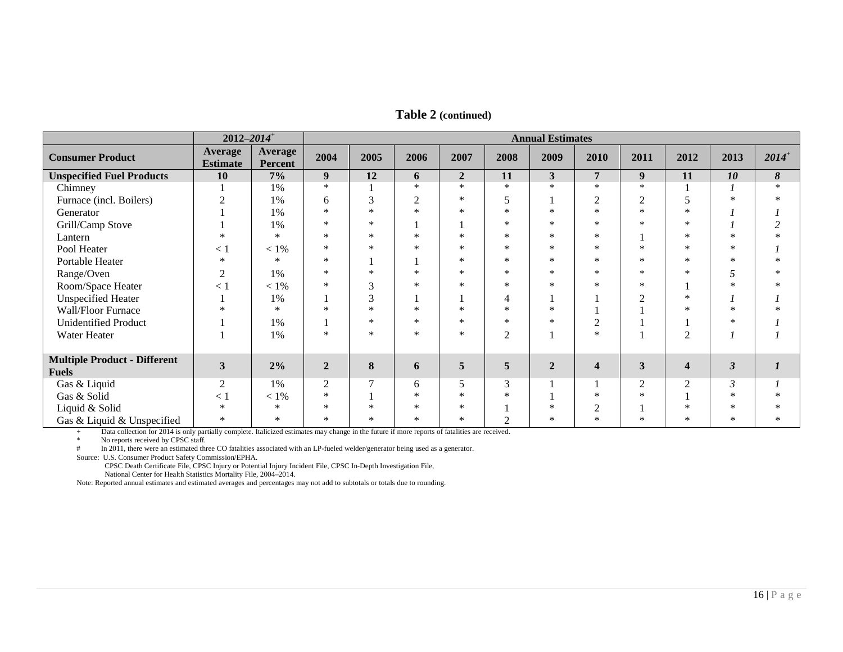|                                     | $2012 - 2014$ <sup>+</sup> |                           | <b>Annual Estimates</b><br>2004<br>2007<br>2012<br>2013<br>2005<br>2006<br>2008<br>2009<br>2010<br>2011<br>$\mathbf{3}$<br>12<br>$\overline{7}$<br>9<br>11<br>10<br>$\pmb{8}$<br>9<br>$\overline{2}$<br>11<br>6<br>$\ast$<br>$\ast$<br>$\ast$<br>$\ast$<br>*<br>$\ast$<br>$\ast$<br>$\ast$<br>$\ast$<br>3<br>$\overline{c}$<br>$\overline{2}$<br>$\overline{2}$<br>5<br>$\ast$<br>6<br>$\ast$ |        |        |        |                |                |                         |                |                         |                |          |
|-------------------------------------|----------------------------|---------------------------|-----------------------------------------------------------------------------------------------------------------------------------------------------------------------------------------------------------------------------------------------------------------------------------------------------------------------------------------------------------------------------------------------|--------|--------|--------|----------------|----------------|-------------------------|----------------|-------------------------|----------------|----------|
| <b>Consumer Product</b>             | Average<br><b>Estimate</b> | Average<br><b>Percent</b> |                                                                                                                                                                                                                                                                                                                                                                                               |        |        |        |                |                |                         |                |                         |                | $2014^+$ |
| <b>Unspecified Fuel Products</b>    | 10                         | $7\%$                     |                                                                                                                                                                                                                                                                                                                                                                                               |        |        |        |                |                |                         |                |                         |                |          |
| Chimney                             |                            | 1%                        |                                                                                                                                                                                                                                                                                                                                                                                               |        |        |        |                |                |                         |                |                         |                |          |
| Furnace (incl. Boilers)             | ◠                          | 1%                        |                                                                                                                                                                                                                                                                                                                                                                                               |        |        |        |                |                |                         |                |                         |                |          |
| Generator                           |                            | 1%                        | $\ast$                                                                                                                                                                                                                                                                                                                                                                                        | $\ast$ | $\ast$ | $\ast$ | $\ast$         | $\ast$         | $\ast$                  | $\ast$         | $\ast$                  |                |          |
| Grill/Camp Stove                    |                            | 1%                        | *                                                                                                                                                                                                                                                                                                                                                                                             | $\ast$ |        |        | $\ast$         | $\ast$         | $\ast$                  | $\ast$         | $\ast$                  |                | ↑        |
| Lantern                             | $\ast$                     | $\ast$                    | $\ast$                                                                                                                                                                                                                                                                                                                                                                                        | $\ast$ | $\ast$ | $\ast$ | $\ast$         | $\ast$         | $\ast$                  |                | $\ast$                  | $\ast$         |          |
| Pool Heater                         | $\lt 1$                    | $<1\%$                    | $\ast$                                                                                                                                                                                                                                                                                                                                                                                        | $\ast$ | $\ast$ | $\ast$ | $\ast$         | $\ast$         | $\ast$                  | $\ast$         | $\ast$                  | $\ast$         |          |
| Portable Heater                     | $\ast$                     | $\ast$                    | *                                                                                                                                                                                                                                                                                                                                                                                             |        |        | $\ast$ | $\ast$         | $\ast$         | $\ast$                  | $\ast$         | $\ast$                  | $\ast$         |          |
| Range/Oven                          | 2                          | 1%                        | *                                                                                                                                                                                                                                                                                                                                                                                             | $\ast$ | $\ast$ | $\ast$ | $\ast$         | $\ast$         | $\ast$                  | $\ast$         | $\ast$                  | 5              |          |
| Room/Space Heater                   | $\lt 1$                    | $<1\%$                    | *                                                                                                                                                                                                                                                                                                                                                                                             | 3      | *      | $\ast$ | $\ast$         | $\ast$         | $\ast$                  | $\ast$         |                         | $\ast$         |          |
| <b>Unspecified Heater</b>           |                            | 1%                        |                                                                                                                                                                                                                                                                                                                                                                                               | 3      |        |        | 4              |                |                         | $\mathfrak{D}$ | $\ast$                  |                |          |
| Wall/Floor Furnace                  | $\ast$                     | $\ast$                    | $\ast$                                                                                                                                                                                                                                                                                                                                                                                        | *      | $\ast$ | $\ast$ | $\ast$         | $\ast$         |                         |                | $\ast$                  | $\ast$         |          |
| <b>Unidentified Product</b>         |                            | 1%                        |                                                                                                                                                                                                                                                                                                                                                                                               | $\ast$ | $\ast$ | $\ast$ | $\ast$         | $\ast$         | $\overline{c}$          |                |                         | $\ast$         |          |
| Water Heater                        |                            | 1%                        | *                                                                                                                                                                                                                                                                                                                                                                                             | $\ast$ | *      | $\ast$ | $\overline{2}$ | H              | $\ast$                  |                | $\overline{c}$          |                |          |
|                                     |                            |                           |                                                                                                                                                                                                                                                                                                                                                                                               |        |        |        |                |                |                         |                |                         |                |          |
| <b>Multiple Product - Different</b> | $\mathbf{3}$               | 2%                        | $\overline{2}$                                                                                                                                                                                                                                                                                                                                                                                | 8      |        | 5      | 5              | $\overline{2}$ | $\overline{\mathbf{4}}$ | 3              | $\overline{\mathbf{4}}$ |                |          |
| <b>Fuels</b>                        |                            |                           |                                                                                                                                                                                                                                                                                                                                                                                               |        | 6      |        |                |                |                         |                |                         | 3              |          |
| Gas & Liquid                        | $\mathfrak{2}$             | 1%                        | $\overline{c}$                                                                                                                                                                                                                                                                                                                                                                                | $\tau$ | 6      | 5      | 3              |                |                         | $\mathfrak{2}$ | $\overline{2}$          | $\mathfrak{Z}$ |          |
| Gas & Solid                         | $\lt 1$                    | $< 1\%$                   | *                                                                                                                                                                                                                                                                                                                                                                                             |        | $\ast$ | $\ast$ | $\ast$         |                | $\ast$                  | $\ast$         |                         | $\ast$         |          |
| Liquid & Solid                      | $\ast$                     | $\ast$                    | $\ast$                                                                                                                                                                                                                                                                                                                                                                                        | *      | $\ast$ | $\ast$ |                | $\ast$         | $\overline{2}$          |                | $\ast$                  | $\ast$         |          |
| Gas & Liquid & Unspecified          | $\ast$                     | $\ast$                    | $\ast$                                                                                                                                                                                                                                                                                                                                                                                        | $\ast$ | $\ast$ | *      | ◠              | *              | $\ast$                  | $\ast$         | $\ast$                  | $\ast$         |          |

**Table 2 (continued)**

+ Data collection for 2014 is only partially complete. Italicized estimates may change in the future if more reports of fatalities are received.<br>No reports received by CPSC steff.

\* No reports received by CPSC staff.<br>
# In 2011, there were an estimated three

In 2011, there were an estimated three CO fatalities associated with an LP-fueled welder/generator being used as a generator.

Source: U.S. Consumer Product Safety Commission/EPHA.

 CPSC Death Certificate File, CPSC Injury or Potential Injury Incident File, CPSC In-Depth Investigation File, National Center for Health Statistics Mortality File, 2004–2014.

Note: Reported annual estimates and estimated averages and percentages may not add to subtotals or totals due to rounding.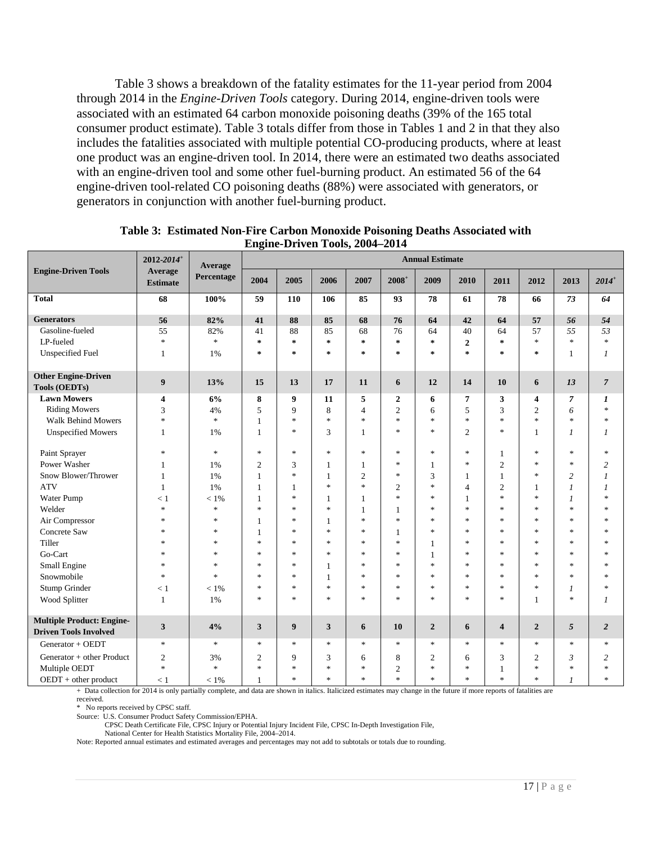Table 3 shows a breakdown of the fatality estimates for the 11-year period from 2004 through 2014 in the *Engine-Driven Tools* category. During 2014, engine-driven tools were associated with an estimated 64 carbon monoxide poisoning deaths (39% of the 165 total consumer product estimate). Table 3 totals differ from those in Tables 1 and 2 in that they also includes the fatalities associated with multiple potential CO-producing products, where at least one product was an engine-driven tool. In 2014, there were an estimated two deaths associated with an engine-driven tool and some other fuel-burning product. An estimated 56 of the 64 engine-driven tool-related CO poisoning deaths (88%) were associated with generators, or generators in conjunction with another fuel-burning product.

|                                                                  | 2012-2014 <sup>+</sup><br>Average | Average                           |                |                  |                                   |                                   |                                   | <b>Annual Estimate</b> |                |                         |                                   |                                   |                                   |
|------------------------------------------------------------------|-----------------------------------|-----------------------------------|----------------|------------------|-----------------------------------|-----------------------------------|-----------------------------------|------------------------|----------------|-------------------------|-----------------------------------|-----------------------------------|-----------------------------------|
| <b>Engine-Driven Tools</b>                                       | <b>Estimate</b>                   | Percentage                        | 2004           | 2005             | 2006                              | 2007                              | $2008^+$                          | 2009                   | 2010           | 2011                    | 2012                              | 2013                              | $2014^{+}$                        |
| <b>Total</b>                                                     | 68                                | 100%                              | 59             | 110              | 106                               | 85                                | 93                                | 78                     | 61             | 78                      | 66                                | 73                                | 64                                |
| <b>Generators</b>                                                | 56                                | 82%                               | 41             | 88               | 85                                | 68                                | 76                                | 64                     | 42             | 64                      | 57                                | 56                                | 54                                |
| Gasoline-fueled                                                  | 55                                | 82%                               | 41             | 88               | 85                                | 68                                | 76                                | 64                     | 40             | 64                      | 57                                | 55                                | 53                                |
| LP-fueled                                                        | $\ast$                            | $\ast$                            | $\ast$         | $\ast$           | $\ast$                            | $\ast$                            | $\star$                           | $\ast$                 | $\mathbf{2}$   | $\ast$                  | $\ast$                            | $\ast$                            | $\ast$                            |
| <b>Unspecified Fuel</b>                                          | $\mathbf{1}$                      | 1%                                | $\ast$         | $\star$          | $\approx$                         | $\approx$                         | $\approx$                         | $\star$                | $\star$        | $\ast$                  | $\approx$                         | $\mathbf{1}$                      | $\mathcal{I}$                     |
| <b>Other Engine-Driven</b><br><b>Tools (OEDTs)</b>               | $\boldsymbol{9}$                  | 13%                               | 15             | 13               | 17                                | 11                                | 6                                 | 12                     | 14             | 10                      | 6                                 | 13                                | $\overline{7}$                    |
| <b>Lawn Mowers</b>                                               | $\overline{\mathbf{4}}$           | 6%                                | 8              | 9                | 11                                | 5                                 | $\boldsymbol{2}$                  | 6                      | $\overline{7}$ | 3                       | 4                                 | $\overline{7}$                    | 1                                 |
| <b>Riding Mowers</b>                                             | 3                                 | 4%                                | 5              | 9                | 8                                 | $\overline{4}$                    | $\overline{2}$                    | 6                      | 5              | 3                       | $\overline{c}$                    | 6                                 | $\ast$                            |
| <b>Walk Behind Mowers</b>                                        | $\ast$                            | $\frac{d\mathbf{x}}{d\mathbf{x}}$ | $\mathbf{1}$   | $\ast$           | $\frac{d\mathbf{r}}{dt}$          | $\frac{1}{2}$                     | $\frac{1}{2}$                     | $\ast$                 | $\mathbf{k}$   | $*$                     | $\frac{1}{2}$                     | $\frac{d\mathbf{r}}{d\mathbf{r}}$ | $\ast$                            |
| <b>Unspecified Mowers</b>                                        | $\mathbf{1}$                      | 1%                                | 1              | $\ast$           | 3                                 | 1                                 | $\frac{1}{2}$                     | $\frac{1}{2}$          | $\overline{2}$ | $\ast$                  | 1                                 | 1                                 | $\mathcal{I}$                     |
| Paint Sprayer                                                    | $\ast$                            | $\frac{d\mathbf{x}}{d\mathbf{x}}$ | $\ast$         | $\ast$           | $\frac{1}{2}$                     | $\frac{d\mathbf{x}}{d\mathbf{x}}$ | $\frac{1}{2}$                     | $\ast$                 | $\ast$         | $\mathbf{1}$            | $\frac{1}{2}$                     | $\frac{1}{2}$                     | $\ast$                            |
| Power Washer                                                     | 1                                 | 1%                                | $\mathbf{2}$   | 3                | 1                                 | $\mathbf{1}$                      | $\ast$                            | 1                      | $\ast$         | $\overline{2}$          | $\frac{1}{2}$                     | $\ast$                            | $\overline{c}$                    |
| Snow Blower/Thrower                                              | 1                                 | 1%                                | 1              | $\ast$           | 1                                 | $\overline{2}$                    | $\frac{1}{2}$                     | 3                      | 1              | $\mathbf{1}$            | $\frac{1}{2}$                     | $\overline{c}$                    | 1                                 |
| <b>ATV</b>                                                       | 1                                 | 1%                                | 1              | 1                | $\frac{1}{2}$                     | $\frac{d\mathbf{x}}{d\mathbf{x}}$ | $\overline{2}$                    | $\ast$                 | $\overline{4}$ | $\overline{c}$          | 1                                 | 1                                 | $\mathcal{I}$                     |
| Water Pump                                                       | < 1                               | $< 1\%$                           | 1              | $\ast$           | 1                                 | 1                                 | $\frac{1}{2}$                     | $\ast$                 | 1              | $*$                     | $\frac{1}{2}$                     | 1                                 | $\frac{d\mathbf{r}}{d\mathbf{r}}$ |
| Welder                                                           | $\ast$                            | $\frac{1}{2}$                     | $\ast$         | $\ast$           | $\frac{1}{2}$                     | $\mathbf{1}$                      | -1                                | $\ast$                 | $\ast$         | $*$                     | $\frac{1}{2}$                     | $\ast$                            | $\ast$                            |
| Air Compressor                                                   | $\ast$                            | $\frac{1}{20}$                    | 1              | $\ast$           |                                   | \$                                | $\frac{1}{2}$                     | $\ast$                 | $\ast$         | $\ast$                  | $\frac{1}{2}$                     | $\ast$                            | ×.                                |
| Concrete Saw                                                     | $\ast$                            | $\frac{1}{2}$                     | 1              | $\ast$           | $\frac{1}{2}$                     | $\frac{d\mathbf{x}}{d\mathbf{x}}$ | $\mathbf{1}$                      | $\frac{1}{2}$          | $\ast$         | $*$                     | $\frac{1}{2}$                     | $\ast$                            | $\ast$                            |
| Tiller                                                           | $\ast$                            | $\frac{1}{2}$                     | $\ast$         | $\ast$           | $\frac{d\mathbf{r}}{d\mathbf{r}}$ | $\frac{1}{2}$                     | $\frac{1}{2}$                     | 1                      | $\ast$         | $\ast$                  | $\frac{1}{2}$                     | $\frac{1}{2}$                     | $\frac{d\mathbf{r}}{d\mathbf{r}}$ |
| Go-Cart                                                          | $\ast$                            | $\frac{1}{2}$                     | $\frac{1}{2}$  | $\ast$           | $\frac{1}{2}$                     | $\frac{d\mathbf{x}}{dt}$          | $\frac{1}{2}$                     | 1                      | $\ast$         | $*$                     | $\frac{1}{2}$                     | $\ast$                            | $\frac{d\mathbf{x}}{d\mathbf{x}}$ |
| Small Engine                                                     | $\ast$                            | $\frac{1}{2}$                     | $\ast$         | $\ast$           | 1                                 | *                                 | $\frac{1}{2}$                     | $\ast$                 | $\ast$         | $\ast$                  | $\frac{1}{2}$                     | $\frac{1}{2}$                     | *.                                |
| Snowmobile                                                       | $\ast$                            | $\frac{1}{2}$                     | $\ast$         | $\ast$           | 1                                 | $\frac{1}{2}$                     | $\frac{d\mathbf{r}}{d\mathbf{r}}$ | $\ast$                 | $\ast$         | $*$                     | $\frac{d\mathbf{r}}{d\mathbf{r}}$ | $\ast$                            | $\frac{d\mathbf{r}}{d\mathbf{r}}$ |
| Stump Grinder                                                    | < 1                               | $< 1\%$                           | $\ast$         | $\ast$           | $\ast$                            | $\frac{1}{2}$                     | $\ast$                            | $\ast$                 | $\ast$         | $\ast$                  | $\ast$                            | 1                                 | $\approx$                         |
| Wood Splitter                                                    | $\mathbf{1}$                      | 1%                                | $\ast$         | $\ast$           | $\frac{1}{2}$                     | $\frac{d\mathbf{x}}{d\mathbf{x}}$ | $\frac{1}{2}$                     | $\ast$                 | $\ast$         | $*$                     | $\mathbf{1}$                      | $\ast$                            | 1                                 |
| <b>Multiple Product: Engine-</b><br><b>Driven Tools Involved</b> | 3                                 | 4%                                | 3              | $\boldsymbol{9}$ | 3                                 | 6                                 | 10                                | $\overline{2}$         | 6              | $\overline{\mathbf{4}}$ | $\overline{2}$                    | 5                                 | $\overline{2}$                    |
| Generator + OEDT                                                 | $\ast$                            | $\frac{1}{2}$                     | $\ast$         | $\ast$           | $\frac{d\mathbf{r}}{d\mathbf{r}}$ | $\ast$                            | $\frac{1}{2}$                     | $\ast$                 | $\ast$         | $\ast$                  | $\frac{d\mathbf{x}}{d\mathbf{x}}$ | $\ast$                            | $\ast$                            |
| Generator + other Product                                        | $\mathfrak{2}$                    | 3%                                | $\overline{2}$ | 9                | 3                                 | 6                                 | 8                                 | $\mathfrak{2}$         | 6              | 3                       | $\mathfrak{2}$                    | 3                                 | $\overline{c}$                    |
| Multiple OEDT                                                    | $\ast$                            | $\frac{1}{2}$                     | $\ast$         | $\ast$           | $\frac{1}{2}$                     | $\ast$                            | $\overline{2}$                    | $\ast$                 | $\ast$         | 1                       | $\frac{1}{2}$                     | $\frac{1}{2}$                     | $\frac{1}{2}$                     |
| $OEDT + other product$                                           | < 1                               | $< 1\%$                           |                | $\ast$           | $\frac{1}{2}$                     | $\frac{d\mathbf{x}}{d\mathbf{x}}$ | $\frac{1}{2}$                     | $\frac{1}{2}$          | $\ast$         | $*$                     | $\frac{1}{2}$                     | 1                                 | *                                 |

<span id="page-16-0"></span>**Table 3: Estimated Non-Fire Carbon Monoxide Poisoning Deaths Associated with Engine-Driven Tools, 2004–2014**

+ Data collection for 2014 is only partially complete, and data are shown in italics. Italicized estimates may change in the future if more reports of fatalities are received.

\* No reports received by CPSC staff.

Source: U.S. Consumer Product Safety Commission/EPHA.

CPSC Death Certificate File, CPSC Injury or Potential Injury Incident File, CPSC In-Depth Investigation File,

National Center for Health Statistics Mortality File, 2004–2014.

Note: Reported annual estimates and estimated averages and percentages may not add to subtotals or totals due to rounding.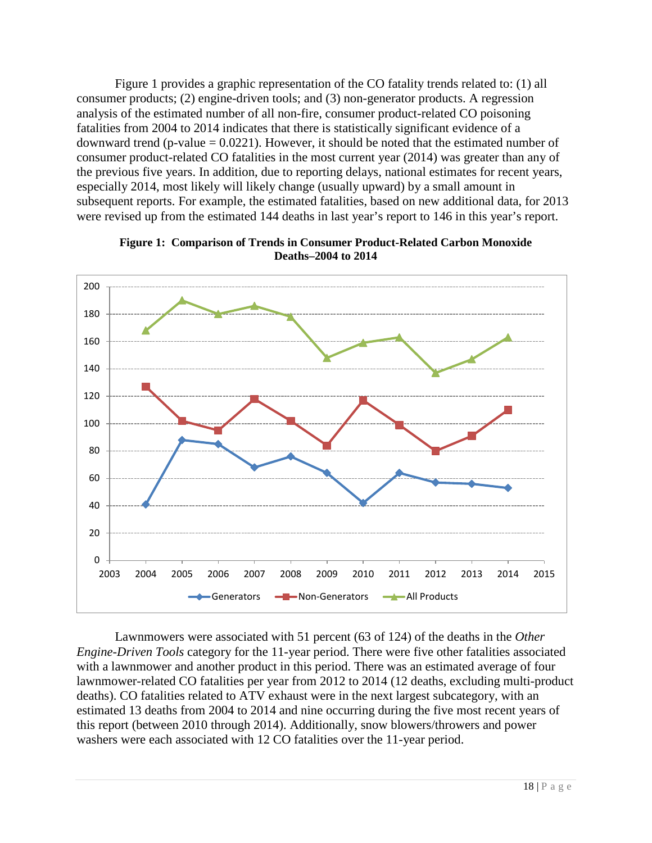Figure 1 provides a graphic representation of the CO fatality trends related to: (1) all consumer products; (2) engine-driven tools; and (3) non-generator products. A regression analysis of the estimated number of all non-fire, consumer product-related CO poisoning fatalities from 2004 to 2014 indicates that there is statistically significant evidence of a downward trend (p-value  $= 0.0221$ ). However, it should be noted that the estimated number of consumer product-related CO fatalities in the most current year (2014) was greater than any of the previous five years. In addition, due to reporting delays, national estimates for recent years, especially 2014, most likely will likely change (usually upward) by a small amount in subsequent reports. For example, the estimated fatalities, based on new additional data, for 2013 were revised up from the estimated 144 deaths in last year's report to 146 in this year's report.

<span id="page-17-0"></span>

**Figure 1: Comparison of Trends in Consumer Product-Related Carbon Monoxide Deaths–2004 to 2014**

Lawnmowers were associated with 51 percent (63 of 124) of the deaths in the *Other Engine-Driven Tools* category for the 11-year period. There were five other fatalities associated with a lawnmower and another product in this period. There was an estimated average of four lawnmower-related CO fatalities per year from 2012 to 2014 (12 deaths, excluding multi-product deaths). CO fatalities related to ATV exhaust were in the next largest subcategory, with an estimated 13 deaths from 2004 to 2014 and nine occurring during the five most recent years of this report (between 2010 through 2014). Additionally, snow blowers/throwers and power washers were each associated with 12 CO fatalities over the 11-year period.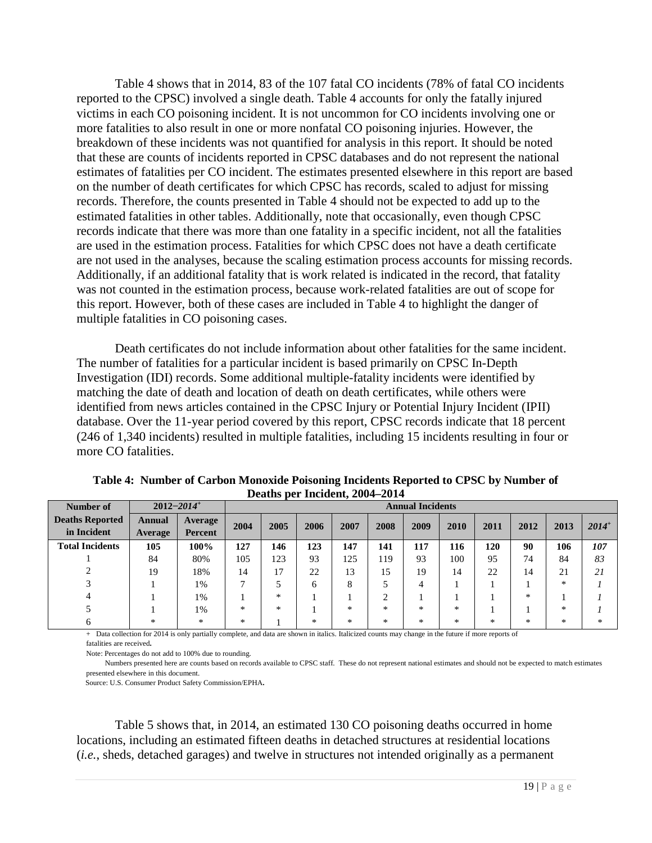Table 4 shows that in 2014, 83 of the 107 fatal CO incidents (78% of fatal CO incidents reported to the CPSC) involved a single death. Table 4 accounts for only the fatally injured victims in each CO poisoning incident. It is not uncommon for CO incidents involving one or more fatalities to also result in one or more nonfatal CO poisoning injuries. However, the breakdown of these incidents was not quantified for analysis in this report. It should be noted that these are counts of incidents reported in CPSC databases and do not represent the national estimates of fatalities per CO incident. The estimates presented elsewhere in this report are based on the number of death certificates for which CPSC has records, scaled to adjust for missing records. Therefore, the counts presented in Table 4 should not be expected to add up to the estimated fatalities in other tables. Additionally, note that occasionally, even though CPSC records indicate that there was more than one fatality in a specific incident, not all the fatalities are used in the estimation process. Fatalities for which CPSC does not have a death certificate are not used in the analyses, because the scaling estimation process accounts for missing records. Additionally, if an additional fatality that is work related is indicated in the record, that fatality was not counted in the estimation process, because work-related fatalities are out of scope for this report. However, both of these cases are included in Table 4 to highlight the danger of multiple fatalities in CO poisoning cases.

Death certificates do not include information about other fatalities for the same incident. The number of fatalities for a particular incident is based primarily on CPSC In-Depth Investigation (IDI) records. Some additional multiple-fatality incidents were identified by matching the date of death and location of death on death certificates, while others were identified from news articles contained in the CPSC Injury or Potential Injury Incident (IPII) database. Over the 11-year period covered by this report, CPSC records indicate that 18 percent (246 of 1,340 incidents) resulted in multiple fatalities, including 15 incidents resulting in four or more CO fatalities.

| Number of                             |                                  | $2012 - 2014$ <sup>+</sup>    | <b>Annual Incidents</b> |        |        |      |           |                        |                  |        |        |      |          |
|---------------------------------------|----------------------------------|-------------------------------|-------------------------|--------|--------|------|-----------|------------------------|------------------|--------|--------|------|----------|
| <b>Deaths Reported</b><br>in Incident | Annual<br>Average                | Average<br>Percent            | 2004                    | 2005   | 2006   | 2007 | 2008      | 2009                   | 2010             | 2011   | 2012   | 2013 | $2014^+$ |
| <b>Total Incidents</b>                | 105                              | 100%                          | 127                     | 146    | 123    | 147  | 141       | 117                    | 116              | 120    | 90     | 106  | 107      |
|                                       | 84                               | 80%                           | 105                     | 123    | 93     | 125  | 119       | 93                     | 100              | 95     | 74     | 84   | 83       |
|                                       | 19                               | 18%                           | 14                      | 17     | 22     | 13   | 15        | 19                     | 14               | 22     | 14     | 21   | 21       |
|                                       |                                  | 1%                            |                         | 5      | 6      | 8    |           | 4                      |                  |        |        | *    |          |
|                                       |                                  | 1%                            |                         | $\ast$ |        |      | $\bigcap$ |                        |                  |        | *      |      |          |
|                                       |                                  | 1%                            | $\ast$                  | *      |        | $*$  | $\ast$    | $\ast$                 | $\ast$           |        |        | *    |          |
| --                                    | *<br>$\sim$ $\sim$ $\sim$ $\sim$ | *<br>$\overline{\phantom{a}}$ | $*$                     | $\sim$ | $\ast$ | $*$  | *         | $*$<br>$\cdot$ $\cdot$ | $\ast$<br>$\sim$ | $\ast$ | $\ast$ | *    | $\ast$   |

<span id="page-18-0"></span>**Table 4: Number of Carbon Monoxide Poisoning Incidents Reported to CPSC by Number of Deaths per Incident, 2004–2014**

+ Data collection for 2014 is only partially complete, and data are shown in italics. Italicized counts may change in the future if more reports of

fatalities are received**.**

Note: Percentages do not add to 100% due to rounding.

 Numbers presented here are counts based on records available to CPSC staff. These do not represent national estimates and should not be expected to match estimates presented elsewhere in this document.

Source: U.S. Consumer Product Safety Commission/EPHA**.**

Table 5 shows that, in 2014, an estimated 130 CO poisoning deaths occurred in home locations, including an estimated fifteen deaths in detached structures at residential locations (*i.e.*, sheds, detached garages) and twelve in structures not intended originally as a permanent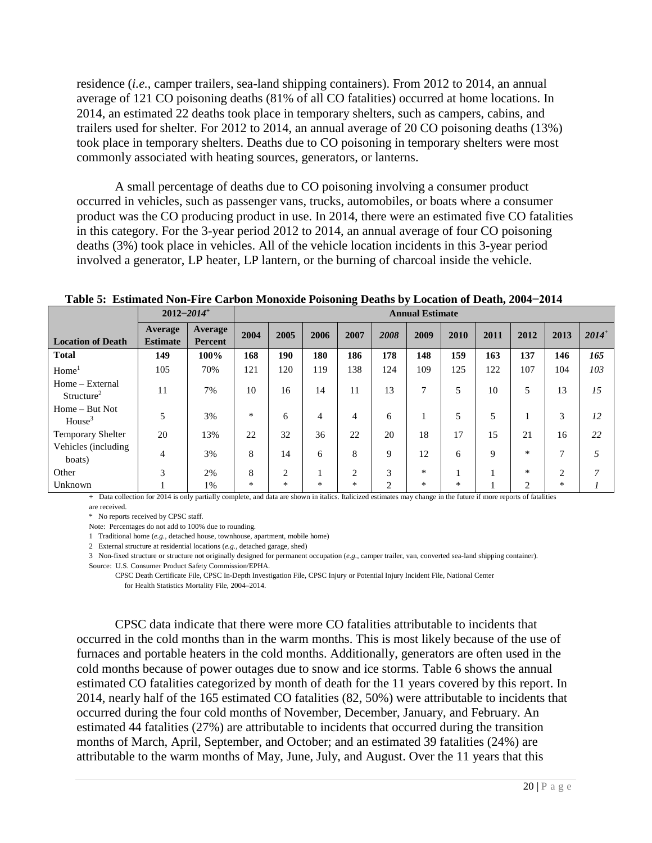residence (*i.e.*, camper trailers, sea-land shipping containers). From 2012 to 2014, an annual average of 121 CO poisoning deaths (81% of all CO fatalities) occurred at home locations. In 2014, an estimated 22 deaths took place in temporary shelters, such as campers, cabins, and trailers used for shelter. For 2012 to 2014, an annual average of 20 CO poisoning deaths (13%) took place in temporary shelters. Deaths due to CO poisoning in temporary shelters were most commonly associated with heating sources, generators, or lanterns.

A small percentage of deaths due to CO poisoning involving a consumer product occurred in vehicles, such as passenger vans, trucks, automobiles, or boats where a consumer product was the CO producing product in use. In 2014, there were an estimated five CO fatalities in this category. For the 3-year period 2012 to 2014, an annual average of four CO poisoning deaths (3%) took place in vehicles. All of the vehicle location incidents in this 3-year period involved a generator, LP heater, LP lantern, or the burning of charcoal inside the vehicle.

|                                           | $2012 - 2014$ <sup>+</sup> |                    |      | <b>Annual Estimate</b><br>2005<br>2009<br>2006<br>2007<br>2008<br>2010<br>2011<br>2012<br>148<br>159<br>180<br>186<br>178<br>137<br>190<br>163<br>120<br>119<br>138<br>109<br>125<br>122<br>107<br>124<br>7<br>5<br>13<br>5<br>10<br>14<br>10<br>16<br>11<br>$\ast$<br>5<br>6<br>4<br>5<br>6<br>4<br>32<br>22<br>20<br>18<br>22<br>36<br>17<br>15<br>21<br>$\ast$<br>8<br>14<br>8<br>9<br>9<br>12<br>6<br>6<br>8<br>3<br>$\ast$<br>$\ast$<br>2<br>2<br>$\ast$<br>$\ast$<br>$*$<br>* |  |        |                |  |   |                |      |          |
|-------------------------------------------|----------------------------|--------------------|------|-------------------------------------------------------------------------------------------------------------------------------------------------------------------------------------------------------------------------------------------------------------------------------------------------------------------------------------------------------------------------------------------------------------------------------------------------------------------------------------|--|--------|----------------|--|---|----------------|------|----------|
| <b>Location of Death</b>                  | Average<br><b>Estimate</b> | Average<br>Percent | 2004 |                                                                                                                                                                                                                                                                                                                                                                                                                                                                                     |  |        |                |  |   |                | 2013 | $2014^+$ |
| <b>Total</b>                              | 149                        | 100%               | 168  |                                                                                                                                                                                                                                                                                                                                                                                                                                                                                     |  |        |                |  |   |                | 146  | 165      |
| Home <sup>1</sup>                         | 105                        | 70%                | 121  |                                                                                                                                                                                                                                                                                                                                                                                                                                                                                     |  |        |                |  |   |                | 104  | 103      |
| Home - External<br>Structure <sup>2</sup> | 11                         | 7%                 |      |                                                                                                                                                                                                                                                                                                                                                                                                                                                                                     |  |        |                |  |   |                | 13   | 15       |
| Home – But Not<br>House <sup>3</sup>      | 5                          | 3%                 |      |                                                                                                                                                                                                                                                                                                                                                                                                                                                                                     |  |        |                |  |   |                | 3    | 12       |
| <b>Temporary Shelter</b>                  | 20                         | 13%                |      |                                                                                                                                                                                                                                                                                                                                                                                                                                                                                     |  |        |                |  |   |                | 16   | 22       |
| Vehicles (including<br>boats)             | $\overline{4}$             | 3%                 |      |                                                                                                                                                                                                                                                                                                                                                                                                                                                                                     |  |        |                |  |   |                | 7    | 5        |
| Other                                     | 3                          | 2%                 |      |                                                                                                                                                                                                                                                                                                                                                                                                                                                                                     |  |        |                |  |   |                | 2    | 7        |
| Unknown                                   |                            | 1%                 |      |                                                                                                                                                                                                                                                                                                                                                                                                                                                                                     |  | $\ast$ | $\overline{c}$ |  | * | $\overline{2}$ | *    |          |

<span id="page-19-0"></span>**Table 5: Estimated Non-Fire Carbon Monoxide Poisoning Deaths by Location of Death, 2004−2014**

+ Data collection for 2014 is only partially complete, and data are shown in italics. Italicized estimates may change in the future if more reports of fatalities are received.

\* No reports received by CPSC staff.

Note: Percentages do not add to 100% due to rounding.

1 Traditional home (*e.g.,* detached house, townhouse, apartment, mobile home)

2 External structure at residential locations (*e.g.,* detached garage, shed)

3 Non-fixed structure or structure not originally designed for permanent occupation (*e.g.,* camper trailer, van, converted sea-land shipping container).

Source: U.S. Consumer Product Safety Commission/EPHA.

 CPSC Death Certificate File, CPSC In-Depth Investigation File, CPSC Injury or Potential Injury Incident File, National Center for Health Statistics Mortality File, 2004–2014.

CPSC data indicate that there were more CO fatalities attributable to incidents that occurred in the cold months than in the warm months. This is most likely because of the use of furnaces and portable heaters in the cold months. Additionally, generators are often used in the cold months because of power outages due to snow and ice storms. Table 6 shows the annual estimated CO fatalities categorized by month of death for the 11 years covered by this report. In 2014, nearly half of the 165 estimated CO fatalities (82, 50%) were attributable to incidents that occurred during the four cold months of November, December, January, and February. An estimated 44 fatalities (27%) are attributable to incidents that occurred during the transition months of March, April, September, and October; and an estimated 39 fatalities (24%) are attributable to the warm months of May, June, July, and August. Over the 11 years that this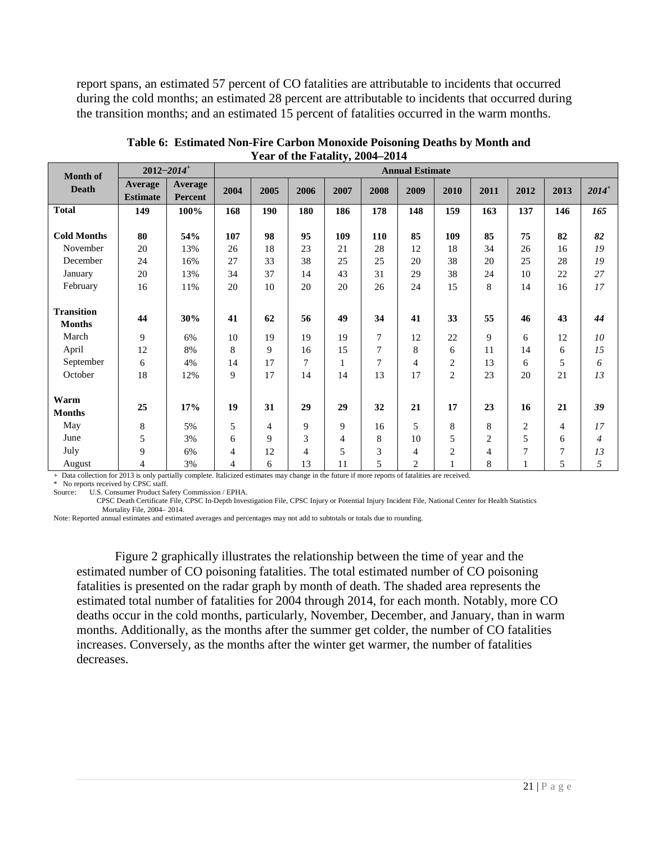report spans, an estimated 57 percent of CO fatalities are attributable to incidents that occurred during the cold months; an estimated 28 percent are attributable to incidents that occurred during the transition months; and an estimated 15 percent of fatalities occurred in the warm months.

| <b>Month of</b>                    | $2012 - 2014$ <sup>+</sup> |                           |      |                |                |      |                | <b>Annual Estimate</b> |                |                |                |      |                |
|------------------------------------|----------------------------|---------------------------|------|----------------|----------------|------|----------------|------------------------|----------------|----------------|----------------|------|----------------|
| <b>Death</b>                       | Average<br><b>Estimate</b> | Average<br><b>Percent</b> | 2004 | 2005           | 2006           | 2007 | 2008           | 2009                   | 2010           | 2011           | 2012           | 2013 | $2014^{+}$     |
| <b>Total</b>                       | 149                        | 100%                      | 168  | 190            | 180            | 186  | 178            | 148                    | 159            | 163            | 137            | 146  | 165            |
| <b>Cold Months</b>                 | 80                         | 54%                       | 107  | 98             | 95             | 109  | <b>110</b>     | 85                     | 109            | 85             | 75             | 82   | 82             |
| November                           | 20                         | 13%                       | 26   | 18             | 23             | 21   | 28             | 12                     | 18             | 34             | 26             | 16   | 19             |
| December                           | 24                         | 16%                       | 27   | 33             | 38             | 25   | 25             | 20                     | 38             | 20             | 25             | 28   | 19             |
| January                            | 20                         | 13%                       | 34   | 37             | 14             | 43   | 31             | 29                     | 38             | 24             | 10             | 22   | 27             |
| February                           | 16                         | 11%                       | 20   | 10             | 20             | 20   | 26             | 24                     | 15             | 8              | 14             | 16   | 17             |
| <b>Transition</b><br><b>Months</b> | 44                         | 30%                       | 41   | 62             | 56             | 49   | 34             | 41                     | 33             | 55             | 46             | 43   | 44             |
| March                              | $\overline{9}$             | 6%                        | 10   | 19             | 19             | 19   | 7              | 12                     | 22             | 9              | 6              | 12   | 10             |
| April                              | 12                         | 8%                        | 8    | 9              | 16             | 15   | 7              | 8                      | 6              | 11             | 14             | 6    | 15             |
| September                          | 6                          | 4%                        | 14   | 17             | 7              | 1    | $\overline{7}$ | 4                      | $\overline{c}$ | 13             | 6              | 5    | 6              |
| October                            | 18                         | 12%                       | 9    | 17             | 14             | 14   | 13             | 17                     | $\overline{c}$ | 23             | 20             | 21   | 13             |
| Warm<br><b>Months</b>              | 25                         | 17%                       | 19   | 31             | 29             | 29   | 32             | 21                     | 17             | 23             | 16             | 21   | 39             |
| May                                | $\,$ 8 $\,$                | 5%                        | 5    | $\overline{4}$ | 9              | 9    | 16             | 5                      | 8              | 8              | $\overline{c}$ | 4    | 17             |
| June                               | 5                          | 3%                        | 6    | 9              | 3              | 4    | 8              | 10                     | 5              | $\overline{c}$ | 5              | 6    | $\overline{4}$ |
| July                               | 9                          | 6%                        | 4    | 12             | $\overline{4}$ | 5    | 3              | 4                      | $\overline{c}$ | $\overline{4}$ | 7              | 7    | 13             |
| August                             | $\overline{4}$             | 3%                        | 4    | 6              | 13             | 11   | 5              | $\overline{c}$         |                | 8              | 1              | 5    | 5              |

<span id="page-20-0"></span>**Table 6: Estimated Non-Fire Carbon Monoxide Poisoning Deaths by Month and Year of the Fatality, 2004–2014**

+ Data collection for 2013 is only partially complete. Italicized estimates may change in the future if more reports of fatalities are received.

\* No reports received by CPSC staff.<br>Source: U.S. Consumer Product Sa

U.S. Consumer Product Safety Commission / EPHA.

CPSC Death Certificate File, CPSC In-Depth Investigation File, CPSC Injury or Potential Injury Incident File, National Center for Health Statistics Mortality File, 2004– 2014.

Note: Reported annual estimates and estimated averages and percentages may not add to subtotals or totals due to rounding.

Figure 2 graphically illustrates the relationship between the time of year and the estimated number of CO poisoning fatalities. The total estimated number of CO poisoning fatalities is presented on the radar graph by month of death. The shaded area represents the estimated total number of fatalities for 2004 through 2014, for each month. Notably, more CO deaths occur in the cold months, particularly, November, December, and January, than in warm months. Additionally, as the months after the summer get colder, the number of CO fatalities increases. Conversely, as the months after the winter get warmer, the number of fatalities decreases.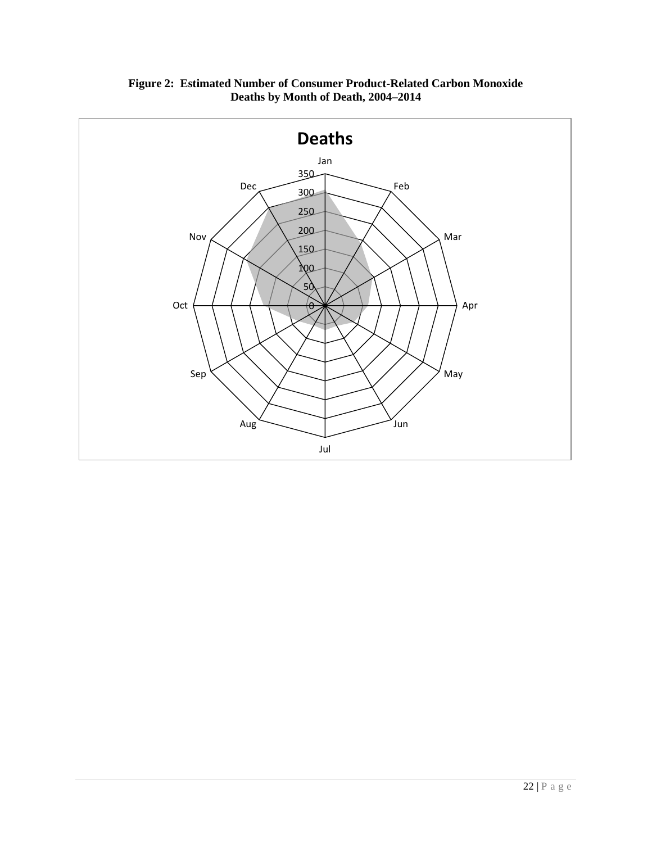<span id="page-21-0"></span>

**Figure 2: Estimated Number of Consumer Product-Related Carbon Monoxide Deaths by Month of Death, 2004–2014**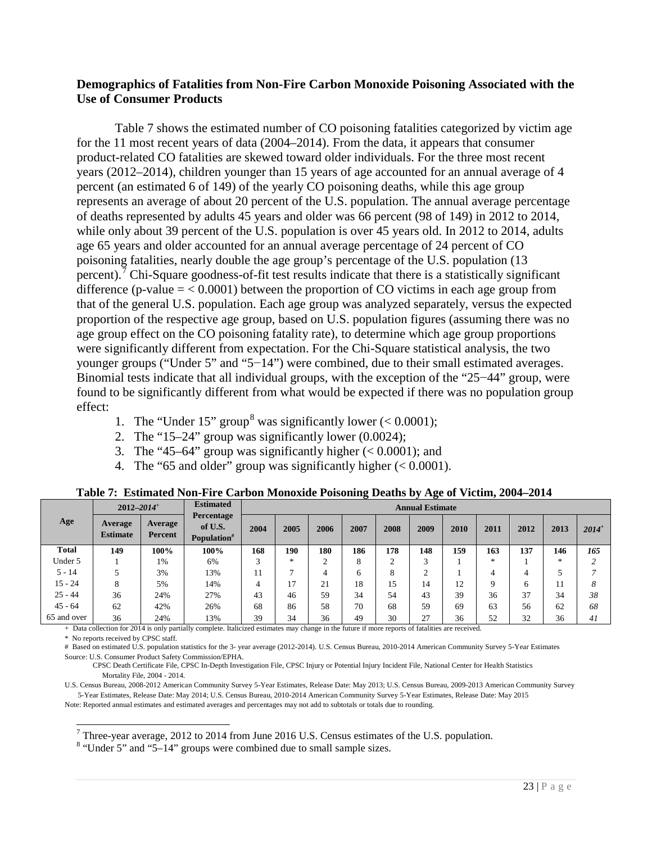## <span id="page-22-0"></span>**Demographics of Fatalities from Non-Fire Carbon Monoxide Poisoning Associated with the Use of Consumer Products**

Table 7 shows the estimated number of CO poisoning fatalities categorized by victim age for the 11 most recent years of data (2004–2014). From the data, it appears that consumer product-related CO fatalities are skewed toward older individuals. For the three most recent years (2012–2014), children younger than 15 years of age accounted for an annual average of 4 percent (an estimated 6 of 149) of the yearly CO poisoning deaths, while this age group represents an average of about 20 percent of the U.S. population. The annual average percentage of deaths represented by adults 45 years and older was 66 percent (98 of 149) in 2012 to 2014, while only about 39 percent of the U.S. population is over 45 years old. In 2012 to 2014, adults age 65 years and older accounted for an annual average percentage of 24 percent of CO poisoning fatalities, nearly double the age group's percentage of the U.S. population (13 percent).<sup>[7](#page-22-2)</sup> Chi-Square goodness-of-fit test results indicate that there is a statistically significant difference (p-value  $=$  < 0.0001) between the proportion of CO victims in each age group from that of the general U.S. population. Each age group was analyzed separately, versus the expected proportion of the respective age group, based on U.S. population figures (assuming there was no age group effect on the CO poisoning fatality rate), to determine which age group proportions were significantly different from expectation. For the Chi-Square statistical analysis, the two younger groups ("Under 5" and "5−14") were combined, due to their small estimated averages. Binomial tests indicate that all individual groups, with the exception of the "25−44" group, were found to be significantly different from what would be expected if there was no population group effect:

- 1. The "Under 15" group<sup>[8](#page-22-3)</sup> was significantly lower ( $< 0.0001$ );
- 2. The "15–24" group was significantly lower (0.0024);
- 3. The "45–64" group was significantly higher  $( $0.0001$ ); and$
- 4. The "65 and older" group was significantly higher  $( $0.0001$ ).$

<span id="page-22-1"></span>

|              | $2012 - 2014$ <sup>+</sup> |                    | <b>Estimated</b>                                 |      |        |        |      |      | <b>Annual Estimate</b> |      |        |      |      |            |
|--------------|----------------------------|--------------------|--------------------------------------------------|------|--------|--------|------|------|------------------------|------|--------|------|------|------------|
| Age          | Average<br><b>Estimate</b> | Average<br>Percent | Percentage<br>of U.S.<br>Population <sup>#</sup> | 2004 | 2005   | 2006   | 2007 | 2008 | 2009                   | 2010 | 2011   | 2012 | 2013 | $2014^{+}$ |
| <b>Total</b> | 149                        | 100%               | 100%                                             | 168  | 190    | 180    | 186  | 178  | 148                    | 159  | 163    | 137  | 146  | 165        |
| Under 5      |                            | 1%                 | 6%                                               |      | $\ast$ | $\sim$ | 8    | ◠    | ⌒                      |      | $\ast$ |      | *    |            |
| $5 - 14$     |                            | 3%                 | 13%                                              |      | −      | 4      | 6    | 8    | $\sim$                 |      |        | 4    |      |            |
| $15 - 24$    | 8                          | 5%                 | 14%                                              | 4    |        | 21     | 18   | 15   | 14                     | 12   | Q      | 6    |      | 8          |
| $25 - 44$    | 36                         | 24%                | 27%                                              | 43   | 46     | 59     | 34   | 54   | 43                     | 39   | 36     | 37   | 34   | 38         |
| $45 - 64$    | 62                         | 42%                | 26%                                              | 68   | 86     | 58     | 70   | 68   | 59                     | 69   | 63     | 56   | 62   | 68         |
| 65 and over  | 36                         | 24%                | 13%                                              | 39   | 34     | 36     | 49   | 30   | 27                     | 36   | 52     | 32   | 36   | 41         |

**Table 7: Estimated Non-Fire Carbon Monoxide Poisoning Deaths by Age of Victim, 2004–2014**

+ Data collection for 2014 is only partially complete. Italicized estimates may change in the future if more reports of fatalities are received.

\* No reports received by CPSC staff.

# Based on estimated U.S. population statistics for the 3- year average (2012-2014). U.S. Census Bureau, 2010-2014 American Community Survey 5-Year Estimates Source: U.S. Consumer Product Safety Commission/EPHA.

 CPSC Death Certificate File, CPSC In-Depth Investigation File, CPSC Injury or Potential Injury Incident File, National Center for Health Statistics Mortality File, 2004 - 2014.

U.S. Census Bureau, 2008-2012 American Community Survey 5-Year Estimates, Release Date: May 2013; U.S. Census Bureau, 2009-2013 American Community Survey 5-Year Estimates, Release Date: May 2014; U.S. Census Bureau, 2010-2014 American Community Survey 5-Year Estimates, Release Date: May 2015 Note: Reported annual estimates and estimated averages and percentages may not add to subtotals or totals due to rounding.

<span id="page-22-2"></span><sup>7</sup> Three-year average, 2012 to 2014 from June 2016 U.S. Census estimates of the U.S. population.  $8$  "Under 5" and "5–14" groups were combined due to small sample sizes.

<span id="page-22-3"></span>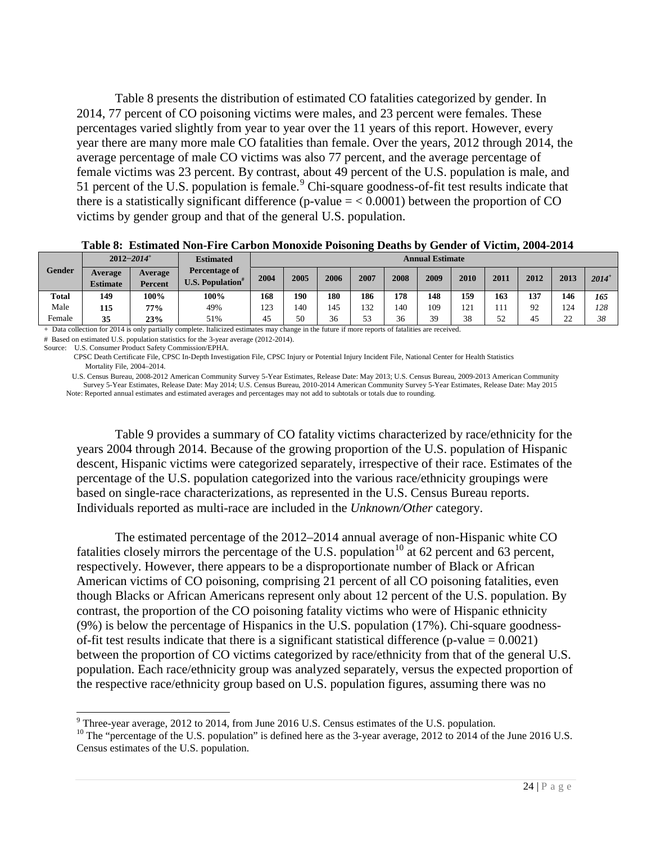Table 8 presents the distribution of estimated CO fatalities categorized by gender. In 2014, 77 percent of CO poisoning victims were males, and 23 percent were females. These percentages varied slightly from year to year over the 11 years of this report. However, every year there are many more male CO fatalities than female. Over the years, 2012 through 2014, the average percentage of male CO victims was also 77 percent, and the average percentage of female victims was 23 percent. By contrast, about 49 percent of the U.S. population is male, and 51 percent of the U.S. population is female.<sup>[9](#page-23-1)</sup> Chi-square goodness-of-fit test results indicate that there is a statistically significant difference (p-value  $=$  < 0.0001) between the proportion of CO victims by gender group and that of the general U.S. population.

<span id="page-23-0"></span> **Table 8: Estimated Non-Fire Carbon Monoxide Poisoning Deaths by Gender of Victim, 2004-2014**

|              |                            | $2012 - 2014$ <sup>+</sup> | <b>Estimated</b>                                     | <b>Annual Estimate</b> |      |      |      |      |      |      |      |      |                     |            |
|--------------|----------------------------|----------------------------|------------------------------------------------------|------------------------|------|------|------|------|------|------|------|------|---------------------|------------|
| Gender       | Average<br><b>Estimate</b> | Average<br>Percent         | Percentage of<br><b>U.S. Population</b> <sup>*</sup> | 2004                   | 2005 | 2006 | 2007 | 2008 | 2009 | 2010 | 2011 | 2012 | 2013                | $2014^{+}$ |
| <b>Total</b> | 149                        | 100%                       | 100%                                                 | 168                    | 190  | 180  | 186  | 178  | 148  | 159  | 163  | 137  | 146                 | 165        |
| Male         | 115                        | 77%                        | 49%                                                  | 123                    | 140  | 45   | 132  | 140  | 109  | .21  | 111  | 92   | 124                 | 128        |
| Female       | 35                         | 23%                        | 51%                                                  | 45                     | 50   | 36   | 53   | 36   | 39   | 38   | 52   | 45   | $\mathcal{D}$<br>∠∠ | 38         |

+ Data collection for 2014 is only partially complete. Italicized estimates may change in the future if more reports of fatalities are received.

# Based on estimated U.S. population statistics for the 3-year average (2012-2014).

Source: U.S. Consumer Product Safety Commission/EPHA.

 CPSC Death Certificate File, CPSC In-Depth Investigation File, CPSC Injury or Potential Injury Incident File, National Center for Health Statistics Mortality File, 2004–2014.

U.S. Census Bureau, 2008-2012 American Community Survey 5-Year Estimates, Release Date: May 2013; U.S. Census Bureau, 2009-2013 American Community Survey 5-Year Estimates, Release Date: May 2014; U.S. Census Bureau, 2010-2014 American Community Survey 5-Year Estimates, Release Date: May 2015 Note: Reported annual estimates and estimated averages and percentages may not add to subtotals or totals due to rounding.

Table 9 provides a summary of CO fatality victims characterized by race/ethnicity for the years 2004 through 2014. Because of the growing proportion of the U.S. population of Hispanic descent, Hispanic victims were categorized separately, irrespective of their race. Estimates of the percentage of the U.S. population categorized into the various race/ethnicity groupings were based on single-race characterizations, as represented in the U.S. Census Bureau reports. Individuals reported as multi-race are included in the *Unknown/Other* category.

The estimated percentage of the 2012–2014 annual average of non-Hispanic white CO fatalities closely mirrors the percentage of the U.S. population<sup>[10](#page-23-2)</sup> at 62 percent and 63 percent, respectively. However, there appears to be a disproportionate number of Black or African American victims of CO poisoning, comprising 21 percent of all CO poisoning fatalities, even though Blacks or African Americans represent only about 12 percent of the U.S. population. By contrast, the proportion of the CO poisoning fatality victims who were of Hispanic ethnicity (9%) is below the percentage of Hispanics in the U.S. population (17%). Chi-square goodnessof-fit test results indicate that there is a significant statistical difference (p-value  $= 0.0021$ ) between the proportion of CO victims categorized by race/ethnicity from that of the general U.S. population. Each race/ethnicity group was analyzed separately, versus the expected proportion of the respective race/ethnicity group based on U.S. population figures, assuming there was no

<span id="page-23-2"></span><span id="page-23-1"></span><sup>&</sup>lt;sup>9</sup> Three-year average, 2012 to 2014, from June 2016 U.S. Census estimates of the U.S. population. <sup>10</sup> The "percentage of the U.S. population" is defined here as the 3-year average, 2012 to 2014 of the June 2016 U.S. Census estimates of the U.S. population.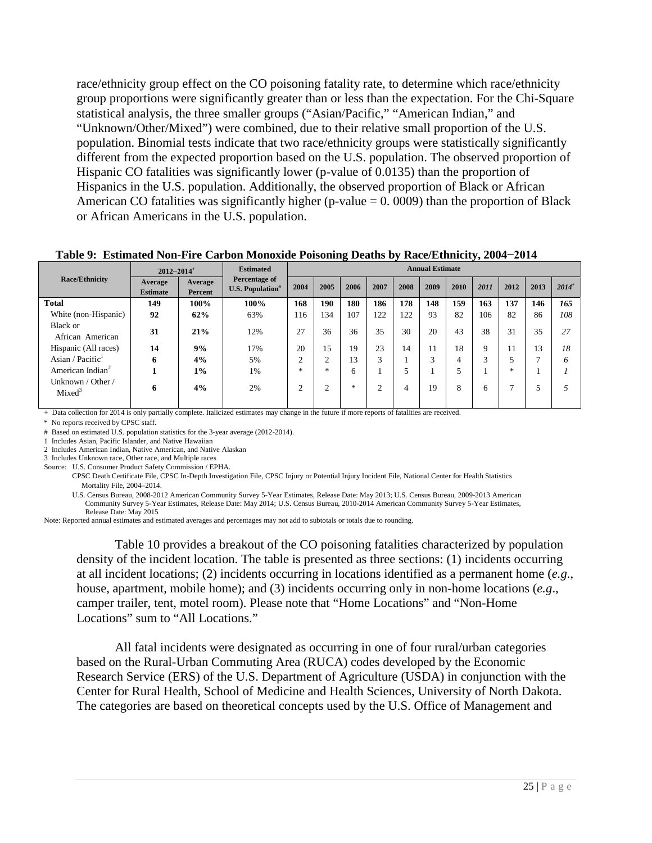race/ethnicity group effect on the CO poisoning fatality rate, to determine which race/ethnicity group proportions were significantly greater than or less than the expectation. For the Chi-Square statistical analysis, the three smaller groups ("Asian/Pacific," "American Indian," and "Unknown/Other/Mixed") were combined, due to their relative small proportion of the U.S. population. Binomial tests indicate that two race/ethnicity groups were statistically significantly different from the expected proportion based on the U.S. population. The observed proportion of Hispanic CO fatalities was significantly lower (p-value of 0.0135) than the proportion of Hispanics in the U.S. population. Additionally, the observed proportion of Black or African American CO fatalities was significantly higher (p-value  $= 0.0009$ ) than the proportion of Black or African Americans in the U.S. population.

| $2012 - 2014$ <sup>+</sup> |                                     | <b>Annual Estimate</b>            |        |      |        |      |      |      |             |                                   |      |            |
|----------------------------|-------------------------------------|-----------------------------------|--------|------|--------|------|------|------|-------------|-----------------------------------|------|------------|
| Average<br>Percent         | <b>U.S. Population</b> <sup>#</sup> | 2004                              | 2005   | 2006 | 2007   | 2008 | 2009 | 2010 | 2011        | 2012                              | 2013 | $2014^{+}$ |
| 100%                       | 100%                                | 168                               | 190    | 180  | 186    | 178  | 148  | 159  | 163         | 137                               | 146  | 165        |
| 62%                        | 63%                                 | l 16                              | 134    | 107  | 122    | 122  | 93   | 82   | 106         | 82                                | 86   | 108        |
| 21%                        | 12%                                 | 27                                | 36     | 36   | 35     | 30   | 20   | 43   | 38          | 31                                | 35   | 27         |
| 9%                         | 17%                                 | 20                                | 15     | 19   | 23     | 14   | 11   | 18   | $\mathbf Q$ | 11                                | 13   | 18         |
| 4%                         | 5%                                  | $\bigcap$<br>∸                    | ◠      | 13   | $\sim$ |      | 3    | 4    | 3           | 5                                 |      | ∩          |
| $1\%$                      | 1%                                  | $\frac{1}{2}$                     | $\ast$ | 6    |        |      |      |      |             | $\frac{d\mathbf{x}}{d\mathbf{x}}$ |      |            |
| 4%                         | 2%                                  | $\bigcirc$<br>∠                   | ◠      | *    | ◠      | 4    | 19   | 8    | 6           | 7                                 |      |            |
|                            |                                     | <b>Estimated</b><br>Percentage of |        |      |        |      |      |      |             |                                   |      |            |

#### <span id="page-24-0"></span>**Table 9: Estimated Non-Fire Carbon Monoxide Poisoning Deaths by Race/Ethnicity, 2004−2014**

+ Data collection for 2014 is only partially complete. Italicized estimates may change in the future if more reports of fatalities are received.

\* No reports received by CPSC staff.

# Based on estimated U.S. population statistics for the 3-year average (2012-2014).

1 Includes Asian, Pacific Islander, and Native Hawaiian

2 Includes American Indian, Native American, and Native Alaskan 3 Includes Unknown race, Other race, and Multiple races

Source: U.S. Consumer Product Safety Commission / EPHA.

 CPSC Death Certificate File, CPSC In-Depth Investigation File, CPSC Injury or Potential Injury Incident File, National Center for Health Statistics Mortality File, 2004–2014.

 U.S. Census Bureau, 2008-2012 American Community Survey 5-Year Estimates, Release Date: May 2013; U.S. Census Bureau, 2009-2013 American Community Survey 5-Year Estimates, Release Date: May 2014; U.S. Census Bureau, 2010-2014 American Community Survey 5-Year Estimates, Release Date: May 2015

Note: Reported annual estimates and estimated averages and percentages may not add to subtotals or totals due to rounding.

Table 10 provides a breakout of the CO poisoning fatalities characterized by population density of the incident location. The table is presented as three sections: (1) incidents occurring at all incident locations; (2) incidents occurring in locations identified as a permanent home (*e.g*., house, apartment, mobile home); and (3) incidents occurring only in non-home locations (*e.g*., camper trailer, tent, motel room). Please note that "Home Locations" and "Non-Home Locations" sum to "All Locations."

All fatal incidents were designated as occurring in one of four rural/urban categories based on the Rural-Urban Commuting Area (RUCA) codes developed by the Economic Research Service (ERS) of the U.S. Department of Agriculture (USDA) in conjunction with the Center for Rural Health, School of Medicine and Health Sciences, University of North Dakota. The categories are based on theoretical concepts used by the U.S. Office of Management and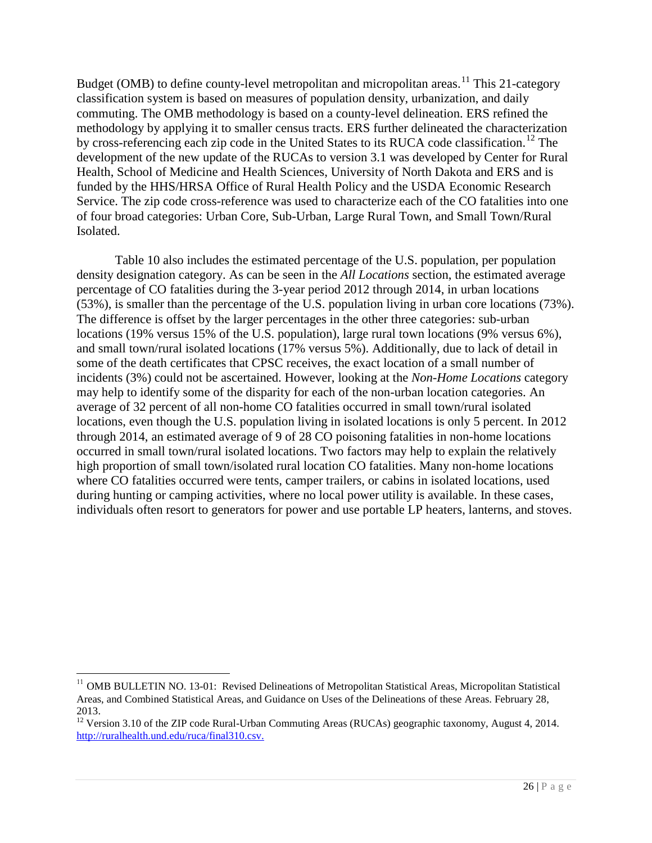Budget (OMB) to define county-level metropolitan and micropolitan areas.<sup>[11](#page-25-0)</sup> This 21-category classification system is based on measures of population density, urbanization, and daily commuting. The OMB methodology is based on a county-level delineation. ERS refined the methodology by applying it to smaller census tracts. ERS further delineated the characterization by cross-referencing each zip code in the United States to its RUCA code classification.<sup>[12](#page-25-1)</sup> The development of the new update of the RUCAs to version 3.1 was developed by Center for Rural Health, School of Medicine and Health Sciences, University of North Dakota and ERS and is funded by the HHS/HRSA Office of Rural Health Policy and the USDA Economic Research Service. The zip code cross-reference was used to characterize each of the CO fatalities into one of four broad categories: Urban Core, Sub-Urban, Large Rural Town, and Small Town/Rural Isolated.

Table 10 also includes the estimated percentage of the U.S. population, per population density designation category. As can be seen in the *All Locations* section, the estimated average percentage of CO fatalities during the 3-year period 2012 through 2014, in urban locations (53%), is smaller than the percentage of the U.S. population living in urban core locations (73%). The difference is offset by the larger percentages in the other three categories: sub-urban locations (19% versus 15% of the U.S. population), large rural town locations (9% versus 6%), and small town/rural isolated locations (17% versus 5%). Additionally, due to lack of detail in some of the death certificates that CPSC receives, the exact location of a small number of incidents (3%) could not be ascertained. However, looking at the *Non-Home Locations* category may help to identify some of the disparity for each of the non-urban location categories. An average of 32 percent of all non-home CO fatalities occurred in small town/rural isolated locations, even though the U.S. population living in isolated locations is only 5 percent. In 2012 through 2014, an estimated average of 9 of 28 CO poisoning fatalities in non-home locations occurred in small town/rural isolated locations. Two factors may help to explain the relatively high proportion of small town/isolated rural location CO fatalities. Many non-home locations where CO fatalities occurred were tents, camper trailers, or cabins in isolated locations, used during hunting or camping activities, where no local power utility is available. In these cases, individuals often resort to generators for power and use portable LP heaters, lanterns, and stoves.

 $\overline{a}$ 

<span id="page-25-0"></span><sup>&</sup>lt;sup>11</sup> OMB BULLETIN NO. 13-01: Revised Delineations of Metropolitan Statistical Areas, Micropolitan Statistical Areas, and Combined Statistical Areas, and Guidance on Uses of the Delineations of these Areas. February 28, 2013.

<span id="page-25-1"></span><sup>&</sup>lt;sup>12</sup> Version 3.10 of the ZIP code Rural-Urban Commuting Areas (RUCAs) geographic taxonomy, August 4, 2014. [http://ruralhealth.und.edu/ruca/final310.csv.](http://ruralhealth.und.edu/ruca/final310.csv)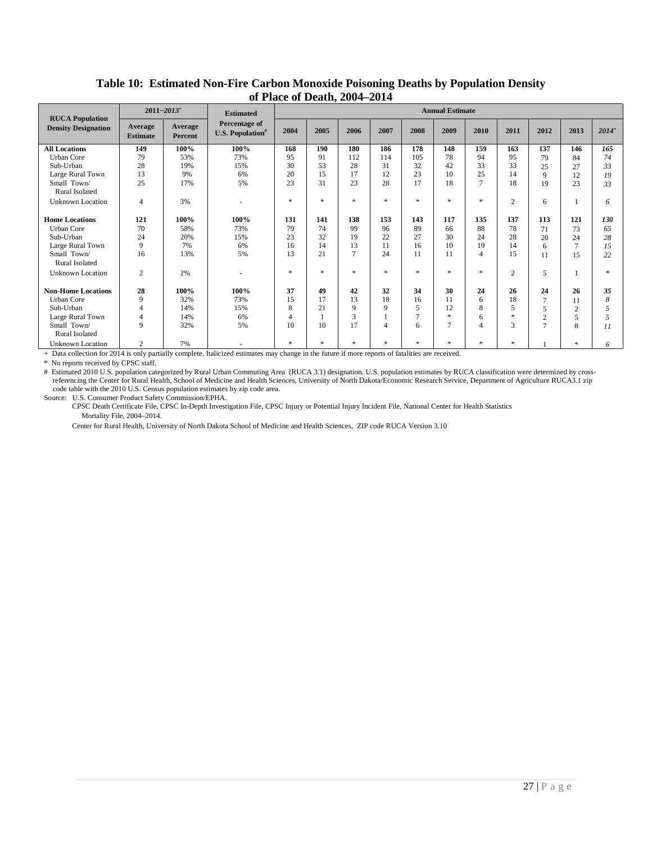<span id="page-26-0"></span>

|                                                      |                            | $2011 - 2013$ <sup>+</sup> | <b>Estimated</b>                                     |               |        | ---            |                |                | <b>Annual Estimate</b> |                |                |                |          |          |
|------------------------------------------------------|----------------------------|----------------------------|------------------------------------------------------|---------------|--------|----------------|----------------|----------------|------------------------|----------------|----------------|----------------|----------|----------|
| <b>RUCA Population</b><br><b>Density Designation</b> | Average<br><b>Estimate</b> | Average<br>Percent         | Percentage of<br><b>U.S. Population</b> <sup>#</sup> | 2004          | 2005   | 2006           | 2007           | 2008           | 2009                   | 2010           | 2011           | 2012           | 2013     | $2014^+$ |
| <b>All Locations</b>                                 | 149                        | 100%                       | 100%                                                 | 168           | 190    | 180            | 186            | 178            | 148                    | 159            | 163            | 137            | 146      | 165      |
| <b>Urban Core</b>                                    | 79                         | 53%                        | 73%                                                  | 95            | 91     | 112            | 114            | 105            | 78                     | 94             | 95             | 79             | 84       | 74       |
| Sub-Urban                                            | 28                         | 19%                        | 15%                                                  | 30            | 53     | 28             | 31             | 32             | 42                     | 33             | 33             | 25             | 27       | 33       |
| Large Rural Town                                     | 13                         | 9%                         | 6%                                                   | 20            | 15     | 17             | 12             | 23             | 10                     | 25             | 14             | $\mathbf Q$    | 12       | 19       |
| Small Town/<br><b>Rural Isolated</b>                 | 25                         | 17%                        | 5%                                                   | 23            | 31     | 23             | 28             | 17             | 18                     | $\overline{7}$ | 18             | 19             | 23       | 33       |
| <b>Unknown Location</b>                              | 4                          | 3%                         |                                                      | $\ast$        | $\ast$ | $\ast$         | $\ast$         | $\ast$         | $\ast$                 | $\ast$         | $\overline{2}$ | 6              |          | 6        |
| <b>Home Locations</b>                                | 121                        | 100%                       | 100%                                                 | 131           | 141    | 138            | 153            | 143            | 117                    | 135            | 137            | 113            | 121      | 130      |
| <b>Urban Core</b>                                    | 70                         | 58%                        | 73%                                                  | 79            | 74     | 99             | 96             | 89             | 66                     | 88             | 78             | 71             | 73       | 65       |
| Sub-Urban                                            | 24                         | 20%                        | 15%                                                  | 23            | 32     | 19             | 22             | 27             | 30                     | 24             | 28             | 20             | 24       | 28       |
| Large Rural Town                                     | 9                          | 7%                         | 6%                                                   | 16            | 14     | 13             | 11             | 16             | 10                     | 19             | 14             | 6              |          | 15       |
| Small Town/<br><b>Rural Isolated</b>                 | 16                         | 13%                        | 5%                                                   | 13            | 21     | $\overline{7}$ | 24             | 11             | 11                     | $\overline{4}$ | 15             | 11             | 15       | 22       |
| <b>Unknown Location</b>                              | $\overline{c}$             | 2%                         |                                                      | $\ast$        | $\ast$ | $\ast$         | $\ast$         | $\ast$         | $\ast$                 | $\ast$         | $\overline{2}$ | 5              |          |          |
| <b>Non-Home Locations</b>                            | 28                         | 100%                       | 100%                                                 | 37            | 49     | 42             | 32             | 34             | 30                     | 24             | 26             | 24             | 26       | 35       |
| <b>Urban Core</b>                                    | 9                          | 32%                        | 73%                                                  | 15            | 17     | 13             | 18             | 16             | 11                     | 6              | 18             | $\mathbf{r}$   | 11       | 8        |
| Sub-Urban                                            | 4                          | 14%                        | 15%                                                  | 8             | 21     | 9              | 9              | 5              | 12                     | 8              | 5              |                | $\Omega$ |          |
| Large Rural Town                                     | 4                          | 14%                        | 6%                                                   | 4             |        | 3              |                | $\overline{7}$ | sk.                    | 6              | sk.            | $\overline{2}$ | 5        |          |
| Small Town/<br>Rural Isolated                        | 9                          | 32%                        | 5%                                                   | 10            | 10     | 17             | $\overline{4}$ | 6              | $\overline{7}$         | $\overline{4}$ | 3              | $\overline{ }$ | 8        | 11       |
| <b>Unknown Location</b>                              | $\overline{c}$             | 7%                         |                                                      | $\frac{1}{2}$ | $\ast$ | $\ast$         | $\gg$          | $\ast$         | $\ast$                 | $\gg$          | $*$            |                | $\ast$   | 6        |

#### **Table 10: Estimated Non-Fire Carbon Monoxide Poisoning Deaths by Population Density of Place of Death, 2004–2014**

+ Data collection for 2014 is only partially complete. Italicized estimates may change in the future if more reports of fatalities are received.

\* No reports received by CPSC staff.

# Estimated 2010 U.S. population categorized by Rural Urban Commuting Area (RUCA 3.1) designation. U.S. population estimates by RUCA classification were determined by crossreferencing the Center for Rural Health, School of Medicine and Health Sciences, University of North Dakota/Economic Research Service, Department of Agriculture RUCA3.1 zip code table with the 2010 U.S. Census population estimates by zip code area.

Source: U.S. Consumer Product Safety Commission/EPHA.

 CPSC Death Certificate File, CPSC In-Depth Investigation File, CPSC Injury or Potential Injury Incident File, National Center for Health Statistics Mortality File, 2004–2014.

Center for Rural Health, University of North Dakota School of Medicine and Health Sciences, ZIP code RUCA Version 3.10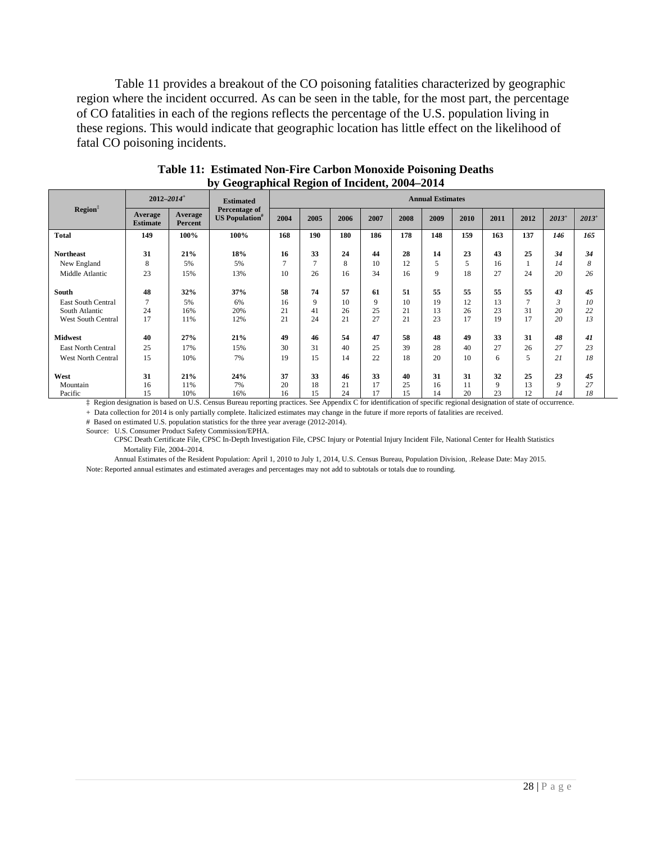Table 11 provides a breakout of the CO poisoning fatalities characterized by geographic region where the incident occurred. As can be seen in the table, for the most part, the percentage of CO fatalities in each of the regions reflects the percentage of the U.S. population living in these regions. This would indicate that geographic location has little effect on the likelihood of fatal CO poisoning incidents.

<span id="page-27-1"></span><span id="page-27-0"></span>

|                           | $2012 - 2014$ <sup>+</sup> |                    | <b>Estimated</b>                                   | <b>Annual Estimates</b> |                |      |      |      |      |      |      |               |            |            |
|---------------------------|----------------------------|--------------------|----------------------------------------------------|-------------------------|----------------|------|------|------|------|------|------|---------------|------------|------------|
| Region <sup>‡</sup>       | Average<br><b>Estimate</b> | Average<br>Percent | Percentage of<br><b>US</b> Population <sup>#</sup> | 2004                    | 2005           | 2006 | 2007 | 2008 | 2009 | 2010 | 2011 | 2012          | $2013^{+}$ | $2013^{+}$ |
| <b>Total</b>              | 149                        | 100%               | 100%                                               | 168                     | 190            | 180  | 186  | 178  | 148  | 159  | 163  | 137           | 146        | 165        |
| <b>Northeast</b>          | 31                         | 21%                | 18%                                                | 16                      | 33             | 24   | 44   | 28   | 14   | 23   | 43   | 25            | 34         | 34         |
| New England               | 8                          | 5%                 | 5%                                                 | $\tau$                  | $\overline{7}$ | 8    | 10   | 12   | 5    | 5    | 16   |               | 14         | 8          |
| Middle Atlantic           | 23                         | 15%                | 13%                                                | 10                      | 26             | 16   | 34   | 16   | 9    | 18   | 27   | 24            | 20         | 26         |
| South                     | 48                         | 32%                | 37%                                                | 58                      | 74             | 57   | 61   | 51   | 55   | 55   | 55   | 55            | 43         | 45         |
| <b>East South Central</b> | $\overline{7}$             | 5%                 | 6%                                                 | 16                      | $\mathbf Q$    | 10   | 9    | 10   | 19   | 12   | 13   | $\mathcal{L}$ | 3          | 10         |
| South Atlantic            | 24                         | 16%                | 20%                                                | 21                      | 41             | 26   | 25   | 21   | 13   | 26   | 23   | 31            | 20         | 22         |
| <b>West South Central</b> | 17                         | 11%                | 12%                                                | 21                      | 24             | 21   | 27   | 21   | 23   | 17   | 19   | 17            | 20         | 13         |
| <b>Midwest</b>            | 40                         | 27%                | 21%                                                | 49                      | 46             | 54   | 47   | 58   | 48   | 49   | 33   | 31            | 48         | 41         |
| <b>East North Central</b> | 25                         | 17%                | 15%                                                | 30                      | 31             | 40   | 25   | 39   | 28   | 40   | 27   | 26            | 27         | 23         |
| <b>West North Central</b> | 15                         | 10%                | 7%                                                 | 19                      | 15             | 14   | 22   | 18   | 20   | 10   | 6    | 5             | 21         | 18         |
| West                      | 31                         | 21%                | 24%                                                | 37                      | 33             | 46   | 33   | 40   | 31   | 31   | 32   | 25            | 23         | 45         |
| Mountain                  | 16                         | 11%                | 7%                                                 | 20                      | 18             | 21   | 17   | 25   | 16   |      | 9    | 13            | 9          | 27         |
| Pacific                   | 15                         | 10%                | 16%                                                | 16                      | 15             | 24   | 17   | 15   | 14   | 20   | 23   | 12            | 14         | 18         |

| <b>Table 11: Estimated Non-Fire Carbon Monoxide Poisoning Deaths</b> |
|----------------------------------------------------------------------|
| by Geographical Region of Incident, 2004–2014                        |

‡ Region designation is based on U.S. Census Bureau reporting practices. See Appendix C for identification of specific regional designation of state of occurrence.

+ Data collection for 2014 is only partially complete. Italicized estimates may change in the future if more reports of fatalities are received.

# Based on estimated U.S. population statistics for the three year average (2012-2014).

Source: U.S. Consumer Product Safety Commission/EPHA.

 CPSC Death Certificate File, CPSC In-Depth Investigation File, CPSC Injury or Potential Injury Incident File, National Center for Health Statistics Mortality File, 2004–2014.

 Annual Estimates of the Resident Population: April 1, 2010 to July 1, 2014, U.S. Census Bureau, Population Division, .Release Date: May 2015. Note: Reported annual estimates and estimated averages and percentages may not add to subtotals or totals due to rounding.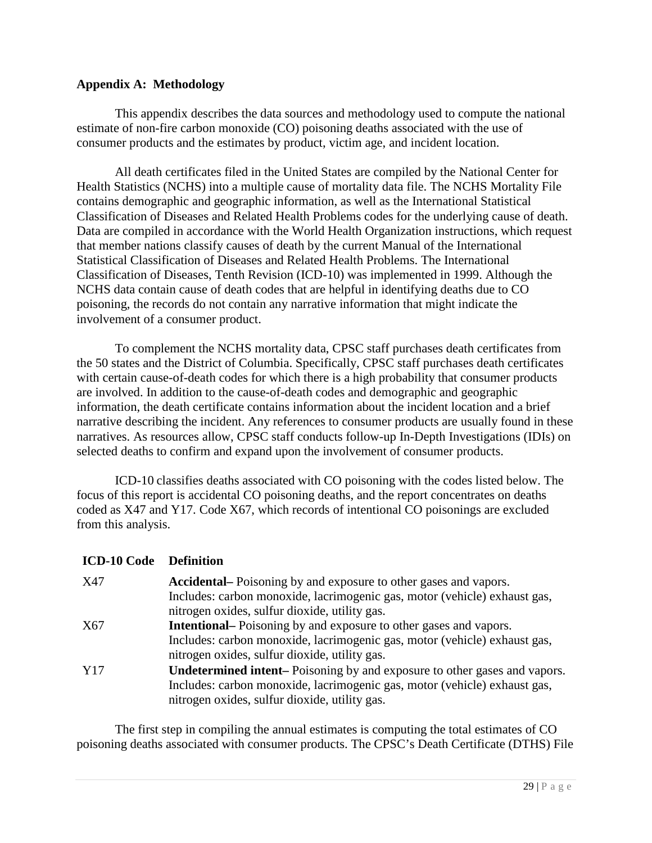## <span id="page-28-0"></span>**Appendix A: Methodology**

This appendix describes the data sources and methodology used to compute the national estimate of non-fire carbon monoxide (CO) poisoning deaths associated with the use of consumer products and the estimates by product, victim age, and incident location.

All death certificates filed in the United States are compiled by the National Center for Health Statistics (NCHS) into a multiple cause of mortality data file. The NCHS Mortality File contains demographic and geographic information, as well as the International Statistical Classification of Diseases and Related Health Problems codes for the underlying cause of death. Data are compiled in accordance with the World Health Organization instructions, which request that member nations classify causes of death by the current Manual of the International Statistical Classification of Diseases and Related Health Problems. The International Classification of Diseases, Tenth Revision (ICD-10) was implemented in 1999. Although the NCHS data contain cause of death codes that are helpful in identifying deaths due to CO poisoning, the records do not contain any narrative information that might indicate the involvement of a consumer product.

To complement the NCHS mortality data, CPSC staff purchases death certificates from the 50 states and the District of Columbia. Specifically, CPSC staff purchases death certificates with certain cause-of-death codes for which there is a high probability that consumer products are involved. In addition to the cause-of-death codes and demographic and geographic information, the death certificate contains information about the incident location and a brief narrative describing the incident. Any references to consumer products are usually found in these narratives. As resources allow, CPSC staff conducts follow-up In-Depth Investigations (IDIs) on selected deaths to confirm and expand upon the involvement of consumer products.

ICD-10 classifies deaths associated with CO poisoning with the codes listed below. The focus of this report is accidental CO poisoning deaths, and the report concentrates on deaths coded as X47 and Y17. Code X67, which records of intentional CO poisonings are excluded from this analysis.

## **ICD-10 Code Definition**

| X47 | Accidental–Poisoning by and exposure to other gases and vapors.                 |
|-----|---------------------------------------------------------------------------------|
|     | Includes: carbon monoxide, lacrimogenic gas, motor (vehicle) exhaust gas,       |
|     | nitrogen oxides, sulfur dioxide, utility gas.                                   |
| X67 | <b>Intentional</b> - Poisoning by and exposure to other gases and vapors.       |
|     | Includes: carbon monoxide, lacrimogenic gas, motor (vehicle) exhaust gas,       |
|     | nitrogen oxides, sulfur dioxide, utility gas.                                   |
| Y17 | <b>Undetermined intent–Poisoning by and exposure to other gases and vapors.</b> |
|     | Includes: carbon monoxide, lacrimogenic gas, motor (vehicle) exhaust gas,       |
|     | nitrogen oxides, sulfur dioxide, utility gas.                                   |

The first step in compiling the annual estimates is computing the total estimates of CO poisoning deaths associated with consumer products. The CPSC's Death Certificate (DTHS) File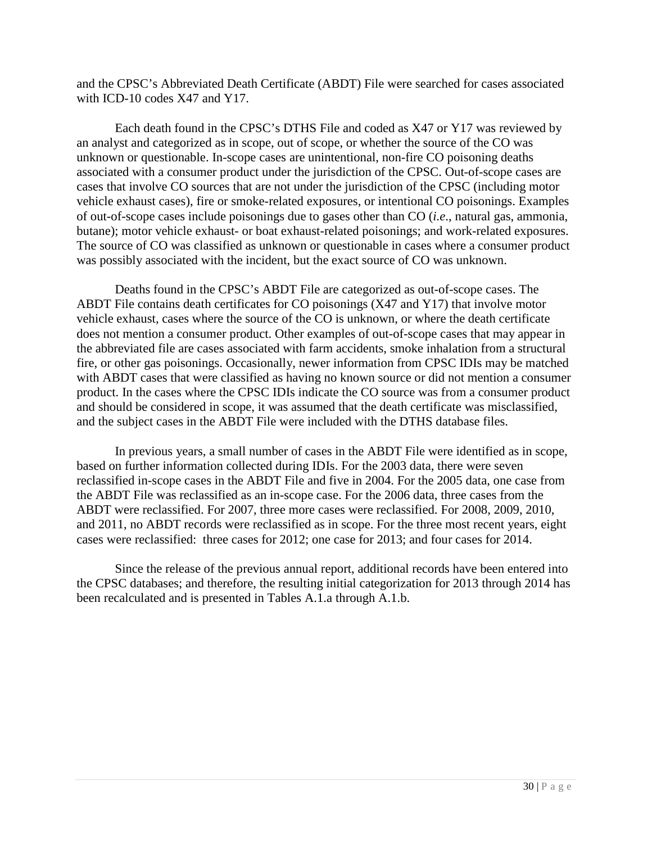and the CPSC's Abbreviated Death Certificate (ABDT) File were searched for cases associated with ICD-10 codes X47 and Y17.

Each death found in the CPSC's DTHS File and coded as X47 or Y17 was reviewed by an analyst and categorized as in scope, out of scope, or whether the source of the CO was unknown or questionable. In-scope cases are unintentional, non-fire CO poisoning deaths associated with a consumer product under the jurisdiction of the CPSC. Out-of-scope cases are cases that involve CO sources that are not under the jurisdiction of the CPSC (including motor vehicle exhaust cases), fire or smoke-related exposures, or intentional CO poisonings. Examples of out-of-scope cases include poisonings due to gases other than CO (*i.e*., natural gas, ammonia, butane); motor vehicle exhaust- or boat exhaust-related poisonings; and work-related exposures. The source of CO was classified as unknown or questionable in cases where a consumer product was possibly associated with the incident, but the exact source of CO was unknown.

Deaths found in the CPSC's ABDT File are categorized as out-of-scope cases. The ABDT File contains death certificates for CO poisonings (X47 and Y17) that involve motor vehicle exhaust, cases where the source of the CO is unknown, or where the death certificate does not mention a consumer product. Other examples of out-of-scope cases that may appear in the abbreviated file are cases associated with farm accidents, smoke inhalation from a structural fire, or other gas poisonings. Occasionally, newer information from CPSC IDIs may be matched with ABDT cases that were classified as having no known source or did not mention a consumer product. In the cases where the CPSC IDIs indicate the CO source was from a consumer product and should be considered in scope, it was assumed that the death certificate was misclassified, and the subject cases in the ABDT File were included with the DTHS database files.

In previous years, a small number of cases in the ABDT File were identified as in scope, based on further information collected during IDIs. For the 2003 data, there were seven reclassified in-scope cases in the ABDT File and five in 2004. For the 2005 data, one case from the ABDT File was reclassified as an in-scope case. For the 2006 data, three cases from the ABDT were reclassified. For 2007, three more cases were reclassified. For 2008, 2009, 2010, and 2011, no ABDT records were reclassified as in scope. For the three most recent years, eight cases were reclassified: three cases for 2012; one case for 2013; and four cases for 2014.

Since the release of the previous annual report, additional records have been entered into the CPSC databases; and therefore, the resulting initial categorization for 2013 through 2014 has been recalculated and is presented in Tables A.1.a through A.1.b.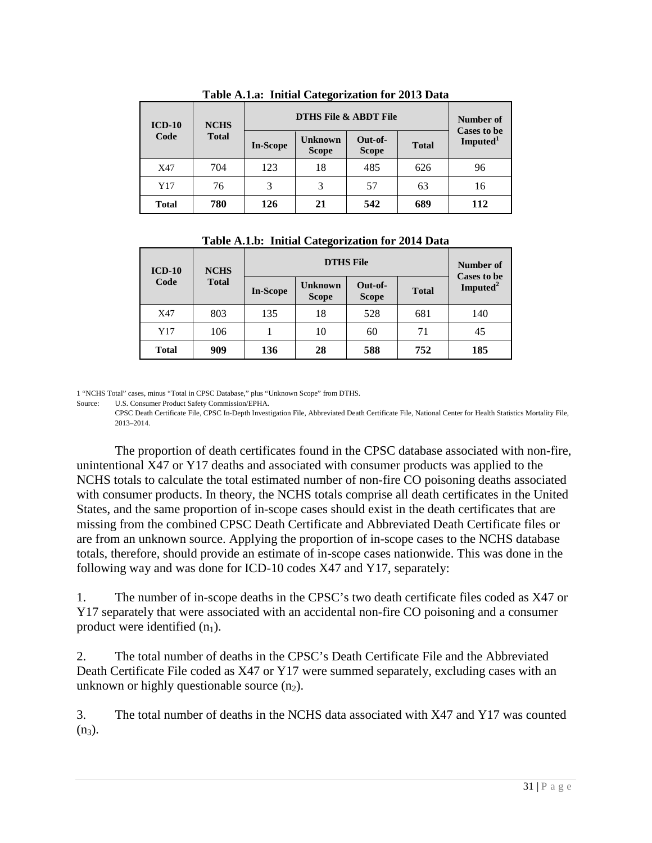<span id="page-30-0"></span>

| $ICD-10$<br>Code | <b>NCHS</b><br><b>Total</b> | <b>DTHS File &amp; ABDT File</b> | Number of<br><b>Cases to be</b> |                         |              |                      |  |  |  |
|------------------|-----------------------------|----------------------------------|---------------------------------|-------------------------|--------------|----------------------|--|--|--|
|                  |                             | <b>In-Scope</b>                  | <b>Unknown</b><br><b>Scope</b>  | Out-of-<br><b>Scope</b> | <b>Total</b> | Imputed <sup>1</sup> |  |  |  |
| X47              | 704                         | 123                              | 18                              | 485                     | 626          | 96                   |  |  |  |
| Y17              | 76                          | 3                                | 3                               | 57                      | 63           | 16                   |  |  |  |
| <b>Total</b>     | 780                         | 126                              | 21                              | 542                     | 689          | 112                  |  |  |  |

**Table A.1.a: Initial Categorization for 2013 Data**

<span id="page-30-1"></span>

| $ICD-10$     | <b>NCHS</b>  |                 | Number of<br><b>Cases to be</b> |                         |              |                      |  |
|--------------|--------------|-----------------|---------------------------------|-------------------------|--------------|----------------------|--|
| Code         | <b>Total</b> | <b>In-Scope</b> | <b>Unknown</b><br><b>Scope</b>  | Out-of-<br><b>Scope</b> | <b>Total</b> | Imputed <sup>2</sup> |  |
| X47          | 803          | 135             | 18                              | 528                     | 681          | 140                  |  |
| Y17          | 106          |                 | 10                              | 60                      | 71           | 45                   |  |
| <b>Total</b> | 909          | 136             | 28                              | 588                     | 752          | 185                  |  |

**Table A.1.b: Initial Categorization for 2014 Data**

1 "NCHS Total" cases, minus "Total in CPSC Database," plus "Unknown Scope" from DTHS.

Source: U.S. Consumer Product Safety Commission/EPHA.

CPSC Death Certificate File, CPSC In-Depth Investigation File, Abbreviated Death Certificate File, National Center for Health Statistics Mortality File, 2013–2014.

The proportion of death certificates found in the CPSC database associated with non-fire, unintentional X47 or Y17 deaths and associated with consumer products was applied to the NCHS totals to calculate the total estimated number of non-fire CO poisoning deaths associated with consumer products. In theory, the NCHS totals comprise all death certificates in the United States, and the same proportion of in-scope cases should exist in the death certificates that are missing from the combined CPSC Death Certificate and Abbreviated Death Certificate files or are from an unknown source. Applying the proportion of in-scope cases to the NCHS database totals, therefore, should provide an estimate of in-scope cases nationwide. This was done in the following way and was done for ICD-10 codes X47 and Y17, separately:

1. The number of in-scope deaths in the CPSC's two death certificate files coded as X47 or Y17 separately that were associated with an accidental non-fire CO poisoning and a consumer product were identified  $(n_1)$ .

2. The total number of deaths in the CPSC's Death Certificate File and the Abbreviated Death Certificate File coded as X47 or Y17 were summed separately, excluding cases with an unknown or highly questionable source  $(n_2)$ .

3. The total number of deaths in the NCHS data associated with X47 and Y17 was counted  $(n_3)$ .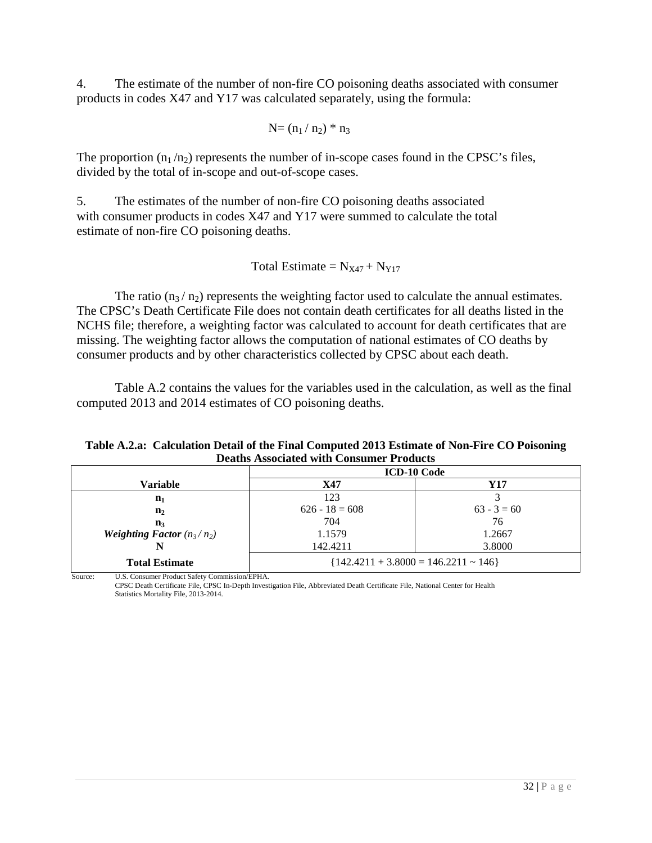4. The estimate of the number of non-fire CO poisoning deaths associated with consumer products in codes X47 and Y17 was calculated separately, using the formula:

$$
N\!\!=\!(n_1\,/\,n_2)\,\,{^*\,n_3}
$$

The proportion  $(n_1/n_2)$  represents the number of in-scope cases found in the CPSC's files, divided by the total of in-scope and out-of-scope cases.

5. The estimates of the number of non-fire CO poisoning deaths associated with consumer products in codes X47 and Y17 were summed to calculate the total estimate of non-fire CO poisoning deaths.

Total Estimate =  $N_{X47} + N_{Y17}$ 

The ratio  $(n_3/n_2)$  represents the weighting factor used to calculate the annual estimates. The CPSC's Death Certificate File does not contain death certificates for all deaths listed in the NCHS file; therefore, a weighting factor was calculated to account for death certificates that are missing. The weighting factor allows the computation of national estimates of CO deaths by consumer products and by other characteristics collected by CPSC about each death.

Table A.2 contains the values for the variables used in the calculation, as well as the final computed 2013 and 2014 estimates of CO poisoning deaths.

### <span id="page-31-0"></span>**Table A.2.a: Calculation Detail of the Final Computed 2013 Estimate of Non-Fire CO Poisoning Deaths Associated with Consumer Products**

|                                     | <b>ICD-10 Code</b>                        |               |  |  |  |
|-------------------------------------|-------------------------------------------|---------------|--|--|--|
| Variable                            | X47                                       | Y17           |  |  |  |
| $n_1$                               | 123                                       |               |  |  |  |
| $\mathbf{n}_2$                      | $626 - 18 = 608$                          | $63 - 3 = 60$ |  |  |  |
| $\mathbf{n}_3$                      | 704                                       | 76            |  |  |  |
| <b>Weighting Factor</b> $(n_3/n_2)$ | 1.1579                                    | 1.2667        |  |  |  |
|                                     | 142.4211                                  | 3.8000        |  |  |  |
| <b>Total Estimate</b>               | ${142.4211 + 3.8000 = 146.2211 \sim 146}$ |               |  |  |  |

Source: U.S. Consumer Product Safety Commission/EPHA. CPSC Death Certificate File, CPSC In-Depth Investigation File, Abbreviated Death Certificate File, National Center for Health Statistics Mortality File, 2013-2014.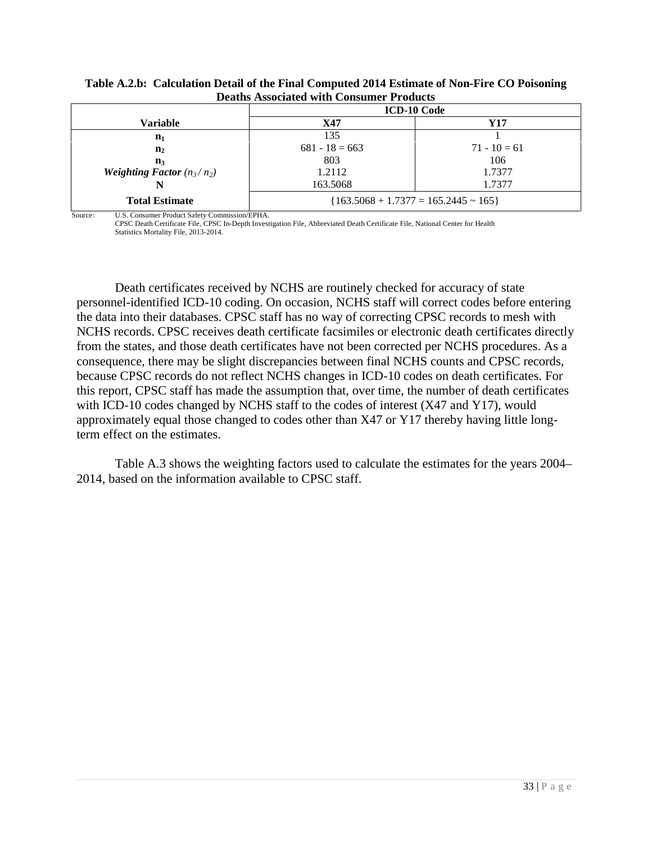|                                     | рсаніз Аззосіанся міні сопзанісі і годасіз   |                |  |  |  |  |
|-------------------------------------|----------------------------------------------|----------------|--|--|--|--|
|                                     | <b>ICD-10 Code</b>                           |                |  |  |  |  |
| Variable                            | X47                                          | Y17            |  |  |  |  |
| $n_1$                               | 135                                          |                |  |  |  |  |
| $\mathbf{n}_2$                      | $681 - 18 = 663$                             | $71 - 10 = 61$ |  |  |  |  |
| $\mathbf{n}_3$                      | 803                                          | 106            |  |  |  |  |
| <b>Weighting Factor</b> $(n_3/n_2)$ | 1.2112                                       | 1.7377         |  |  |  |  |
|                                     | 163.5068                                     | 1.7377         |  |  |  |  |
| <b>Total Estimate</b>               | ${163.5068 + 1.7377 = 165.2445 \approx 165}$ |                |  |  |  |  |

<span id="page-32-0"></span>**Table A.2.b: Calculation Detail of the Final Computed 2014 Estimate of Non-Fire CO Poisoning Deaths Associated with Consumer Products**

Source: U.S. Consumer Product Safety Commission/EPHA.

CPSC Death Certificate File, CPSC In-Depth Investigation File, Abbreviated Death Certificate File, National Center for Health Statistics Mortality File, 2013-2014.

Death certificates received by NCHS are routinely checked for accuracy of state personnel-identified ICD-10 coding. On occasion, NCHS staff will correct codes before entering the data into their databases. CPSC staff has no way of correcting CPSC records to mesh with NCHS records. CPSC receives death certificate facsimiles or electronic death certificates directly from the states, and those death certificates have not been corrected per NCHS procedures. As a consequence, there may be slight discrepancies between final NCHS counts and CPSC records, because CPSC records do not reflect NCHS changes in ICD-10 codes on death certificates. For this report, CPSC staff has made the assumption that, over time, the number of death certificates with ICD-10 codes changed by NCHS staff to the codes of interest (X47 and Y17), would approximately equal those changed to codes other than X47 or Y17 thereby having little longterm effect on the estimates.

Table A.3 shows the weighting factors used to calculate the estimates for the years 2004– 2014, based on the information available to CPSC staff.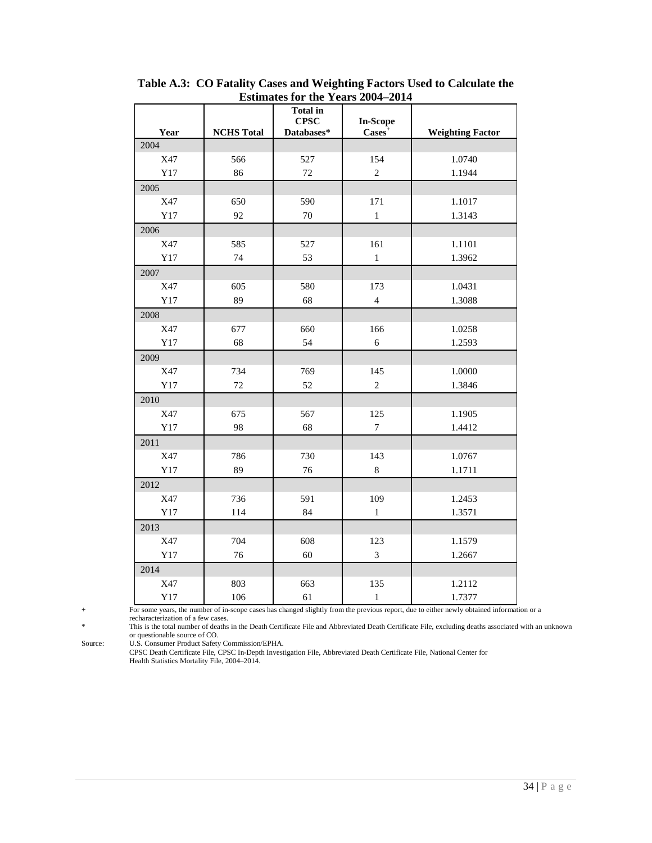|      |                   |                 | ESUIDATES TOT THE T EATS $2004-2014$ |                         |
|------|-------------------|-----------------|--------------------------------------|-------------------------|
|      |                   | <b>Total in</b> |                                      |                         |
|      |                   | <b>CPSC</b>     | <b>In-Scope</b>                      |                         |
| Year | <b>NCHS</b> Total | Databases*      | $\text{Cases}^+$                     | <b>Weighting Factor</b> |
| 2004 |                   |                 |                                      |                         |
| X47  | 566               | 527             | 154                                  | 1.0740                  |
| Y17  | 86                | $72\,$          | $\sqrt{2}$                           | 1.1944                  |
| 2005 |                   |                 |                                      |                         |
| X47  | 650               | 590             | 171                                  | 1.1017                  |
| Y17  | 92                | 70              | $\,1$                                | 1.3143                  |
| 2006 |                   |                 |                                      |                         |
| X47  | 585               | 527             | 161                                  | 1.1101                  |
| Y17  | 74                | 53              | $\,1$                                | 1.3962                  |
| 2007 |                   |                 |                                      |                         |
| X47  | 605               | 580             | 173                                  | 1.0431                  |
| Y17  | 89                | 68              | $\overline{4}$                       | 1.3088                  |
| 2008 |                   |                 |                                      |                         |
| X47  | 677               | 660             | 166                                  | 1.0258                  |
| Y17  | 68                | 54              | 6                                    | 1.2593                  |
| 2009 |                   |                 |                                      |                         |
| X47  | 734               | 769             | 145                                  | 1.0000                  |
| Y17  | 72                | 52              | $\overline{c}$                       | 1.3846                  |
| 2010 |                   |                 |                                      |                         |
| X47  | 675               | 567             | 125                                  | 1.1905                  |
| Y17  | 98                | 68              | $\overline{7}$                       | 1.4412                  |
| 2011 |                   |                 |                                      |                         |
| X47  | 786               | 730             | 143                                  | 1.0767                  |
| Y17  | 89                | 76              | $\,8\,$                              | 1.1711                  |
| 2012 |                   |                 |                                      |                         |
| X47  | 736               | 591             | 109                                  | 1.2453                  |
| Y17  | 114               | 84              | $\,1\,$                              | 1.3571                  |
| 2013 |                   |                 |                                      |                         |
| X47  | 704               | 608             | 123                                  | 1.1579                  |
| Y17  | 76                | 60              | $\mathfrak{Z}$                       | 1.2667                  |
| 2014 |                   |                 |                                      |                         |
| X47  | 803               | 663             | 135                                  | 1.2112                  |
| Y17  | 106               | 61              | $\,1\,$                              | 1.7377                  |

<span id="page-33-0"></span>**Table A.3: CO Fatality Cases and Weighting Factors Used to Calculate the Estimates for the Years 2004–2014**

+ For some years, the number of in-scope cases has changed slightly from the previous report, due to either newly obtained information or a recharacterization of a few cases.

\* This is the total number of deaths in the Death Certificate File and Abbreviated Death Certificate File, excluding deaths associated with an unknown

or questionable source of CO.

Source: U.S. Consumer Product Safety Commission/EPHA.

CPSC Death Certificate File, CPSC In-Depth Investigation File, Abbreviated Death Certificate File, National Center for Health Statistics Mortality File, 2004–2014.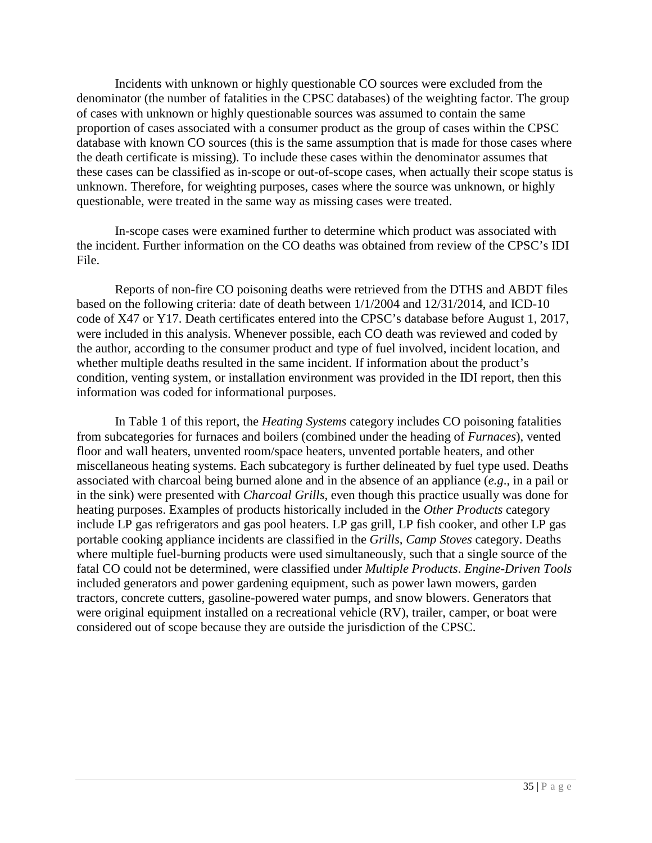Incidents with unknown or highly questionable CO sources were excluded from the denominator (the number of fatalities in the CPSC databases) of the weighting factor. The group of cases with unknown or highly questionable sources was assumed to contain the same proportion of cases associated with a consumer product as the group of cases within the CPSC database with known CO sources (this is the same assumption that is made for those cases where the death certificate is missing). To include these cases within the denominator assumes that these cases can be classified as in-scope or out-of-scope cases, when actually their scope status is unknown. Therefore, for weighting purposes, cases where the source was unknown, or highly questionable, were treated in the same way as missing cases were treated.

In-scope cases were examined further to determine which product was associated with the incident. Further information on the CO deaths was obtained from review of the CPSC's IDI File.

Reports of non-fire CO poisoning deaths were retrieved from the DTHS and ABDT files based on the following criteria: date of death between 1/1/2004 and 12/31/2014, and ICD-10 code of X47 or Y17. Death certificates entered into the CPSC's database before August 1, 2017, were included in this analysis. Whenever possible, each CO death was reviewed and coded by the author, according to the consumer product and type of fuel involved, incident location, and whether multiple deaths resulted in the same incident. If information about the product's condition, venting system, or installation environment was provided in the IDI report, then this information was coded for informational purposes.

In Table 1 of this report, the *Heating Systems* category includes CO poisoning fatalities from subcategories for furnaces and boilers (combined under the heading of *Furnaces*), vented floor and wall heaters, unvented room/space heaters, unvented portable heaters, and other miscellaneous heating systems. Each subcategory is further delineated by fuel type used. Deaths associated with charcoal being burned alone and in the absence of an appliance (*e.g*., in a pail or in the sink) were presented with *Charcoal Grills*, even though this practice usually was done for heating purposes. Examples of products historically included in the *Other Products* category include LP gas refrigerators and gas pool heaters. LP gas grill, LP fish cooker, and other LP gas portable cooking appliance incidents are classified in the *Grills, Camp Stoves* category. Deaths where multiple fuel-burning products were used simultaneously, such that a single source of the fatal CO could not be determined, were classified under *Multiple Products*. *Engine-Driven Tools* included generators and power gardening equipment, such as power lawn mowers, garden tractors, concrete cutters, gasoline-powered water pumps, and snow blowers. Generators that were original equipment installed on a recreational vehicle (RV), trailer, camper, or boat were considered out of scope because they are outside the jurisdiction of the CPSC.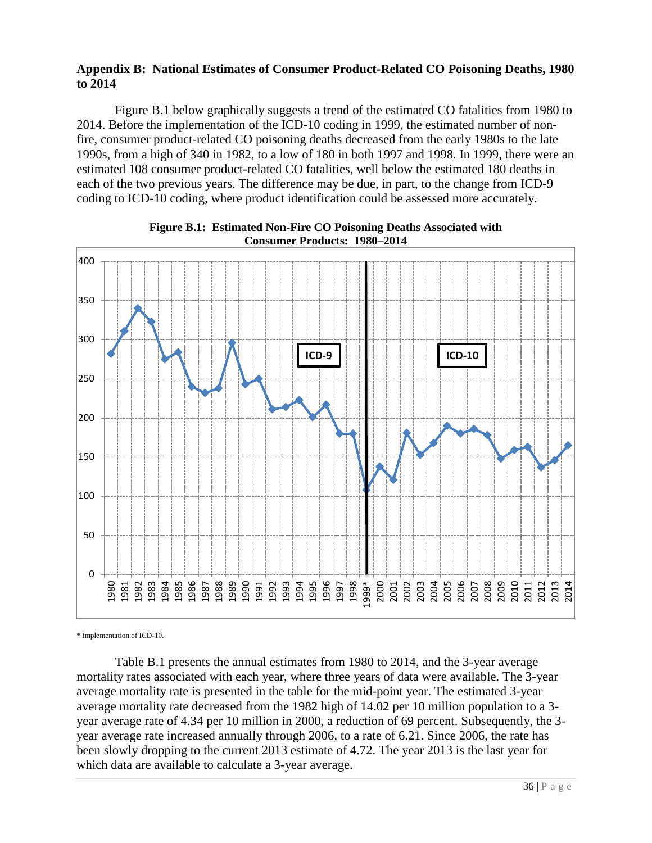## <span id="page-35-0"></span>**Appendix B: National Estimates of Consumer Product-Related CO Poisoning Deaths, 1980 to 2014**

Figure B.1 below graphically suggests a trend of the estimated CO fatalities from 1980 to 2014. Before the implementation of the ICD-10 coding in 1999, the estimated number of nonfire, consumer product-related CO poisoning deaths decreased from the early 1980s to the late 1990s, from a high of 340 in 1982, to a low of 180 in both 1997 and 1998. In 1999, there were an estimated 108 consumer product-related CO fatalities, well below the estimated 180 deaths in each of the two previous years. The difference may be due, in part, to the change from ICD-9 coding to ICD-10 coding, where product identification could be assessed more accurately.

<span id="page-35-1"></span>



\* Implementation of ICD-10.

Table B.1 presents the annual estimates from 1980 to 2014, and the 3-year average mortality rates associated with each year, where three years of data were available. The 3-year average mortality rate is presented in the table for the mid-point year. The estimated 3-year average mortality rate decreased from the 1982 high of 14.02 per 10 million population to a 3 year average rate of 4.34 per 10 million in 2000, a reduction of 69 percent. Subsequently, the 3 year average rate increased annually through 2006, to a rate of 6.21. Since 2006, the rate has been slowly dropping to the current 2013 estimate of 4.72. The year 2013 is the last year for which data are available to calculate a 3-year average.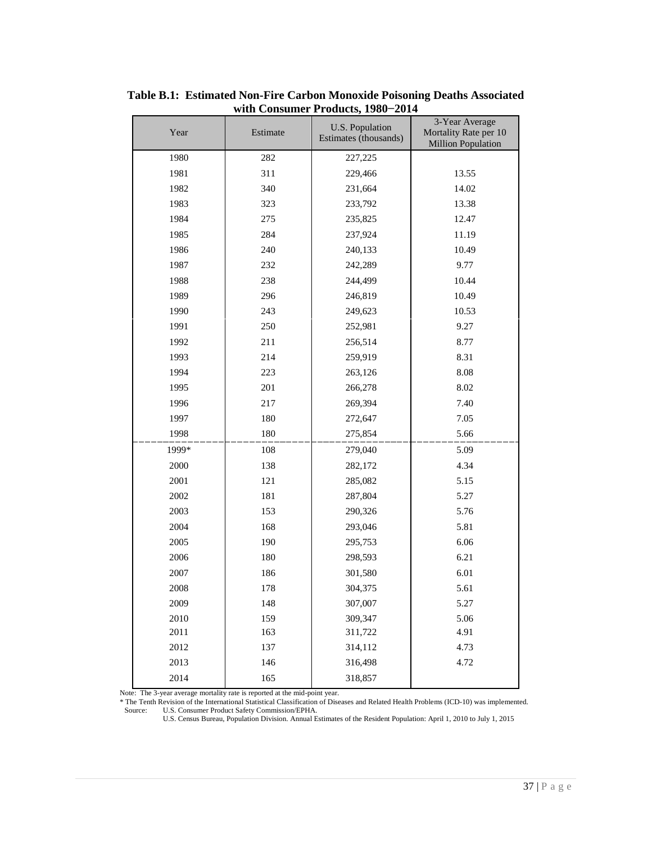| Year  | Estimate | U.S. Population<br>Estimates (thousands) | 3-Year Average<br>Mortality Rate per 10<br><b>Million Population</b> |
|-------|----------|------------------------------------------|----------------------------------------------------------------------|
| 1980  | 282      | 227,225                                  |                                                                      |
| 1981  | 311      | 229,466                                  | 13.55                                                                |
| 1982  | 340      | 231,664                                  | 14.02                                                                |
| 1983  | 323      | 233,792                                  | 13.38                                                                |
| 1984  | 275      | 235,825                                  | 12.47                                                                |
| 1985  | 284      | 237,924                                  | 11.19                                                                |
| 1986  | 240      | 240,133                                  | 10.49                                                                |
| 1987  | 232      | 242,289                                  | 9.77                                                                 |
| 1988  | 238      | 244,499                                  | 10.44                                                                |
| 1989  | 296      | 246,819                                  | 10.49                                                                |
| 1990  | 243      | 249,623                                  | 10.53                                                                |
| 1991  | 250      | 252,981                                  | 9.27                                                                 |
| 1992  | 211      | 256,514                                  | 8.77                                                                 |
| 1993  | 214      | 259,919                                  | 8.31                                                                 |
| 1994  | 223      | 263,126                                  | 8.08                                                                 |
| 1995  | 201      | 266,278                                  | 8.02                                                                 |
| 1996  | 217      | 269,394                                  | 7.40                                                                 |
| 1997  | 180      | 272,647                                  | 7.05                                                                 |
| 1998  | 180      | 275,854                                  | 5.66                                                                 |
| 1999* | 108      | 279,040                                  | 5.09                                                                 |
| 2000  | 138      | 282,172                                  | 4.34                                                                 |
| 2001  | 121      | 285,082                                  | 5.15                                                                 |
| 2002  | 181      | 287,804                                  | 5.27                                                                 |
| 2003  | 153      | 290,326                                  | 5.76                                                                 |
| 2004  | 168      | 293,046                                  | 5.81                                                                 |
| 2005  | 190      | 295,753                                  | 6.06                                                                 |
| 2006  | 180      | 298,593                                  | 6.21                                                                 |
| 2007  | 186      | 301,580                                  | 6.01                                                                 |
| 2008  | 178      | 304,375                                  | 5.61                                                                 |
| 2009  | 148      | 307,007                                  | 5.27                                                                 |
| 2010  | 159      | 309,347                                  | 5.06                                                                 |
| 2011  | 163      | 311,722                                  | 4.91                                                                 |
| 2012  | 137      | 314,112                                  | 4.73                                                                 |
| 2013  | 146      | 316,498                                  | 4.72                                                                 |
| 2014  | 165      | 318,857                                  |                                                                      |

<span id="page-36-0"></span>**Table B.1: Estimated Non-Fire Carbon Monoxide Poisoning Deaths Associated with Consumer Products, 1980−2014**

Note: The 3-year average mortality rate is reported at the mid-point year.

\* The Tenth Revision of the International Statistical Classification of Diseases and Related Health Problems (ICD-10) was implemented. Source: U.S. Consumer Product Safety Commission/EPHA.

U.S. Census Bureau, Population Division. Annual Estimates of the Resident Population: April 1, 2010 to July 1, 2015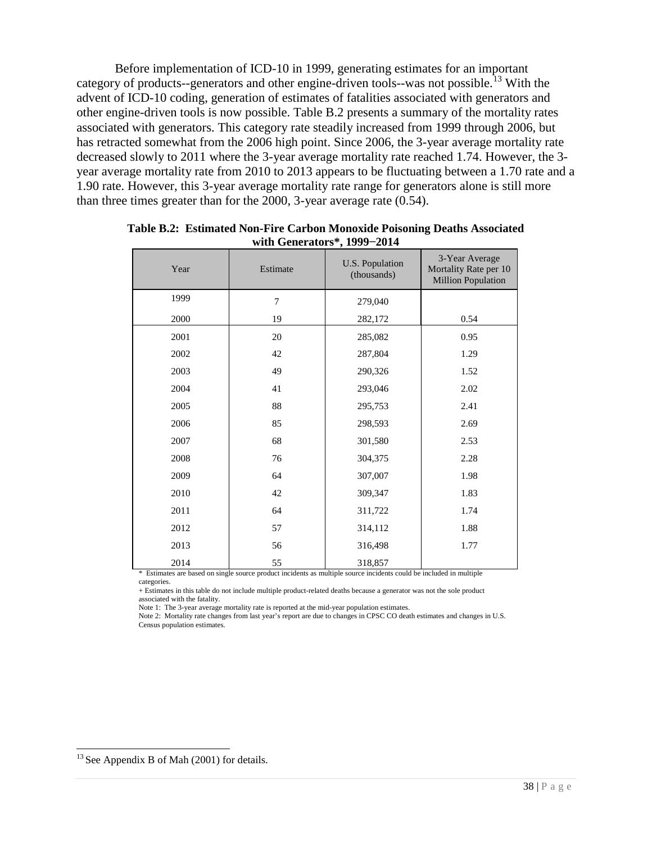Before implementation of ICD-10 in 1999, generating estimates for an important category of products--generators and other engine-driven tools--was not possible.<sup>[13](#page-37-1)</sup> With the advent of ICD-10 coding, generation of estimates of fatalities associated with generators and other engine-driven tools is now possible. Table B.2 presents a summary of the mortality rates associated with generators. This category rate steadily increased from 1999 through 2006, but has retracted somewhat from the 2006 high point. Since 2006, the 3-year average mortality rate decreased slowly to 2011 where the 3-year average mortality rate reached 1.74. However, the 3 year average mortality rate from 2010 to 2013 appears to be fluctuating between a 1.70 rate and a 1.90 rate. However, this 3-year average mortality rate range for generators alone is still more than three times greater than for the 2000, 3-year average rate (0.54).

| Year | Estimate | U.S. Population<br>(thousands) | 3-Year Average<br>Mortality Rate per 10<br><b>Million Population</b> |
|------|----------|--------------------------------|----------------------------------------------------------------------|
| 1999 | 7        | 279,040                        |                                                                      |
| 2000 | 19       | 282,172                        | 0.54                                                                 |
| 2001 | 20       | 285,082                        | 0.95                                                                 |
| 2002 | 42       | 287,804                        | 1.29                                                                 |
| 2003 | 49       | 290,326                        | 1.52                                                                 |
| 2004 | 41       | 293,046                        | 2.02                                                                 |
| 2005 | 88       | 295,753                        | 2.41                                                                 |
| 2006 | 85       | 298,593                        | 2.69                                                                 |
| 2007 | 68       | 301,580                        | 2.53                                                                 |
| 2008 | 76       | 304,375                        | 2.28                                                                 |
| 2009 | 64       | 307,007                        | 1.98                                                                 |
| 2010 | 42       | 309,347                        | 1.83                                                                 |
| 2011 | 64       | 311,722                        | 1.74                                                                 |
| 2012 | 57       | 314,112                        | 1.88                                                                 |
| 2013 | 56       | 316,498                        | 1.77                                                                 |
| 2014 | 55       | 318,857                        |                                                                      |

<span id="page-37-0"></span>**Table B.2: Estimated Non-Fire Carbon Monoxide Poisoning Deaths Associated with Generators\*, 1999−2014**

\* Estimates are based on single source product incidents as multiple source incidents could be included in multiple categories.

+ Estimates in this table do not include multiple product-related deaths because a generator was not the sole product associated with the fatality.

Note 1: The 3-year average mortality rate is reported at the mid-year population estimates.

Note 2: Mortality rate changes from last year's report are due to changes in CPSC CO death estimates and changes in U.S. Census population estimates.

<span id="page-37-1"></span><sup>&</sup>lt;sup>13</sup> See Appendix B of Mah (2001) for details.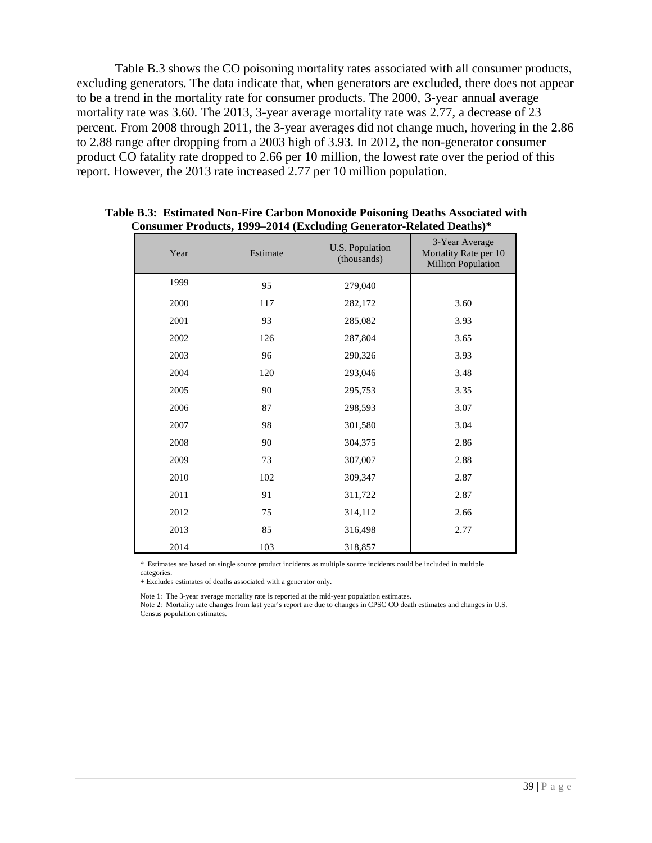Table B.3 shows the CO poisoning mortality rates associated with all consumer products, excluding generators. The data indicate that, when generators are excluded, there does not appear to be a trend in the mortality rate for consumer products. The 2000, 3-year annual average mortality rate was 3.60. The 2013, 3-year average mortality rate was 2.77, a decrease of 23 percent. From 2008 through 2011, the 3-year averages did not change much, hovering in the 2.86 to 2.88 range after dropping from a 2003 high of 3.93. In 2012, the non-generator consumer product CO fatality rate dropped to 2.66 per 10 million, the lowest rate over the period of this report. However, the 2013 rate increased 2.77 per 10 million population.

| Year | Estimate | U.S. Population<br>(thousands) | 3-Year Average<br>Mortality Rate per 10<br><b>Million Population</b> |
|------|----------|--------------------------------|----------------------------------------------------------------------|
| 1999 | 95       | 279,040                        |                                                                      |
| 2000 | 117      | 282,172                        | 3.60                                                                 |
| 2001 | 93       | 285,082                        | 3.93                                                                 |
| 2002 | 126      | 287,804                        | 3.65                                                                 |
| 2003 | 96       | 290,326                        | 3.93                                                                 |
| 2004 | 120      | 293,046                        | 3.48                                                                 |
| 2005 | 90       | 295,753                        | 3.35                                                                 |
| 2006 | 87       | 298,593                        | 3.07                                                                 |
| 2007 | 98       | 301,580                        | 3.04                                                                 |
| 2008 | 90       | 304,375                        | 2.86                                                                 |
| 2009 | 73       | 307,007                        | 2.88                                                                 |
| 2010 | 102      | 309,347                        | 2.87                                                                 |
| 2011 | 91       | 311,722                        | 2.87                                                                 |
| 2012 | 75       | 314,112                        | 2.66                                                                 |
| 2013 | 85       | 316,498                        | 2.77                                                                 |
| 2014 | 103      | 318,857                        |                                                                      |

<span id="page-38-0"></span>**Table B.3: Estimated Non-Fire Carbon Monoxide Poisoning Deaths Associated with Consumer Products, 1999–2014 (Excluding Generator-Related Deaths)\***

\* Estimates are based on single source product incidents as multiple source incidents could be included in multiple categories.

+ Excludes estimates of deaths associated with a generator only.

Note 1: The 3-year average mortality rate is reported at the mid-year population estimates.

Note 2: Mortality rate changes from last year's report are due to changes in CPSC CO death estimates and changes in U.S. Census population estimates.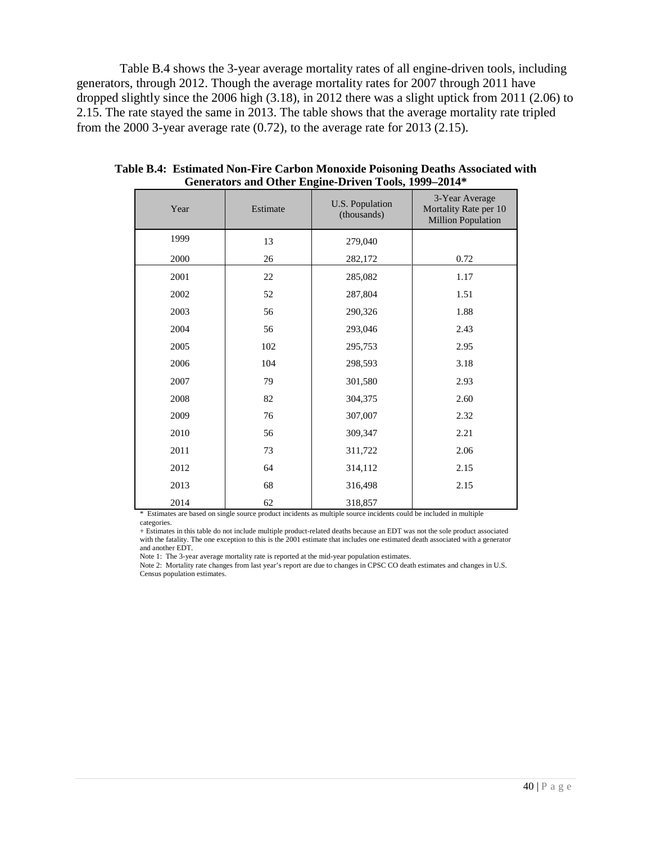Table B.4 shows the 3-year average mortality rates of all engine-driven tools, including generators, through 2012. Though the average mortality rates for 2007 through 2011 have dropped slightly since the 2006 high (3.18), in 2012 there was a slight uptick from 2011 (2.06) to 2.15. The rate stayed the same in 2013. The table shows that the average mortality rate tripled from the 2000 3-year average rate (0.72), to the average rate for 2013 (2.15).

| Year | Estimate | U.S. Population<br>(thousands) | 3-Year Average<br>Mortality Rate per 10<br><b>Million Population</b> |
|------|----------|--------------------------------|----------------------------------------------------------------------|
| 1999 | 13       | 279,040                        |                                                                      |
| 2000 | 26       | 282,172                        | 0.72                                                                 |
| 2001 | 22       | 285,082                        | 1.17                                                                 |
| 2002 | 52       | 287,804                        | 1.51                                                                 |
| 2003 | 56       | 290,326                        | 1.88                                                                 |
| 2004 | 56       | 293,046                        | 2.43                                                                 |
| 2005 | 102      | 295,753                        | 2.95                                                                 |
| 2006 | 104      | 298,593                        | 3.18                                                                 |
| 2007 | 79       | 301,580                        | 2.93                                                                 |
| 2008 | 82       | 304,375                        | 2.60                                                                 |
| 2009 | 76       | 307,007                        | 2.32                                                                 |
| 2010 | 56       | 309,347                        | 2.21                                                                 |
| 2011 | 73       | 311,722                        | 2.06                                                                 |
| 2012 | 64       | 314,112                        | 2.15                                                                 |
| 2013 | 68       | 316,498                        | 2.15                                                                 |
| 2014 | 62       | 318,857                        |                                                                      |

<span id="page-39-0"></span>**Table B.4: Estimated Non-Fire Carbon Monoxide Poisoning Deaths Associated with Generators and Other Engine-Driven Tools, 1999–2014\***

\* Estimates are based on single source product incidents as multiple source incidents could be included in multiple categories.

+ Estimates in this table do not include multiple product-related deaths because an EDT was not the sole product associated with the fatality. The one exception to this is the 2001 estimate that includes one estimated death associated with a generator and another EDT.

Note 1: The 3-year average mortality rate is reported at the mid-year population estimates.

Note 2: Mortality rate changes from last year's report are due to changes in CPSC CO death estimates and changes in U.S. Census population estimates.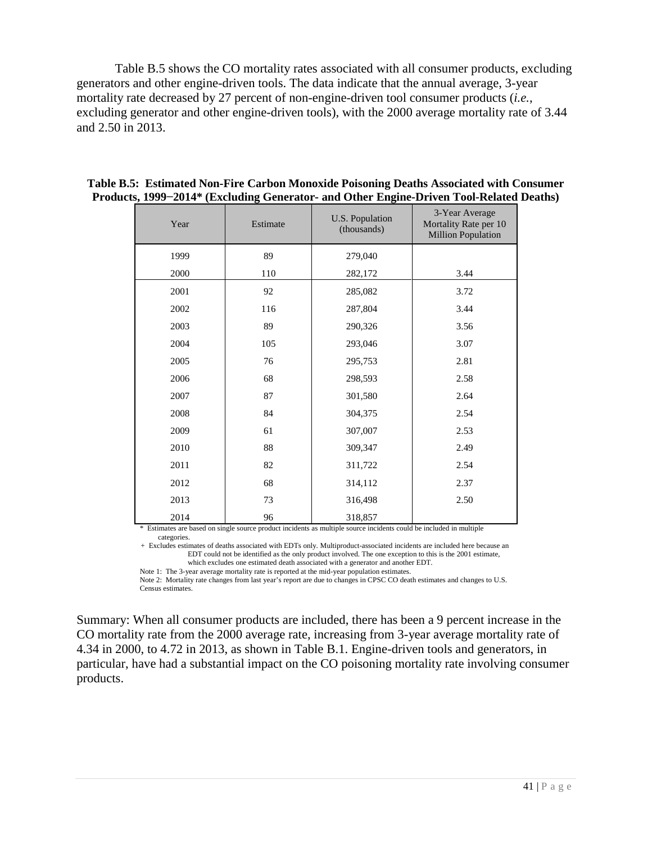Table B.5 shows the CO mortality rates associated with all consumer products, excluding generators and other engine-driven tools. The data indicate that the annual average, 3-year mortality rate decreased by 27 percent of non-engine-driven tool consumer products (*i.e.*, excluding generator and other engine-driven tools), with the 2000 average mortality rate of 3.44 and 2.50 in 2013.

| Year | Estimate | U.S. Population<br>(thousands) | 3-Year Average<br>Mortality Rate per 10<br><b>Million Population</b> |
|------|----------|--------------------------------|----------------------------------------------------------------------|
| 1999 | 89       | 279,040                        |                                                                      |
| 2000 | 110      | 282,172                        | 3.44                                                                 |
| 2001 | 92       | 285,082                        | 3.72                                                                 |
| 2002 | 116      | 287,804                        | 3.44                                                                 |
| 2003 | 89       | 290,326                        | 3.56                                                                 |
| 2004 | 105      | 293,046                        | 3.07                                                                 |
| 2005 | 76       | 295,753                        | 2.81                                                                 |
| 2006 | 68       | 298,593                        | 2.58                                                                 |
| 2007 | 87       | 301,580                        | 2.64                                                                 |
| 2008 | 84       | 304,375                        | 2.54                                                                 |
| 2009 | 61       | 307,007                        | 2.53                                                                 |
| 2010 | 88       | 309,347                        | 2.49                                                                 |
| 2011 | 82       | 311,722                        | 2.54                                                                 |
| 2012 | 68       | 314,112                        | 2.37                                                                 |
| 2013 | 73       | 316,498                        | 2.50                                                                 |
| 2014 | 96       | 318,857                        |                                                                      |

<span id="page-40-0"></span>**Table B.5: Estimated Non-Fire Carbon Monoxide Poisoning Deaths Associated with Consumer Products, 1999−2014\* (Excluding Generator- and Other Engine-Driven Tool-Related Deaths)**

\* Estimates are based on single source product incidents as multiple source incidents could be included in multiple categories.

+ Excludes estimates of deaths associated with EDTs only. Multiproduct-associated incidents are included here because an EDT could not be identified as the only product involved. The one exception to this is the 2001 estimate, which excludes one estimated death associated with a generator and another EDT.

Note 1: The 3-year average mortality rate is reported at the mid-year population estimates.

Note 2: Mortality rate changes from last year's report are due to changes in CPSC CO death estimates and changes to U.S. Census estimates.

Summary: When all consumer products are included, there has been a 9 percent increase in the CO mortality rate from the 2000 average rate, increasing from 3-year average mortality rate of 4.34 in 2000, to 4.72 in 2013, as shown in Table B.1. Engine-driven tools and generators, in particular, have had a substantial impact on the CO poisoning mortality rate involving consumer products.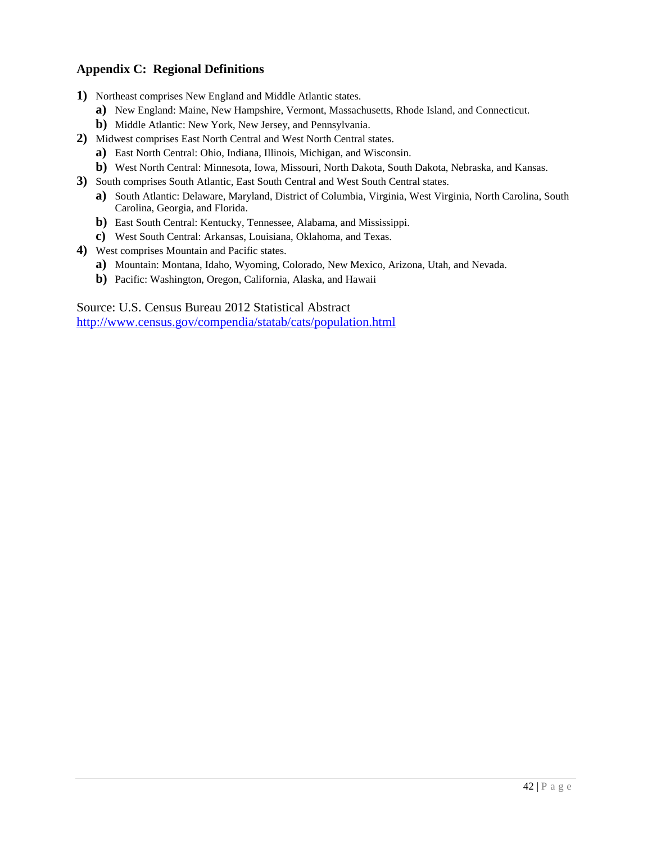## <span id="page-41-0"></span>**Appendix C: Regional Definitions**

- **1)** Northeast comprises New England and Middle Atlantic states.
	- **a)** New England: Maine, New Hampshire, Vermont, Massachusetts, Rhode Island, and Connecticut.
	- **b)** Middle Atlantic: New York, New Jersey, and Pennsylvania.
- **2)** Midwest comprises East North Central and West North Central states.
	- **a)** East North Central: Ohio, Indiana, Illinois, Michigan, and Wisconsin.
	- **b**) West North Central: Minnesota, Iowa, Missouri, North Dakota, South Dakota, Nebraska, and Kansas.
- **3)** South comprises South Atlantic, East South Central and West South Central states.
	- **a)** South Atlantic: Delaware, Maryland, District of Columbia, Virginia, West Virginia, North Carolina, South Carolina, Georgia, and Florida.
	- **b)** East South Central: Kentucky, Tennessee, Alabama, and Mississippi.
	- **c)** West South Central: Arkansas, Louisiana, Oklahoma, and Texas.
- **4)** West comprises Mountain and Pacific states.
	- **a)** Mountain: Montana, Idaho, Wyoming, Colorado, New Mexico, Arizona, Utah, and Nevada.
	- **b)** Pacific: Washington, Oregon, California, Alaska, and Hawaii

Source: U.S. Census Bureau 2012 Statistical Abstract

<http://www.census.gov/compendia/statab/cats/population.html>